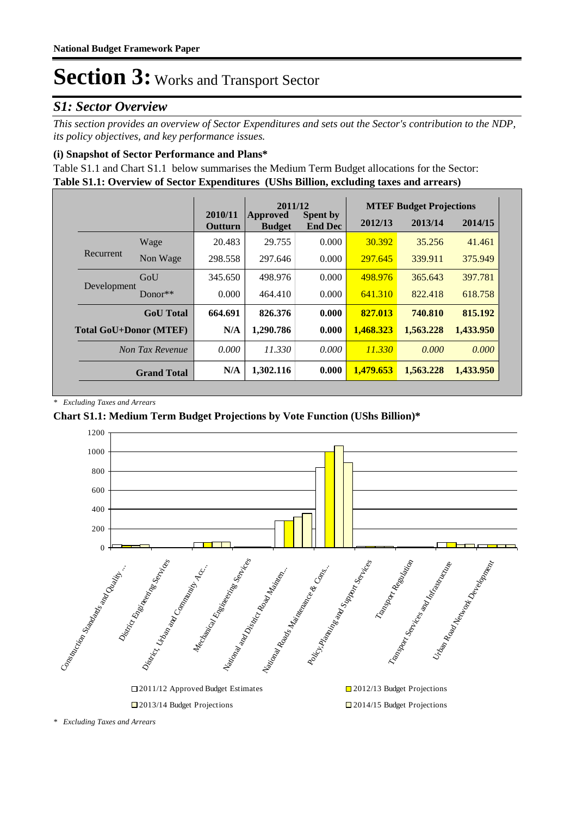### *S1: Sector Overview*

*This section provides an overview of Sector Expenditures and sets out the Sector's contribution to the NDP, its policy objectives, and key performance issues.* 

### **(i) Snapshot of Sector Performance and Plans\***

**Table S1.1: Overview of Sector Expenditures (UShs Billion, excluding taxes and arrears)** Table S1.1 and Chart S1.1 below summarises the Medium Term Budget allocations for the Sector:

|                               |                    | 2011/12                   |                           |                                   |           | <b>MTEF Budget Projections</b> |           |  |
|-------------------------------|--------------------|---------------------------|---------------------------|-----------------------------------|-----------|--------------------------------|-----------|--|
|                               |                    | 2010/11<br><b>Outturn</b> | Approved<br><b>Budget</b> | <b>Spent by</b><br><b>End Dec</b> | 2012/13   | 2013/14                        | 2014/15   |  |
|                               | Wage               | 20.483                    | 29.755                    | 0.000                             | 30.392    | 35.256                         | 41.461    |  |
| Recurrent                     | Non Wage           | 298.558                   | 297.646                   | 0.000                             | 297.645   | 339.911                        | 375.949   |  |
| Development                   | GoU                | 345.650                   | 498.976                   | 0.000                             | 498.976   | 365.643                        | 397.781   |  |
|                               | Donor $**$         | 0.000                     | 464.410                   | 0.000                             | 641.310   | 822.418                        | 618.758   |  |
|                               | <b>GoU</b> Total   | 664.691                   | 826.376                   | 0.000                             | 827.013   | 740.810                        | 815.192   |  |
| <b>Total GoU+Donor (MTEF)</b> |                    | N/A                       | 1,290.786                 | 0.000                             | 1,468.323 | 1,563.228                      | 1,433.950 |  |
|                               | Non Tax Revenue    | 0.000                     | 11.330                    | 0.000                             | 11.330    | 0.000                          | 0.000     |  |
|                               | <b>Grand Total</b> | N/A                       | 1,302.116                 | 0.000                             | 1.479.653 | 1,563.228                      | 1.433.950 |  |

*\* Excluding Taxes and Arrears*

### **Chart S1.1: Medium Term Budget Projections by Vote Function (UShs Billion)\***



*<sup>\*</sup> Excluding Taxes and Arrears*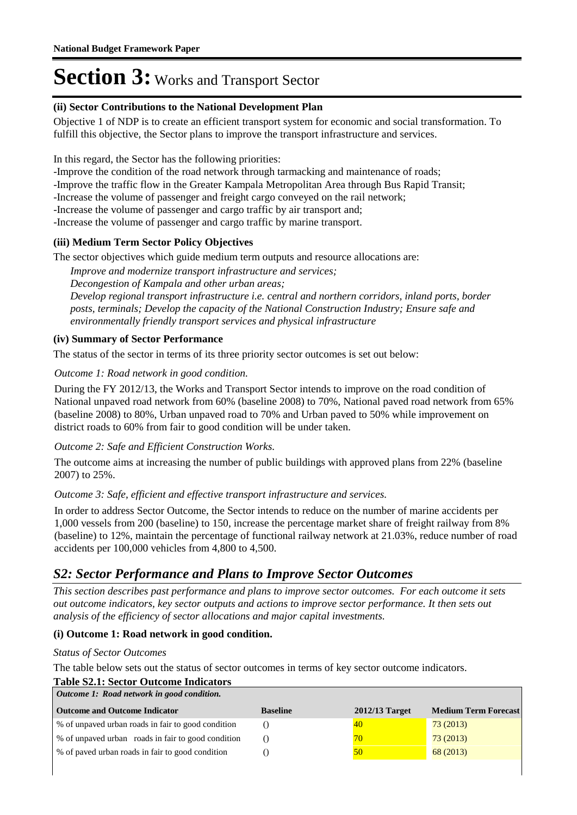#### **(ii) Sector Contributions to the National Development Plan**

Objective 1 of NDP is to create an efficient transport system for economic and social transformation. To fulfill this objective, the Sector plans to improve the transport infrastructure and services.

In this regard, the Sector has the following priorities:

-Improve the condition of the road network through tarmacking and maintenance of roads;

-Improve the traffic flow in the Greater Kampala Metropolitan Area through Bus Rapid Transit;

-Increase the volume of passenger and freight cargo conveyed on the rail network;

-Increase the volume of passenger and cargo traffic by air transport and;

-Increase the volume of passenger and cargo traffic by marine transport.

### **(iii) Medium Term Sector Policy Objectives**

The sector objectives which guide medium term outputs and resource allocations are:

*Improve and modernize transport infrastructure and services;*

*Decongestion of Kampala and other urban areas;* 

*Develop regional transport infrastructure i.e. central and northern corridors, inland ports, border posts, terminals; Develop the capacity of the National Construction Industry; Ensure safe and environmentally friendly transport services and physical infrastructure*

### **(iv) Summary of Sector Performance**

The status of the sector in terms of its three priority sector outcomes is set out below:

#### Outcome 1: Road network in good condition.

During the FY 2012/13, the Works and Transport Sector intends to improve on the road condition of National unpaved road network from 60% (baseline 2008) to 70%, National paved road network from 65% (baseline 2008) to 80%, Urban unpaved road to 70% and Urban paved to 50% while improvement on district roads to 60% from fair to good condition will be under taken.

### Outcome 2: Safe and Efficient Construction Works.

The outcome aims at increasing the number of public buildings with approved plans from 22% (baseline 2007) to 25%.

### Outcome 3: Safe, efficient and effective transport infrastructure and services.

In order to address Sector Outcome, the Sector intends to reduce on the number of marine accidents per 1,000 vessels from 200 (baseline) to 150, increase the percentage market share of freight railway from 8% (baseline) to 12%, maintain the percentage of functional railway network at 21.03%, reduce number of road accidents per 100,000 vehicles from 4,800 to 4,500.

### *S2: Sector Performance and Plans to Improve Sector Outcomes*

*This section describes past performance and plans to improve sector outcomes. For each outcome it sets out outcome indicators, key sector outputs and actions to improve sector performance. It then sets out analysis of the efficiency of sector allocations and major capital investments.*

### **(i) Outcome 1: Road network in good condition.**

#### *Status of Sector Outcomes*

The table below sets out the status of sector outcomes in terms of key sector outcome indicators.

### **Table S2.1: Sector Outcome Indicators**

| Outcome 1: Road network in good condition.         |                 |                  |                             |  |  |
|----------------------------------------------------|-----------------|------------------|-----------------------------|--|--|
| <b>Outcome and Outcome Indicator</b>               | <b>Baseline</b> | $2012/13$ Target | <b>Medium Term Forecast</b> |  |  |
| % of unpaved urban roads in fair to good condition |                 | 40               | 73(2013)                    |  |  |
| % of unpaved urban roads in fair to good condition |                 | 70               | 73(2013)                    |  |  |
| % of paved urban roads in fair to good condition   |                 | 50               | 68(2013)                    |  |  |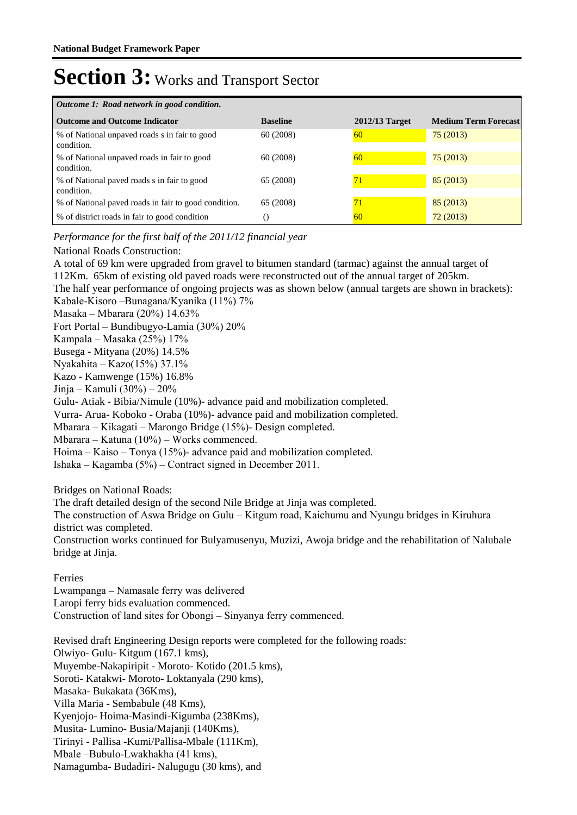| Outcome 1: Road network in good condition.                  |                 |                  |                             |  |  |
|-------------------------------------------------------------|-----------------|------------------|-----------------------------|--|--|
| <b>Outcome and Outcome Indicator</b>                        | <b>Baseline</b> | $2012/13$ Target | <b>Medium Term Forecast</b> |  |  |
| % of National unpaved roads s in fair to good<br>condition. | 60 (2008)       | 60               | 75(2013)                    |  |  |
| % of National unpaved roads in fair to good<br>condition.   | 60(2008)        | 60               | 75(2013)                    |  |  |
| % of National paved roads s in fair to good<br>condition.   | 65 (2008)       | 71               | 85(2013)                    |  |  |
| % of National paved roads in fair to good condition.        | 65 (2008)       | 71               | 85(2013)                    |  |  |
| % of district roads in fair to good condition               | 0               | 60               | 72(2013)                    |  |  |

### *Performance for the first half of the 2011/12 financial year*

#### National Roads Construction:

A total of 69 km were upgraded from gravel to bitumen standard (tarmac) against the annual target of 112Km. 65km of existing old paved roads were reconstructed out of the annual target of 205km. The half year performance of ongoing projects was as shown below (annual targets are shown in brackets): Kabale-Kisoro –Bunagana/Kyanika (11%) 7% Masaka – Mbarara (20%) 14.63% Fort Portal – Bundibugyo-Lamia (30%) 20% Kampala – Masaka (25%) 17% Busega - Mityana (20%) 14.5% Nyakahita – Kazo(15%) 37.1% Kazo - Kamwenge (15%) 16.8% Jinja – Kamuli (30%) – 20% Gulu- Atiak - Bibia/Nimule (10%)- advance paid and mobilization completed. Vurra- Arua- Koboko - Oraba (10%)- advance paid and mobilization completed. Mbarara – Kikagati – Marongo Bridge (15%)- Design completed. Mbarara – Katuna (10%) – Works commenced. Hoima – Kaiso – Tonya (15%)- advance paid and mobilization completed. Ishaka – Kagamba (5%) – Contract signed in December 2011.

Bridges on National Roads:

The draft detailed design of the second Nile Bridge at Jinja was completed.

The construction of Aswa Bridge on Gulu – Kitgum road, Kaichumu and Nyungu bridges in Kiruhura district was completed.

Construction works continued for Bulyamusenyu, Muzizi, Awoja bridge and the rehabilitation of Nalubale bridge at Jinja.

Ferries

Lwampanga – Namasale ferry was delivered Laropi ferry bids evaluation commenced. Construction of land sites for Obongi – Sinyanya ferry commenced.

Revised draft Engineering Design reports were completed for the following roads: Olwiyo- Gulu- Kitgum (167.1 kms), Muyembe-Nakapiripit - Moroto- Kotido (201.5 kms), Soroti- Katakwi- Moroto- Loktanyala (290 kms), Masaka- Bukakata (36Kms), Villa Maria - Sembabule (48 Kms), Kyenjojo- Hoima-Masindi-Kigumba (238Kms), Musita- Lumino- Busia/Majanji (140Kms), Tirinyi - Pallisa -Kumi/Pallisa-Mbale (111Km), Mbale –Bubulo-Lwakhakha (41 kms), Namagumba- Budadiri- Nalugugu (30 kms), and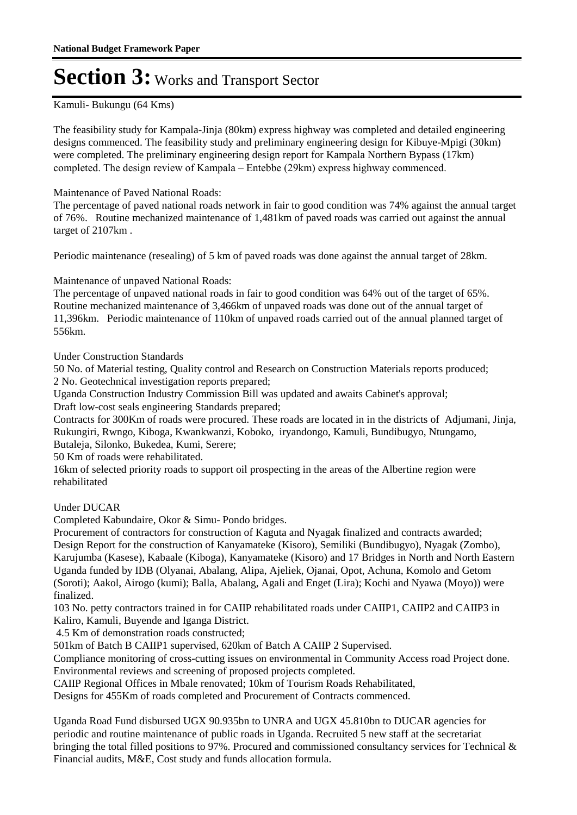#### Kamuli- Bukungu (64 Kms)

The feasibility study for Kampala-Jinja (80km) express highway was completed and detailed engineering designs commenced. The feasibility study and preliminary engineering design for Kibuye-Mpigi (30km) were completed. The preliminary engineering design report for Kampala Northern Bypass (17km) completed. The design review of Kampala – Entebbe (29km) express highway commenced.

Maintenance of Paved National Roads:

The percentage of paved national roads network in fair to good condition was 74% against the annual target of 76%. Routine mechanized maintenance of 1,481km of paved roads was carried out against the annual target of 2107km .

Periodic maintenance (resealing) of 5 km of paved roads was done against the annual target of 28km.

Maintenance of unpaved National Roads:

The percentage of unpaved national roads in fair to good condition was 64% out of the target of 65%. Routine mechanized maintenance of 3,466km of unpaved roads was done out of the annual target of 11,396km. Periodic maintenance of 110km of unpaved roads carried out of the annual planned target of 556km.

Under Construction Standards

50 No. of Material testing, Quality control and Research on Construction Materials reports produced; 2 No. Geotechnical investigation reports prepared;

Uganda Construction Industry Commission Bill was updated and awaits Cabinet's approval; Draft low-cost seals engineering Standards prepared;

Contracts for 300Km of roads were procured. These roads are located in in the districts of Adjumani, Jinja, Rukungiri, Rwngo, Kiboga, Kwankwanzi, Koboko, iryandongo, Kamuli, Bundibugyo, Ntungamo, Butaleja, Silonko, Bukedea, Kumi, Serere;

50 Km of roads were rehabilitated.

16km of selected priority roads to support oil prospecting in the areas of the Albertine region were rehabilitated

Under DUCAR

Completed Kabundaire, Okor & Simu- Pondo bridges.

Procurement of contractors for construction of Kaguta and Nyagak finalized and contracts awarded; Design Report for the construction of Kanyamateke (Kisoro), Semiliki (Bundibugyo), Nyagak (Zombo), Karujumba (Kasese), Kabaale (Kiboga), Kanyamateke (Kisoro) and 17 Bridges in North and North Eastern Uganda funded by IDB (Olyanai, Abalang, Alipa, Ajeliek, Ojanai, Opot, Achuna, Komolo and Getom (Soroti); Aakol, Airogo (kumi); Balla, Abalang, Agali and Enget (Lira); Kochi and Nyawa (Moyo)) were finalized.

103 No. petty contractors trained in for CAIIP rehabilitated roads under CAIIP1, CAIIP2 and CAIIP3 in Kaliro, Kamuli, Buyende and Iganga District.

4.5 Km of demonstration roads constructed;

501km of Batch B CAIIP1 supervised, 620km of Batch A CAIIP 2 Supervised.

Compliance monitoring of cross-cutting issues on environmental in Community Access road Project done. Environmental reviews and screening of proposed projects completed.

CAIIP Regional Offices in Mbale renovated; 10km of Tourism Roads Rehabilitated,

Designs for 455Km of roads completed and Procurement of Contracts commenced.

Uganda Road Fund disbursed UGX 90.935bn to UNRA and UGX 45.810bn to DUCAR agencies for periodic and routine maintenance of public roads in Uganda. Recruited 5 new staff at the secretariat bringing the total filled positions to 97%. Procured and commissioned consultancy services for Technical & Financial audits, M&E, Cost study and funds allocation formula.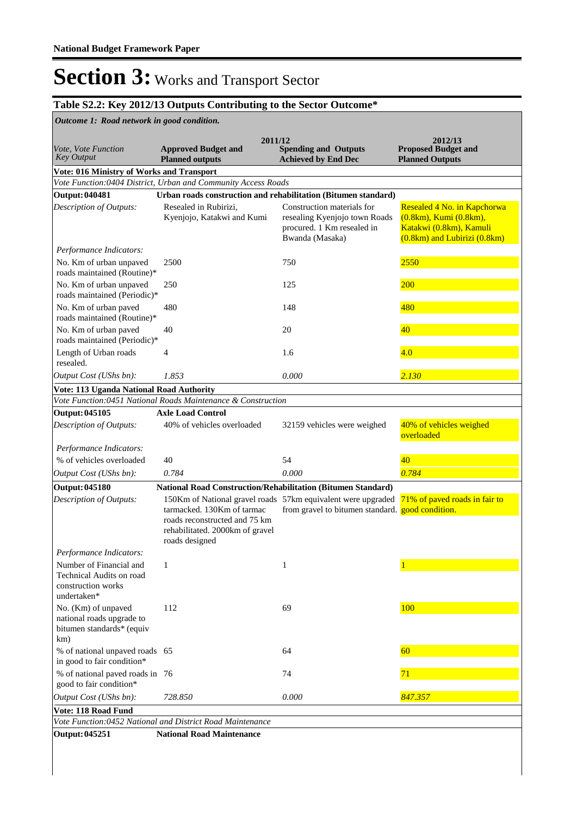### **Table S2.2: Key 2012/13 Outputs Contributing to the Sector Outcome\***

**Spending and Outputs Achieved by End Dec Approved Budget and Planned outputs Proposed Budget and Planned Outputs 2011/12** *Vote, Vote Function Key Output* **2012/13** *Outcome 1: Road network in good condition.* **Vote: 016 Ministry of Works and Transport** *Vote Function:0404 District, Urban and Community Access Roads* **Output: 040481 Urban roads construction and rehabilitation (Bitumen standard)** Resealed in Rubirizi, Kyenjojo, Katakwi and Kumi Construction materials for resealing Kyenjojo town Roads procured. 1 Km resealed in Bwanda (Masaka) Resealed 4 No. in Kapchorwa (0.8km), Kumi (0.8km), Katakwi (0.8km), Kamuli (0.8km) and Lubirizi (0.8km) *Output Cost (UShs bn): 1.853 0.000 2.130 Description of Outputs: Performance Indicators:* No. Km of urban unpaved roads maintained (Routine)\* 2500 750 2550 No. Km of urban unpaved roads maintained (Periodic)\* 250 **260 260 260 260** No. Km of urban paved roads maintained (Routine)\* 480 148 **148** 148 No. Km of urban paved roads maintained (Periodic)\* 40 20 20 40 Length of Urban roads resealed. 4 1.6 1.6 1.6 **Vote: 113 Uganda National Road Authority** *Vote Function:0451 National Roads Maintenance & Construction* **Output: 045105 Axle Load Control** 40% of vehicles overloaded 32159 vehicles were weighed 40% of vehicles weighed overloaded *Output Cost (UShs bn): 0.784 0.000 0.784 Description of Outputs: Performance Indicators:* % of vehicles overloaded  $40 \t\t 54$  54  $40$ **Output: 045180 National Road Construction/Rehabilitation (Bitumen Standard)** 150Km of National gravel roads 57km equivalent were upgraded 71% of paved roads in fair to tarmacked. 130Km of tarmac roads reconstructed and 75 km rehabilitated. 2000km of gravel roads designed from gravel to bitumen standard. good condition. *Output Cost (UShs bn): 728.850 0.000 847.357 Description of Outputs: Performance Indicators:* Number of Financial and Technical Audits on road construction works undertaken\* 1 1 1 No. (Km) of unpaved national roads upgrade to bitumen standards\* (equiv km) 112 69 100 % of national unpaved roads in good to fair condition\* 65 64 64 % of national paved roads in good to fair condition\* 76 74 71 **Vote: 118 Road Fund** *Vote Function:0452 National and District Road Maintenance*

**Output: 045251 National Road Maintenance**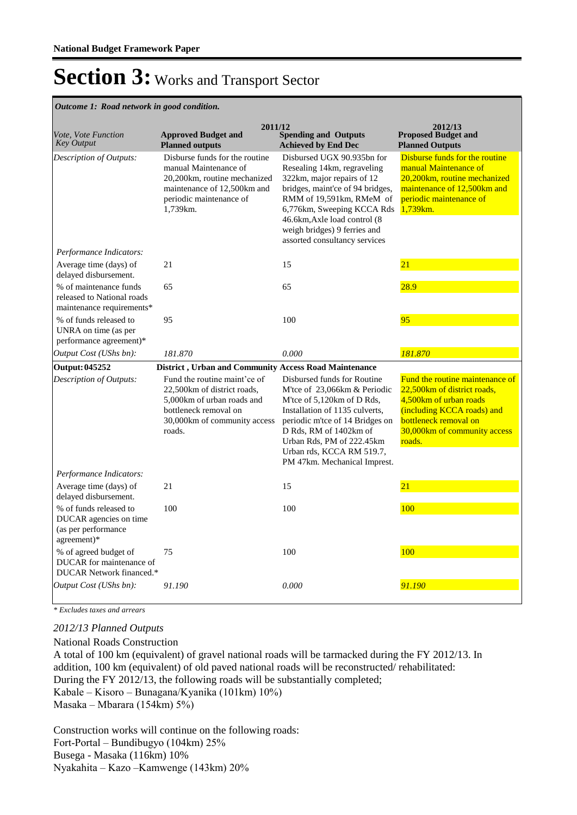*Outcome 1: Road network in good condition.*

| Vote, Vote Function<br><b>Key Output</b>                                               | 2011/12<br><b>Approved Budget and</b><br><b>Planned outputs</b>                                                                                               | <b>Spending and Outputs</b><br><b>Achieved by End Dec</b>                                                                                                                                                                                                                               | 2012/13<br><b>Proposed Budget and</b><br><b>Planned Outputs</b>                                                                                                                             |
|----------------------------------------------------------------------------------------|---------------------------------------------------------------------------------------------------------------------------------------------------------------|-----------------------------------------------------------------------------------------------------------------------------------------------------------------------------------------------------------------------------------------------------------------------------------------|---------------------------------------------------------------------------------------------------------------------------------------------------------------------------------------------|
| Description of Outputs:                                                                | Disburse funds for the routine<br>manual Maintenance of<br>20,200km, routine mechanized<br>maintenance of 12,500km and<br>periodic maintenance of<br>1,739km. | Disbursed UGX 90.935bn for<br>Resealing 14km, regraveling<br>322km, major repairs of 12<br>bridges, maint'ce of 94 bridges,<br>RMM of 19,591km, RMeM of<br>6,776km, Sweeping KCCA Rds<br>46.6km, Axle load control (8)<br>weigh bridges) 9 ferries and<br>assorted consultancy services | Disburse funds for the routine<br>manual Maintenance of<br>20,200km, routine mechanized<br>maintenance of 12,500km and<br>periodic maintenance of<br>1,739km.                               |
| Performance Indicators:                                                                |                                                                                                                                                               |                                                                                                                                                                                                                                                                                         |                                                                                                                                                                                             |
| Average time (days) of<br>delayed disbursement.                                        | 21                                                                                                                                                            | 15                                                                                                                                                                                                                                                                                      | 21                                                                                                                                                                                          |
| % of maintenance funds<br>released to National roads<br>maintenance requirements*      | 65                                                                                                                                                            | 65                                                                                                                                                                                                                                                                                      | 28.9                                                                                                                                                                                        |
| % of funds released to<br>UNRA on time (as per<br>performance agreement)*              | 95                                                                                                                                                            | 100                                                                                                                                                                                                                                                                                     | 95                                                                                                                                                                                          |
| Output Cost (UShs bn):                                                                 | 181.870                                                                                                                                                       | 0.000                                                                                                                                                                                                                                                                                   | 181.870                                                                                                                                                                                     |
| <b>Output: 045252</b>                                                                  | District, Urban and Community Access Road Maintenance                                                                                                         |                                                                                                                                                                                                                                                                                         |                                                                                                                                                                                             |
| Description of Outputs:                                                                | Fund the routine maint'ce of<br>22,500km of district roads,<br>5,000km of urban roads and<br>bottleneck removal on<br>30,000km of community access<br>roads.  | Disbursed funds for Routine<br>M'tce of 23,066km & Periodic<br>M'tce of 5,120km of D Rds,<br>Installation of 1135 culverts,<br>periodic m'tce of 14 Bridges on<br>D Rds, RM of 1402km of<br>Urban Rds, PM of 222.45km<br>Urban rds, KCCA RM 519.7,<br>PM 47km. Mechanical Imprest.      | Fund the routine maintenance of<br>22,500 km of district roads,<br>4.500 km of urban roads<br>(including KCCA roads) and<br>bottleneck removal on<br>30,000km of community access<br>roads. |
| Performance Indicators:                                                                |                                                                                                                                                               |                                                                                                                                                                                                                                                                                         |                                                                                                                                                                                             |
| Average time (days) of<br>delayed disbursement.                                        | 21                                                                                                                                                            | 15                                                                                                                                                                                                                                                                                      | 21                                                                                                                                                                                          |
| % of funds released to<br>DUCAR agencies on time<br>(as per performance<br>agreement)* | 100                                                                                                                                                           | 100                                                                                                                                                                                                                                                                                     | 100                                                                                                                                                                                         |
| % of agreed budget of<br>DUCAR for maintenance of<br>DUCAR Network financed.*          | 75                                                                                                                                                            | 100                                                                                                                                                                                                                                                                                     | 100                                                                                                                                                                                         |
| Output Cost (UShs bn):                                                                 | 91.190                                                                                                                                                        | 0.000                                                                                                                                                                                                                                                                                   | 91.190                                                                                                                                                                                      |

*\* Excludes taxes and arrears*

#### *2012/13 Planned Outputs*

National Roads Construction A total of 100 km (equivalent) of gravel national roads will be tarmacked during the FY 2012/13. In addition, 100 km (equivalent) of old paved national roads will be reconstructed/ rehabilitated: During the FY 2012/13, the following roads will be substantially completed; Kabale – Kisoro – Bunagana/Kyanika (101km) 10%) Masaka – Mbarara (154km) 5%)

Construction works will continue on the following roads: Fort-Portal – Bundibugyo (104km) 25% Busega - Masaka (116km) 10% Nyakahita – Kazo –Kamwenge (143km) 20%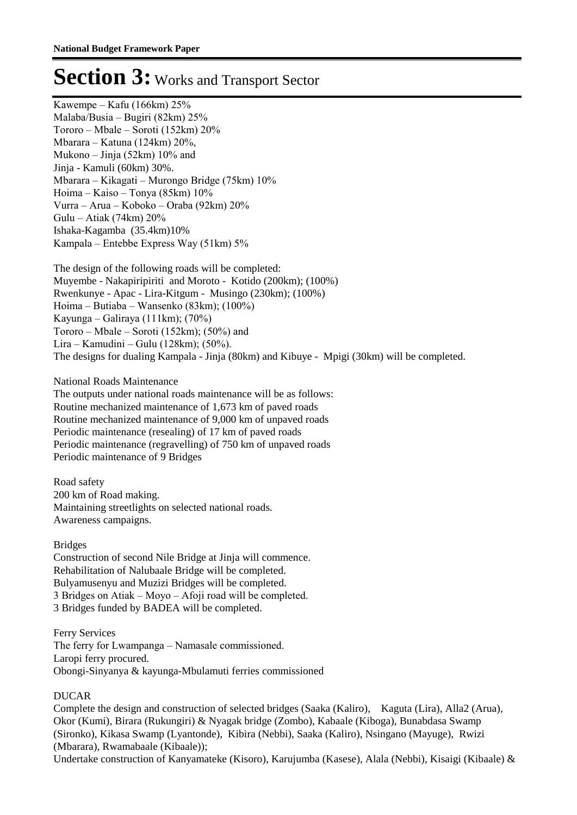Kawempe – Kafu (166km) 25% Malaba/Busia – Bugiri (82km) 25% Tororo – Mbale – Soroti (152km) 20% Mbarara – Katuna (124km) 20%, Mukono – Jinja (52km) 10% and Jinja - Kamuli (60km) 30%. Mbarara – Kikagati – Murongo Bridge (75km) 10% Hoima – Kaiso – Tonya (85km) 10% Vurra – Arua – Koboko – Oraba (92km) 20% Gulu – Atiak (74km) 20% Ishaka-Kagamba (35.4km)10% Kampala – Entebbe Express Way (51km) 5%

The design of the following roads will be completed: Muyembe - Nakapiripiriti and Moroto - Kotido (200km); (100%) Rwenkunye - Apac - Lira-Kitgum - Musingo (230km); (100%) Hoima – Butiaba – Wansenko (83km); (100%) Kayunga – Galiraya (111km); (70%) Tororo – Mbale – Soroti (152km); (50%) and Lira – Kamudini – Gulu (128km); (50%). The designs for dualing Kampala - Jinja (80km) and Kibuye - Mpigi (30km) will be completed.

National Roads Maintenance The outputs under national roads maintenance will be as follows: Routine mechanized maintenance of 1,673 km of paved roads Routine mechanized maintenance of 9,000 km of unpaved roads Periodic maintenance (resealing) of 17 km of paved roads Periodic maintenance (regravelling) of 750 km of unpaved roads

Periodic maintenance of 9 Bridges

Road safety 200 km of Road making. Maintaining streetlights on selected national roads. Awareness campaigns.

#### Bridges

Construction of second Nile Bridge at Jinja will commence. Rehabilitation of Nalubaale Bridge will be completed. Bulyamusenyu and Muzizi Bridges will be completed. 3 Bridges on Atiak – Moyo – Afoji road will be completed. 3 Bridges funded by BADEA will be completed.

Ferry Services The ferry for Lwampanga – Namasale commissioned. Laropi ferry procured. Obongi-Sinyanya & kayunga-Mbulamuti ferries commissioned

### DUCAR

Complete the design and construction of selected bridges (Saaka (Kaliro), Kaguta (Lira), Alla2 (Arua), Okor (Kumi), Birara (Rukungiri) & Nyagak bridge (Zombo), Kabaale (Kiboga), Bunabdasa Swamp (Sironko), Kikasa Swamp (Lyantonde), Kibira (Nebbi), Saaka (Kaliro), Nsingano (Mayuge), Rwizi (Mbarara), Rwamabaale (Kibaale));

Undertake construction of Kanyamateke (Kisoro), Karujumba (Kasese), Alala (Nebbi), Kisaigi (Kibaale) &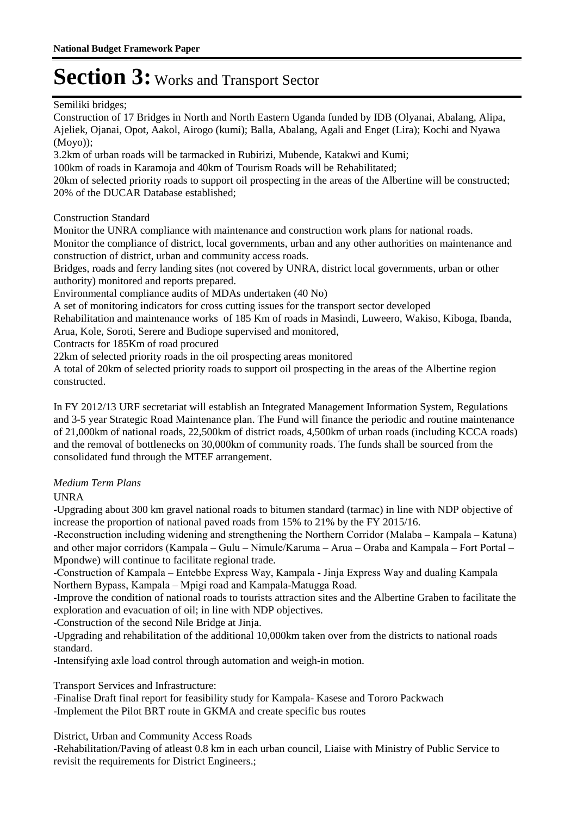Semiliki bridges;

Construction of 17 Bridges in North and North Eastern Uganda funded by IDB (Olyanai, Abalang, Alipa, Ajeliek, Ojanai, Opot, Aakol, Airogo (kumi); Balla, Abalang, Agali and Enget (Lira); Kochi and Nyawa (Moyo));

3.2km of urban roads will be tarmacked in Rubirizi, Mubende, Katakwi and Kumi;

100km of roads in Karamoja and 40km of Tourism Roads will be Rehabilitated;

20km of selected priority roads to support oil prospecting in the areas of the Albertine will be constructed; 20% of the DUCAR Database established;

Construction Standard

Monitor the UNRA compliance with maintenance and construction work plans for national roads. Monitor the compliance of district, local governments, urban and any other authorities on maintenance and construction of district, urban and community access roads.

Bridges, roads and ferry landing sites (not covered by UNRA, district local governments, urban or other authority) monitored and reports prepared.

Environmental compliance audits of MDAs undertaken (40 No)

A set of monitoring indicators for cross cutting issues for the transport sector developed

Rehabilitation and maintenance works of 185 Km of roads in Masindi, Luweero, Wakiso, Kiboga, Ibanda, Arua, Kole, Soroti, Serere and Budiope supervised and monitored,

Contracts for 185Km of road procured

22km of selected priority roads in the oil prospecting areas monitored

A total of 20km of selected priority roads to support oil prospecting in the areas of the Albertine region constructed.

In FY 2012/13 URF secretariat will establish an Integrated Management Information System, Regulations and 3-5 year Strategic Road Maintenance plan. The Fund will finance the periodic and routine maintenance of 21,000km of national roads, 22,500km of district roads, 4,500km of urban roads (including KCCA roads) and the removal of bottlenecks on 30,000km of community roads. The funds shall be sourced from the consolidated fund through the MTEF arrangement.

### *Medium Term Plans*

UNRA

-Upgrading about 300 km gravel national roads to bitumen standard (tarmac) in line with NDP objective of increase the proportion of national paved roads from 15% to 21% by the FY 2015/16.

-Reconstruction including widening and strengthening the Northern Corridor (Malaba – Kampala – Katuna) and other major corridors (Kampala – Gulu – Nimule/Karuma – Arua – Oraba and Kampala – Fort Portal – Mpondwe) will continue to facilitate regional trade.

-Construction of Kampala – Entebbe Express Way, Kampala - Jinja Express Way and dualing Kampala Northern Bypass, Kampala – Mpigi road and Kampala-Matugga Road.

-Improve the condition of national roads to tourists attraction sites and the Albertine Graben to facilitate the exploration and evacuation of oil; in line with NDP objectives.

-Construction of the second Nile Bridge at Jinja.

-Upgrading and rehabilitation of the additional 10,000km taken over from the districts to national roads standard.

-Intensifying axle load control through automation and weigh-in motion.

Transport Services and Infrastructure:

-Finalise Draft final report for feasibility study for Kampala- Kasese and Tororo Packwach -Implement the Pilot BRT route in GKMA and create specific bus routes

District, Urban and Community Access Roads

-Rehabilitation/Paving of atleast 0.8 km in each urban council, Liaise with Ministry of Public Service to revisit the requirements for District Engineers.;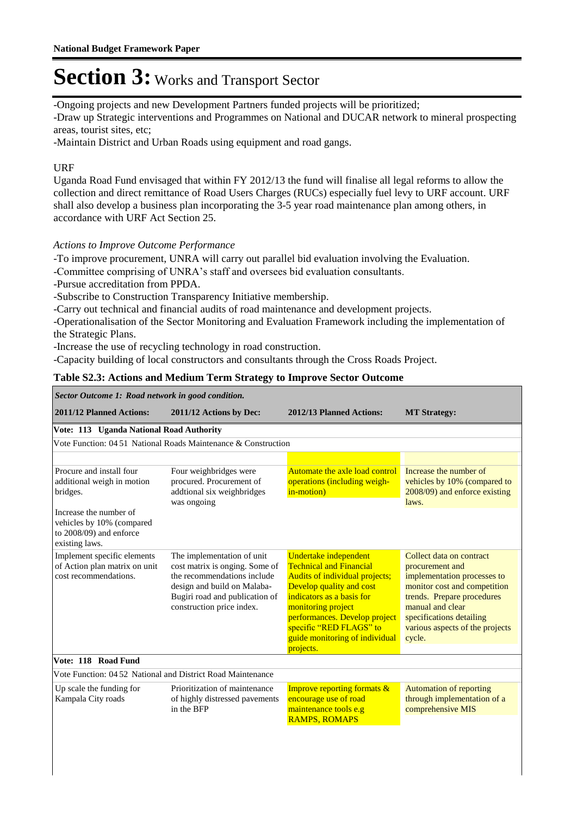-Ongoing projects and new Development Partners funded projects will be prioritized;

-Draw up Strategic interventions and Programmes on National and DUCAR network to mineral prospecting areas, tourist sites, etc;

-Maintain District and Urban Roads using equipment and road gangs.

### URF

Uganda Road Fund envisaged that within FY 2012/13 the fund will finalise all legal reforms to allow the collection and direct remittance of Road Users Charges (RUCs) especially fuel levy to URF account. URF shall also develop a business plan incorporating the 3-5 year road maintenance plan among others, in accordance with URF Act Section 25.

### *Actions to Improve Outcome Performance*

-To improve procurement, UNRA will carry out parallel bid evaluation involving the Evaluation.

-Committee comprising of UNRA's staff and oversees bid evaluation consultants.

-Pursue accreditation from PPDA.

-Subscribe to Construction Transparency Initiative membership.

-Carry out technical and financial audits of road maintenance and development projects.

-Operationalisation of the Sector Monitoring and Evaluation Framework including the implementation of the Strategic Plans.

-Increase the use of recycling technology in road construction.

-Capacity building of local constructors and consultants through the Cross Roads Project.

### **Table S2.3: Actions and Medium Term Strategy to Improve Sector Outcome**

| Sector Outcome 1: Road network in good condition.                                                |                                                                                                                                                                                           |                                                                                                                                                                                                                                                                                     |                                                                                                                                                                                                                                       |  |  |  |  |
|--------------------------------------------------------------------------------------------------|-------------------------------------------------------------------------------------------------------------------------------------------------------------------------------------------|-------------------------------------------------------------------------------------------------------------------------------------------------------------------------------------------------------------------------------------------------------------------------------------|---------------------------------------------------------------------------------------------------------------------------------------------------------------------------------------------------------------------------------------|--|--|--|--|
| 2011/12 Planned Actions:                                                                         | 2011/12 Actions by Dec:                                                                                                                                                                   | 2012/13 Planned Actions:                                                                                                                                                                                                                                                            | <b>MT Strategy:</b>                                                                                                                                                                                                                   |  |  |  |  |
| Vote: 113 Uganda National Road Authority                                                         |                                                                                                                                                                                           |                                                                                                                                                                                                                                                                                     |                                                                                                                                                                                                                                       |  |  |  |  |
|                                                                                                  | Vote Function: 04 51 National Roads Maintenance & Construction                                                                                                                            |                                                                                                                                                                                                                                                                                     |                                                                                                                                                                                                                                       |  |  |  |  |
|                                                                                                  |                                                                                                                                                                                           |                                                                                                                                                                                                                                                                                     |                                                                                                                                                                                                                                       |  |  |  |  |
| Procure and install four<br>additional weigh in motion<br>bridges.                               | Four weighbridges were<br>procured. Procurement of<br>addtional six weighbridges<br>was ongoing                                                                                           | Automate the axle load control<br>operations (including weigh-<br>in-motion)                                                                                                                                                                                                        | Increase the number of<br>vehicles by 10% (compared to<br>2008/09) and enforce existing<br>laws.                                                                                                                                      |  |  |  |  |
| Increase the number of<br>vehicles by 10% (compared<br>to 2008/09) and enforce<br>existing laws. |                                                                                                                                                                                           |                                                                                                                                                                                                                                                                                     |                                                                                                                                                                                                                                       |  |  |  |  |
| Implement specific elements<br>of Action plan matrix on unit<br>cost recommendations.            | The implementation of unit<br>cost matrix is onging. Some of<br>the recommendations include<br>design and build on Malaba-<br>Bugiri road and publication of<br>construction price index. | Undertake independent<br><b>Technical and Financial</b><br>Audits of individual projects;<br>Develop quality and cost<br>indicators as a basis for<br>monitoring project<br>performances. Develop project<br>specific "RED FLAGS" to<br>guide monitoring of individual<br>projects. | Collect data on contract<br>procurement and<br>implementation processes to<br>monitor cost and competition<br>trends. Prepare procedures<br>manual and clear<br>specifications detailing<br>various aspects of the projects<br>cycle. |  |  |  |  |
| Vote: 118 Road Fund                                                                              |                                                                                                                                                                                           |                                                                                                                                                                                                                                                                                     |                                                                                                                                                                                                                                       |  |  |  |  |
| Vote Function: 04.52 National and District Road Maintenance                                      |                                                                                                                                                                                           |                                                                                                                                                                                                                                                                                     |                                                                                                                                                                                                                                       |  |  |  |  |
| Up scale the funding for<br>Kampala City roads                                                   | Prioritization of maintenance<br>of highly distressed pavements<br>in the BFP                                                                                                             | Improve reporting formats &<br>encourage use of road<br>maintenance tools e.g<br><b>RAMPS, ROMAPS</b>                                                                                                                                                                               | <b>Automation of reporting</b><br>through implementation of a<br>comprehensive MIS                                                                                                                                                    |  |  |  |  |
|                                                                                                  |                                                                                                                                                                                           |                                                                                                                                                                                                                                                                                     |                                                                                                                                                                                                                                       |  |  |  |  |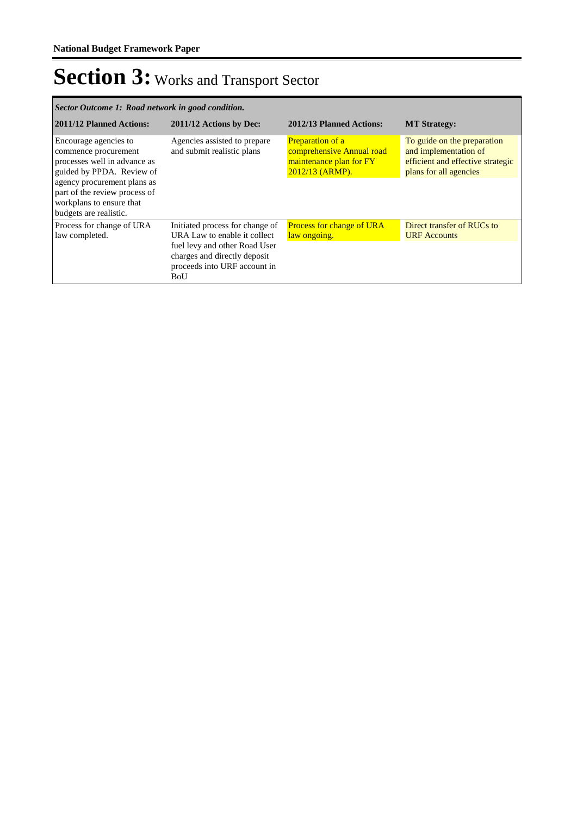| Sector Outcome 1: Road network in good condition.                                                                                                                                                                                |                                                                                                                                                                         |                                                                                                      |                                                                                                                     |  |  |  |
|----------------------------------------------------------------------------------------------------------------------------------------------------------------------------------------------------------------------------------|-------------------------------------------------------------------------------------------------------------------------------------------------------------------------|------------------------------------------------------------------------------------------------------|---------------------------------------------------------------------------------------------------------------------|--|--|--|
| 2011/12 Planned Actions:                                                                                                                                                                                                         | 2011/12 Actions by Dec:                                                                                                                                                 | 2012/13 Planned Actions:                                                                             | <b>MT Strategy:</b>                                                                                                 |  |  |  |
| Encourage agencies to<br>commence procurement<br>processes well in advance as<br>guided by PPDA. Review of<br>agency procurement plans as<br>part of the review process of<br>workplans to ensure that<br>budgets are realistic. | Agencies assisted to prepare<br>and submit realistic plans                                                                                                              | <b>Preparation of a</b><br>comprehensive Annual road<br>maintenance plan for FY<br>$2012/13$ (ARMP). | To guide on the preparation<br>and implementation of<br>efficient and effective strategic<br>plans for all agencies |  |  |  |
| Process for change of URA<br>law completed.                                                                                                                                                                                      | Initiated process for change of<br>URA Law to enable it collect<br>fuel levy and other Road User<br>charges and directly deposit<br>proceeds into URF account in<br>BoU | Process for change of URA<br>law ongoing.                                                            | Direct transfer of RUCs to<br><b>URF</b> Accounts                                                                   |  |  |  |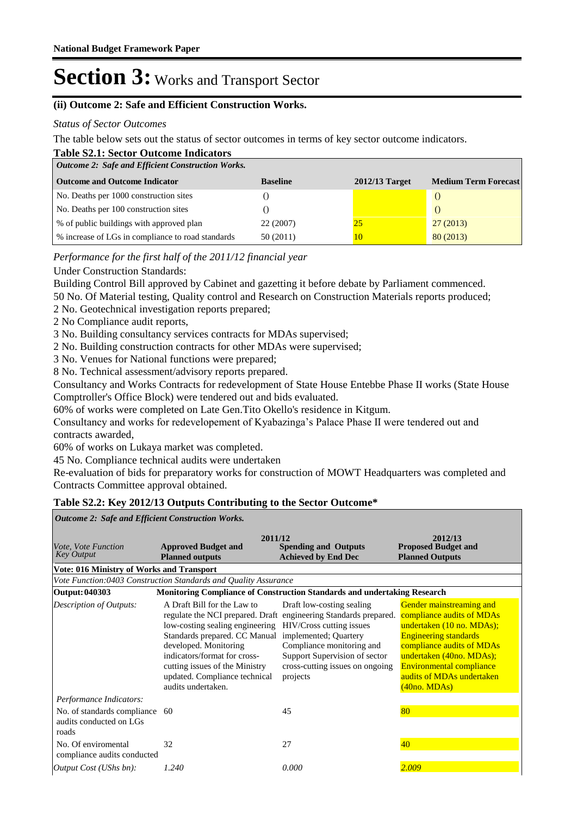#### **(ii) Outcome 2: Safe and Efficient Construction Works.**

#### *Status of Sector Outcomes*

The table below sets out the status of sector outcomes in terms of key sector outcome indicators.

|  | <b>Table S2.1: Sector Outcome Indicators</b> |  |  |  |  |  |
|--|----------------------------------------------|--|--|--|--|--|
|  |                                              |  |  |  |  |  |

| <b>Outcome 2: Safe and Efficient Construction Works.</b> |                 |                  |                             |  |
|----------------------------------------------------------|-----------------|------------------|-----------------------------|--|
| <b>Outcome and Outcome Indicator</b>                     | <b>Baseline</b> | $2012/13$ Target | <b>Medium Term Forecast</b> |  |
| No. Deaths per 1000 construction sites                   |                 |                  |                             |  |
| No. Deaths per 100 construction sites                    |                 |                  |                             |  |
| % of public buildings with approved plan                 | 22 (2007)       | 25               | 27(2013)                    |  |
| % increase of LGs in compliance to road standards        | 50 (2011)       | 10               | 80(2013)                    |  |

*Performance for the first half of the 2011/12 financial year*

#### Under Construction Standards:

Building Control Bill approved by Cabinet and gazetting it before debate by Parliament commenced.

50 No. Of Material testing, Quality control and Research on Construction Materials reports produced;

2 No. Geotechnical investigation reports prepared;

2 No Compliance audit reports,

3 No. Building consultancy services contracts for MDAs supervised;

2 No. Building construction contracts for other MDAs were supervised;

3 No. Venues for National functions were prepared;

8 No. Technical assessment/advisory reports prepared.

Consultancy and Works Contracts for redevelopment of State House Entebbe Phase II works (State House Comptroller's Office Block) were tendered out and bids evaluated.

60% of works were completed on Late Gen.Tito Okello's residence in Kitgum.

Consultancy and works for redevelopement of Kyabazinga's Palace Phase II were tendered out and contracts awarded,

60% of works on Lukaya market was completed.

45 No. Compliance technical audits were undertaken

Re-evaluation of bids for preparatory works for construction of MOWT Headquarters was completed and Contracts Committee approval obtained.

#### **Table S2.2: Key 2012/13 Outputs Contributing to the Sector Outcome\***

**Spending and Outputs Achieved by End Dec Approved Budget and Planned outputs Proposed Budget and Planned Outputs 2011/12** *Vote, Vote Function Key Output* **2012/13** *Outcome 2: Safe and Efficient Construction Works.* **Vote: 016 Ministry of Works and Transport** *Vote Function:0403 Construction Standards and Quality Assurance* **Output: 040303 Monitoring Compliance of Construction Standards and undertaking Research** A Draft Bill for the Law to regulate the NCI prepared. Draft engineering Standards prepared. low-costing sealing engineering HIV/Cross cutting issues Standards prepared. CC Manual implemented; Quartery developed. Monitoring indicators/format for crosscutting issues of the Ministry updated. Compliance technical audits undertaken. Draft low-costing sealing Compliance monitoring and Support Supervision of sector cross-cutting issues on ongoing projects Gender mainstreaming and compliance audits of MDAs undertaken (10 no. MDAs); Engineering standards compliance audits of MDAs undertaken (40no. MDAs); Environmental compliance audits of MDAs undertaken (40no. MDAs) *Output Cost (UShs bn): 1.240 0.000 2.009 Description of Outputs: Performance Indicators:* No. of standards compliance 60 audits conducted on LGs roads 60 45 80 No. Of enviromental compliance audits conducted 32 27 29 27  $\frac{40}{10}$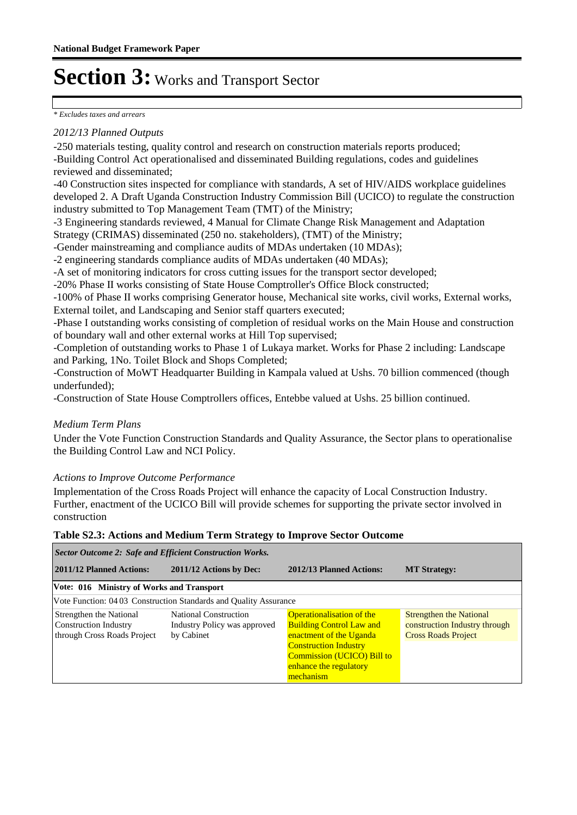#### *\* Excludes taxes and arrears*

#### *2012/13 Planned Outputs*

-250 materials testing, quality control and research on construction materials reports produced; -Building Control Act operationalised and disseminated Building regulations, codes and guidelines reviewed and disseminated;

-40 Construction sites inspected for compliance with standards, A set of HIV/AIDS workplace guidelines developed 2. A Draft Uganda Construction Industry Commission Bill (UCICO) to regulate the construction industry submitted to Top Management Team (TMT) of the Ministry;

-3 Engineering standards reviewed, 4 Manual for Climate Change Risk Management and Adaptation Strategy (CRIMAS) disseminated (250 no. stakeholders), (TMT) of the Ministry;

-Gender mainstreaming and compliance audits of MDAs undertaken (10 MDAs);

-2 engineering standards compliance audits of MDAs undertaken (40 MDAs);

-A set of monitoring indicators for cross cutting issues for the transport sector developed;

-20% Phase II works consisting of State House Comptroller's Office Block constructed;

-100% of Phase II works comprising Generator house, Mechanical site works, civil works, External works, External toilet, and Landscaping and Senior staff quarters executed;

-Phase I outstanding works consisting of completion of residual works on the Main House and construction of boundary wall and other external works at Hill Top supervised;

-Completion of outstanding works to Phase 1 of Lukaya market. Works for Phase 2 including: Landscape and Parking, 1No. Toilet Block and Shops Completed;

-Construction of MoWT Headquarter Building in Kampala valued at Ushs. 70 billion commenced (though underfunded);

-Construction of State House Comptrollers offices, Entebbe valued at Ushs. 25 billion continued.

### *Medium Term Plans*

Under the Vote Function Construction Standards and Quality Assurance, the Sector plans to operationalise the Building Control Law and NCI Policy.

#### *Actions to Improve Outcome Performance*

Implementation of the Cross Roads Project will enhance the capacity of Local Construction Industry. Further, enactment of the UCICO Bill will provide schemes for supporting the private sector involved in construction

#### **Table S2.3: Actions and Medium Term Strategy to Improve Sector Outcome**

| Sector Outcome 2: Safe and Efficient Construction Works.                               |                                                                     |                                                                                                                                                                                                     |                                                                                               |  |  |
|----------------------------------------------------------------------------------------|---------------------------------------------------------------------|-----------------------------------------------------------------------------------------------------------------------------------------------------------------------------------------------------|-----------------------------------------------------------------------------------------------|--|--|
| 2011/12 Planned Actions:                                                               | 2011/12 Actions by Dec:                                             | 2012/13 Planned Actions:                                                                                                                                                                            | <b>MT Strategy:</b>                                                                           |  |  |
| Vote: 016 Ministry of Works and Transport                                              |                                                                     |                                                                                                                                                                                                     |                                                                                               |  |  |
|                                                                                        | Vote Function: 04 03 Construction Standards and Quality Assurance   |                                                                                                                                                                                                     |                                                                                               |  |  |
| Strengthen the National<br><b>Construction Industry</b><br>through Cross Roads Project | National Construction<br>Industry Policy was approved<br>by Cabinet | Operationalisation of the<br><b>Building Control Law and</b><br>enactment of the Uganda<br><b>Construction Industry</b><br><b>Commission (UCICO) Bill to</b><br>enhance the regulatory<br>mechanism | <b>Strengthen the National</b><br>construction Industry through<br><b>Cross Roads Project</b> |  |  |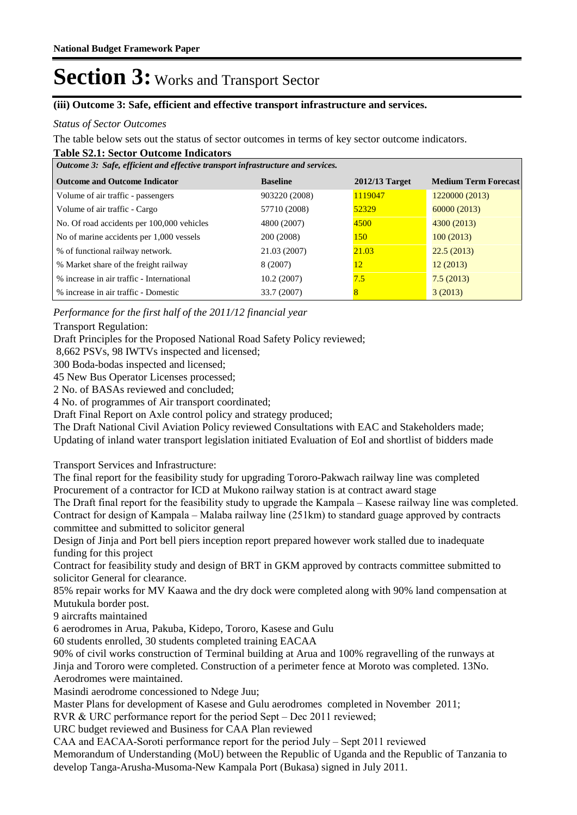#### **(iii) Outcome 3: Safe, efficient and effective transport infrastructure and services.**

#### *Status of Sector Outcomes*

The table below sets out the status of sector outcomes in terms of key sector outcome indicators.

#### **Table S2.1: Sector Outcome Indicators**

| Outcome 3: Safe, efficient and effective transport infrastructure and services. |                 |                  |                             |  |  |
|---------------------------------------------------------------------------------|-----------------|------------------|-----------------------------|--|--|
| <b>Outcome and Outcome Indicator</b>                                            | <b>Baseline</b> | $2012/13$ Target | <b>Medium Term Forecast</b> |  |  |
| Volume of air traffic - passengers                                              | 903220 (2008)   | 1119047          | 1220000 (2013)              |  |  |
| Volume of air traffic - Cargo                                                   | 57710 (2008)    | 52329            | 60000(2013)                 |  |  |
| No. Of road accidents per 100,000 vehicles                                      | 4800 (2007)     | 4500             | 4300 (2013)                 |  |  |
| No of marine accidents per 1,000 vessels                                        | 200 (2008)      | <b>150</b>       | 100(2013)                   |  |  |
| % of functional railway network.                                                | 21.03 (2007)    | 21.03            | 22.5(2013)                  |  |  |
| % Market share of the freight railway                                           | 8 (2007)        | 12               | 12(2013)                    |  |  |
| % increase in air traffic - International                                       | 10.2(2007)      | 7.5              | 7.5(2013)                   |  |  |
| % increase in air traffic - Domestic                                            | 33.7 (2007)     | $\overline{8}$   | 3(2013)                     |  |  |

*Performance for the first half of the 2011/12 financial year*

#### Transport Regulation:

Draft Principles for the Proposed National Road Safety Policy reviewed;

8,662 PSVs, 98 IWTVs inspected and licensed;

300 Boda-bodas inspected and licensed;

45 New Bus Operator Licenses processed;

2 No. of BASAs reviewed and concluded;

4 No. of programmes of Air transport coordinated;

Draft Final Report on Axle control policy and strategy produced;

The Draft National Civil Aviation Policy reviewed Consultations with EAC and Stakeholders made; Updating of inland water transport legislation initiated Evaluation of EoI and shortlist of bidders made

Transport Services and Infrastructure:

The final report for the feasibility study for upgrading Tororo-Pakwach railway line was completed Procurement of a contractor for ICD at Mukono railway station is at contract award stage

The Draft final report for the feasibility study to upgrade the Kampala – Kasese railway line was completed. Contract for design of Kampala – Malaba railway line (251km) to standard guage approved by contracts committee and submitted to solicitor general

Design of Jinja and Port bell piers inception report prepared however work stalled due to inadequate funding for this project

Contract for feasibility study and design of BRT in GKM approved by contracts committee submitted to solicitor General for clearance.

85% repair works for MV Kaawa and the dry dock were completed along with 90% land compensation at Mutukula border post.

9 aircrafts maintained

6 aerodromes in Arua, Pakuba, Kidepo, Tororo, Kasese and Gulu

60 students enrolled, 30 students completed training EACAA

90% of civil works construction of Terminal building at Arua and 100% regravelling of the runways at Jinja and Tororo were completed. Construction of a perimeter fence at Moroto was completed. 13No. Aerodromes were maintained.

Masindi aerodrome concessioned to Ndege Juu;

Master Plans for development of Kasese and Gulu aerodromes completed in November 2011;

RVR & URC performance report for the period Sept – Dec 2011 reviewed;

URC budget reviewed and Business for CAA Plan reviewed

CAA and EACAA-Soroti performance report for the period July – Sept 2011 reviewed

Memorandum of Understanding (MoU) between the Republic of Uganda and the Republic of Tanzania to develop Tanga-Arusha-Musoma-New Kampala Port (Bukasa) signed in July 2011.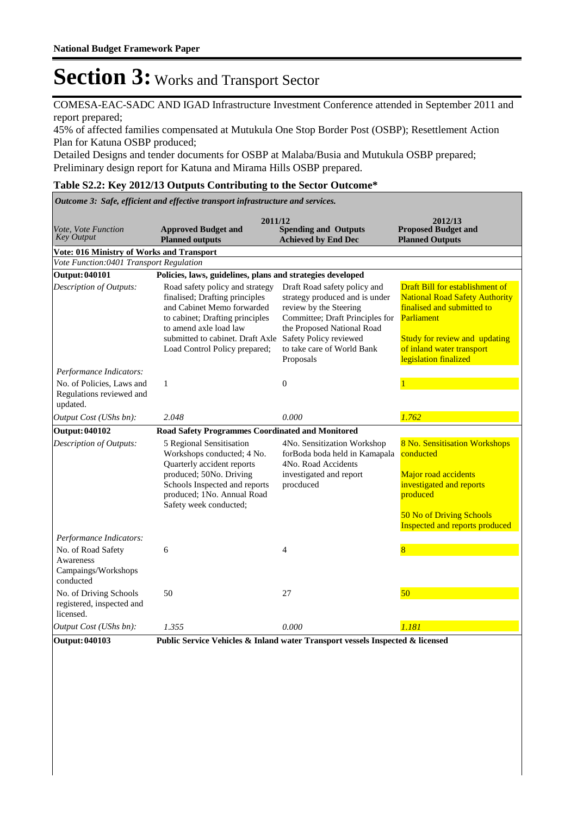COMESA-EAC-SADC AND IGAD Infrastructure Investment Conference attended in September 2011 and report prepared;

45% of affected families compensated at Mutukula One Stop Border Post (OSBP); Resettlement Action Plan for Katuna OSBP produced;

Detailed Designs and tender documents for OSBP at Malaba/Busia and Mutukula OSBP prepared; Preliminary design report for Katuna and Mirama Hills OSBP prepared.

#### **Table S2.2: Key 2012/13 Outputs Contributing to the Sector Outcome\***

*Outcome 3: Safe, efficient and effective transport infrastructure and services.*

| Vote, Vote Function<br><b>Key Output</b>                            | 2011/12<br><b>Approved Budget and</b><br><b>Planned outputs</b>                                                                                                                                                                   | <b>Spending and Outputs</b><br><b>Achieved by End Dec</b>                                                                                                                                                                      | 2012/13<br><b>Proposed Budget and</b><br><b>Planned Outputs</b>                                                                                                                                                    |
|---------------------------------------------------------------------|-----------------------------------------------------------------------------------------------------------------------------------------------------------------------------------------------------------------------------------|--------------------------------------------------------------------------------------------------------------------------------------------------------------------------------------------------------------------------------|--------------------------------------------------------------------------------------------------------------------------------------------------------------------------------------------------------------------|
| Vote: 016 Ministry of Works and Transport                           |                                                                                                                                                                                                                                   |                                                                                                                                                                                                                                |                                                                                                                                                                                                                    |
| Vote Function:0401 Transport Regulation                             |                                                                                                                                                                                                                                   |                                                                                                                                                                                                                                |                                                                                                                                                                                                                    |
| <b>Output: 040101</b>                                               | Policies, laws, guidelines, plans and strategies developed                                                                                                                                                                        |                                                                                                                                                                                                                                |                                                                                                                                                                                                                    |
| Description of Outputs:                                             | Road safety policy and strategy<br>finalised; Drafting principles<br>and Cabinet Memo forwarded<br>to cabinet; Drafting principles<br>to amend axle load law<br>submitted to cabinet. Draft Axle<br>Load Control Policy prepared; | Draft Road safety policy and<br>strategy produced and is under<br>review by the Steering<br>Committee; Draft Principles for<br>the Proposed National Road<br>Safety Policy reviewed<br>to take care of World Bank<br>Proposals | Draft Bill for establishment of<br><b>National Road Safety Authority</b><br>finalised and submitted to<br><b>Parliament</b><br>Study for review and updating<br>of inland water transport<br>legislation finalized |
| Performance Indicators:                                             |                                                                                                                                                                                                                                   |                                                                                                                                                                                                                                |                                                                                                                                                                                                                    |
| No. of Policies, Laws and<br>Regulations reviewed and<br>updated.   | 1                                                                                                                                                                                                                                 | $\mathbf{0}$                                                                                                                                                                                                                   |                                                                                                                                                                                                                    |
| Output Cost (UShs bn):                                              | 2.048                                                                                                                                                                                                                             | 0.000                                                                                                                                                                                                                          | 1.762                                                                                                                                                                                                              |
| <b>Output: 040102</b>                                               | <b>Road Safety Programmes Coordinated and Monitored</b>                                                                                                                                                                           |                                                                                                                                                                                                                                |                                                                                                                                                                                                                    |
| Description of Outputs:                                             | 5 Regional Sensitisation<br>Workshops conducted; 4 No.<br>Quarterly accident reports<br>produced; 50No. Driving<br>Schools Inspected and reports<br>produced; 1No. Annual Road<br>Safety week conducted;                          | 4No. Sensitization Workshop<br>forBoda boda held in Kamapala<br>4No. Road Accidents<br>investigated and report<br>procduced                                                                                                    | 8 No. Sensitisation Workshops<br>conducted<br>Major road accidents<br>investigated and reports<br>produced<br>50 No of Driving Schools<br>Inspected and reports produced                                           |
| Performance Indicators:                                             |                                                                                                                                                                                                                                   |                                                                                                                                                                                                                                |                                                                                                                                                                                                                    |
| No. of Road Safety<br>Awareness<br>Campaings/Workshops<br>conducted | 6                                                                                                                                                                                                                                 | $\overline{4}$                                                                                                                                                                                                                 | 8                                                                                                                                                                                                                  |
| No. of Driving Schools<br>registered, inspected and<br>licensed.    | 50                                                                                                                                                                                                                                | 27                                                                                                                                                                                                                             | 50                                                                                                                                                                                                                 |
| Output Cost (UShs bn):                                              | 1.355                                                                                                                                                                                                                             | 0.000                                                                                                                                                                                                                          | 1.181                                                                                                                                                                                                              |
| <b>Output: 040103</b>                                               | Public Service Vehicles & Inland water Transport vessels Inspected & licensed                                                                                                                                                     |                                                                                                                                                                                                                                |                                                                                                                                                                                                                    |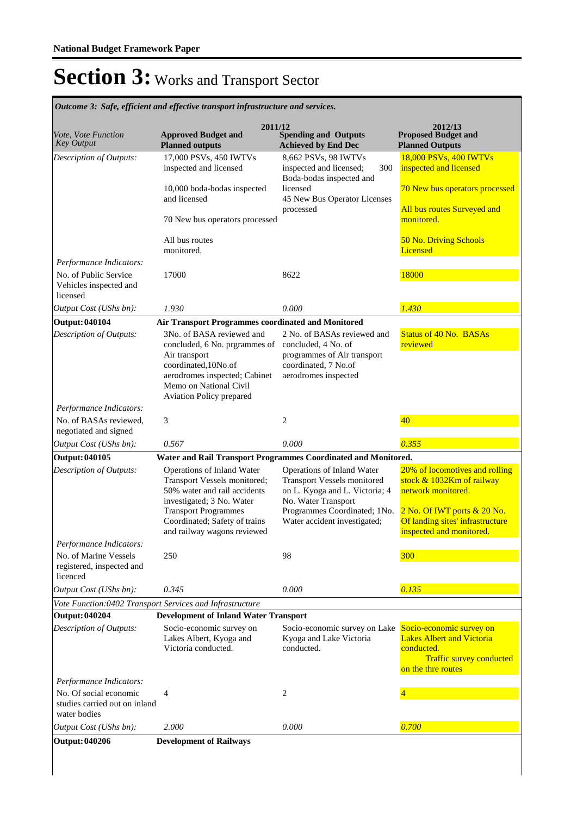| Outcome 3: Safe, efficient and effective transport infrastructure and services.        |                                                                                                                                                                                                                        |                                                                                                                                                                                           |                                                                                                                                                                                  |  |  |
|----------------------------------------------------------------------------------------|------------------------------------------------------------------------------------------------------------------------------------------------------------------------------------------------------------------------|-------------------------------------------------------------------------------------------------------------------------------------------------------------------------------------------|----------------------------------------------------------------------------------------------------------------------------------------------------------------------------------|--|--|
| <i>Vote, Vote Function</i><br>Key Output                                               | 2011/12<br><b>Approved Budget and</b><br><b>Planned outputs</b>                                                                                                                                                        | <b>Spending and Outputs</b><br><b>Achieved by End Dec</b>                                                                                                                                 | 2012/13<br><b>Proposed Budget and</b><br><b>Planned Outputs</b>                                                                                                                  |  |  |
| Description of Outputs:                                                                | 17,000 PSVs, 450 IWTVs<br>inspected and licensed<br>10,000 boda-bodas inspected                                                                                                                                        | 8,662 PSVs, 98 IWTVs<br>inspected and licensed;<br>300<br>Boda-bodas inspected and<br>licensed                                                                                            | 18,000 PSVs, 400 IWTVs<br>inspected and licensed<br>70 New bus operators processed                                                                                               |  |  |
|                                                                                        | and licensed                                                                                                                                                                                                           | 45 New Bus Operator Licenses<br>processed                                                                                                                                                 | All bus routes Surveyed and                                                                                                                                                      |  |  |
|                                                                                        | 70 New bus operators processed                                                                                                                                                                                         |                                                                                                                                                                                           | monitored.                                                                                                                                                                       |  |  |
|                                                                                        | All bus routes<br>monitored.                                                                                                                                                                                           |                                                                                                                                                                                           | 50 No. Driving Schools<br><b>Licensed</b>                                                                                                                                        |  |  |
| Performance Indicators:<br>No. of Public Service<br>Vehicles inspected and<br>licensed | 17000                                                                                                                                                                                                                  | 8622                                                                                                                                                                                      | 18000                                                                                                                                                                            |  |  |
| Output Cost (UShs bn):                                                                 | 1.930                                                                                                                                                                                                                  | 0.000                                                                                                                                                                                     | 1.430                                                                                                                                                                            |  |  |
| <b>Output: 040104</b>                                                                  | Air Transport Programmes coordinated and Monitored                                                                                                                                                                     |                                                                                                                                                                                           |                                                                                                                                                                                  |  |  |
| Description of Outputs:                                                                | 3No. of BASA reviewed and<br>concluded, 6 No. prgrammes of<br>Air transport<br>coordinated, 10No.of<br>aerodromes inspected; Cabinet<br>Memo on National Civil<br>Aviation Policy prepared                             | 2 No. of BASAs reviewed and<br>concluded, 4 No. of<br>programmes of Air transport<br>coordinated, 7 No.of<br>aerodromes inspected                                                         | <b>Status of 40 No. BASAs</b><br>reviewed                                                                                                                                        |  |  |
| Performance Indicators:                                                                |                                                                                                                                                                                                                        |                                                                                                                                                                                           |                                                                                                                                                                                  |  |  |
| No. of BASAs reviewed,<br>negotiated and signed                                        | 3                                                                                                                                                                                                                      | $\overline{c}$                                                                                                                                                                            | 40                                                                                                                                                                               |  |  |
| Output Cost (UShs bn):                                                                 | 0.567                                                                                                                                                                                                                  | 0.000                                                                                                                                                                                     | 0.355                                                                                                                                                                            |  |  |
| Output: 040105                                                                         |                                                                                                                                                                                                                        | Water and Rail Transport Programmes Coordinated and Monitored.                                                                                                                            |                                                                                                                                                                                  |  |  |
| Description of Outputs:                                                                | Operations of Inland Water<br>Transport Vessels monitored;<br>50% water and rail accidents<br>investigated; 3 No. Water<br><b>Transport Programmes</b><br>Coordinated; Safety of trains<br>and railway wagons reviewed | Operations of Inland Water<br><b>Transport Vessels monitored</b><br>on L. Kyoga and L. Victoria; 4<br>No. Water Transport<br>Programmes Coordinated; 1No.<br>Water accident investigated; | 20% of locomotives and rolling<br>stock & 1032Km of railway<br>network monitored.<br>2 No. Of IWT ports & 20 No.<br>Of landing sites' infrastructure<br>inspected and monitored. |  |  |
| Performance Indicators:                                                                |                                                                                                                                                                                                                        |                                                                                                                                                                                           |                                                                                                                                                                                  |  |  |
| No. of Marine Vessels<br>registered, inspected and<br>licenced                         | 250                                                                                                                                                                                                                    | 98                                                                                                                                                                                        | 300                                                                                                                                                                              |  |  |
| Output Cost (UShs bn):                                                                 | 0.345                                                                                                                                                                                                                  | 0.000                                                                                                                                                                                     | 0.135                                                                                                                                                                            |  |  |
|                                                                                        | Vote Function:0402 Transport Services and Infrastructure                                                                                                                                                               |                                                                                                                                                                                           |                                                                                                                                                                                  |  |  |
| <b>Output: 040204</b>                                                                  | <b>Development of Inland Water Transport</b>                                                                                                                                                                           |                                                                                                                                                                                           |                                                                                                                                                                                  |  |  |
| Description of Outputs:                                                                | Socio-economic survey on<br>Lakes Albert, Kyoga and<br>Victoria conducted.                                                                                                                                             | Socio-economic survey on Lake<br>Kyoga and Lake Victoria<br>conducted.                                                                                                                    | Socio-economic survey on<br><b>Lakes Albert and Victoria</b><br>conducted.<br><b>Traffic survey conducted</b><br>on the thre routes                                              |  |  |
| Performance Indicators:                                                                |                                                                                                                                                                                                                        |                                                                                                                                                                                           |                                                                                                                                                                                  |  |  |
| No. Of social economic<br>studies carried out on inland<br>water bodies                | 4                                                                                                                                                                                                                      | 2                                                                                                                                                                                         |                                                                                                                                                                                  |  |  |
| Output Cost (UShs bn):                                                                 | 2.000                                                                                                                                                                                                                  | 0.000                                                                                                                                                                                     | 0.700                                                                                                                                                                            |  |  |
| <b>Output: 040206</b>                                                                  | <b>Development of Railways</b>                                                                                                                                                                                         |                                                                                                                                                                                           |                                                                                                                                                                                  |  |  |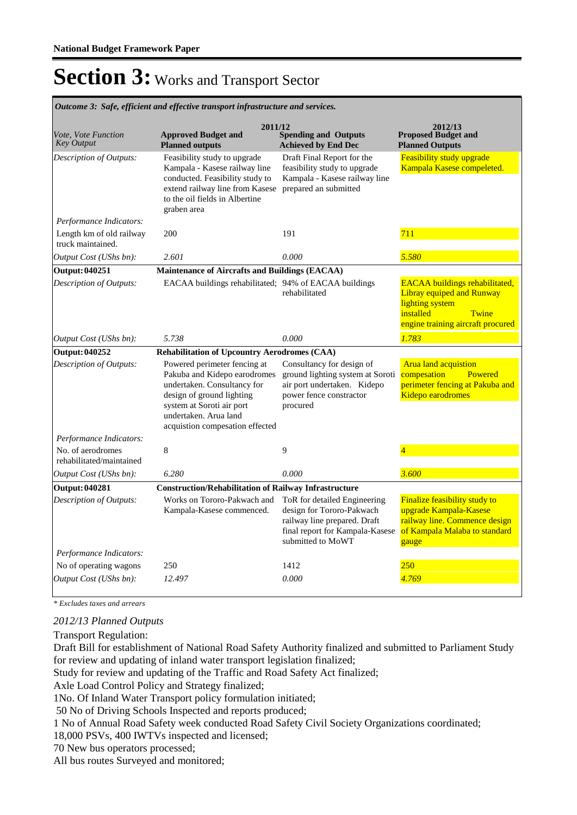| Outcome 3: Safe, efficient and effective transport infrastructure and services. |                                                                                                                                                                                                                   |                                                                                                                                     |                                                                                                                                                         |  |  |  |
|---------------------------------------------------------------------------------|-------------------------------------------------------------------------------------------------------------------------------------------------------------------------------------------------------------------|-------------------------------------------------------------------------------------------------------------------------------------|---------------------------------------------------------------------------------------------------------------------------------------------------------|--|--|--|
| Vote, Vote Function<br><b>Key Output</b>                                        | 2011/12<br><b>Approved Budget and</b><br><b>Planned outputs</b>                                                                                                                                                   | <b>Spending and Outputs</b><br><b>Achieved by End Dec</b>                                                                           | 2012/13<br><b>Proposed Budget and</b><br><b>Planned Outputs</b>                                                                                         |  |  |  |
| Description of Outputs:                                                         | Feasibility study to upgrade<br>Kampala - Kasese railway line<br>conducted. Feasibility study to<br>extend railway line from Kasese<br>to the oil fields in Albertine<br>graben area                              | Draft Final Report for the<br>feasibility study to upgrade<br>Kampala - Kasese railway line<br>prepared an submitted                | <b>Feasibility study upgrade</b><br>Kampala Kasese compeleted.                                                                                          |  |  |  |
| Performance Indicators:                                                         |                                                                                                                                                                                                                   |                                                                                                                                     |                                                                                                                                                         |  |  |  |
| Length km of old railway<br>truck maintained.                                   | 200                                                                                                                                                                                                               | 191                                                                                                                                 | 711                                                                                                                                                     |  |  |  |
| <i>Output Cost (UShs bn):</i>                                                   | 2.601                                                                                                                                                                                                             | 0.000                                                                                                                               | 5.580                                                                                                                                                   |  |  |  |
| <b>Output: 040251</b>                                                           | Maintenance of Aircrafts and Buildings (EACAA)                                                                                                                                                                    |                                                                                                                                     |                                                                                                                                                         |  |  |  |
| Description of Outputs:                                                         | EACAA buildings rehabilitated; 94% of EACAA buildings                                                                                                                                                             | rehabilitated                                                                                                                       | <b>EACAA</b> buildings rehabilitated,<br><b>Libray equiped and Runway</b><br>lighting system<br>installed<br>Twine<br>engine training aircraft procured |  |  |  |
| Output Cost (UShs bn):                                                          | 5.738                                                                                                                                                                                                             | 0.000                                                                                                                               | 1.783                                                                                                                                                   |  |  |  |
| <b>Output: 040252</b>                                                           | <b>Rehabilitation of Upcountry Aerodromes (CAA)</b>                                                                                                                                                               |                                                                                                                                     |                                                                                                                                                         |  |  |  |
| Description of Outputs:                                                         | Powered perimeter fencing at<br>Pakuba and Kidepo earodromes<br>undertaken. Consultancy for<br>design of ground lighting<br>system at Soroti air port<br>undertaken. Arua land<br>acquistion compesation effected | Consultancy for design of<br>ground lighting system at Soroti<br>air port undertaken. Kidepo<br>power fence constractor<br>procured | <b>Arua land acquistion</b><br>compesation<br>Powered<br>perimeter fencing at Pakuba and<br>Kidepo earodromes                                           |  |  |  |
| Performance Indicators:                                                         |                                                                                                                                                                                                                   |                                                                                                                                     |                                                                                                                                                         |  |  |  |
| No. of aerodromes<br>rehabilitated/maintained                                   | 8                                                                                                                                                                                                                 | 9                                                                                                                                   |                                                                                                                                                         |  |  |  |
| Output Cost (UShs bn):                                                          | 6.280                                                                                                                                                                                                             | 0.000                                                                                                                               | 3.600                                                                                                                                                   |  |  |  |
| <b>Output: 040281</b>                                                           | <b>Construction/Rehabilitation of Railway Infrastructure</b>                                                                                                                                                      |                                                                                                                                     |                                                                                                                                                         |  |  |  |
| Description of Outputs:                                                         | Works on Tororo-Pakwach and<br>Kampala-Kasese commenced.                                                                                                                                                          | ToR for detailed Engineering<br>design for Tororo-Pakwach                                                                           | Finalize feasibility study to<br>upgrade Kampala-Kasese                                                                                                 |  |  |  |
|                                                                                 |                                                                                                                                                                                                                   | railway line prepared. Draft<br>final report for Kampala-Kasese<br>submitted to MoWT                                                | railway line. Commence design<br>of Kampala Malaba to standard<br>gauge                                                                                 |  |  |  |
| Performance Indicators:                                                         |                                                                                                                                                                                                                   |                                                                                                                                     |                                                                                                                                                         |  |  |  |
| No of operating wagons<br>Output Cost (UShs bn):                                | 250<br>12.497                                                                                                                                                                                                     | 1412<br>0.000                                                                                                                       | <b>250</b><br>4.769                                                                                                                                     |  |  |  |

*\* Excludes taxes and arrears*

### *2012/13 Planned Outputs*

Transport Regulation:

Draft Bill for establishment of National Road Safety Authority finalized and submitted to Parliament Study for review and updating of inland water transport legislation finalized;

Study for review and updating of the Traffic and Road Safety Act finalized;

Axle Load Control Policy and Strategy finalized;

1No. Of Inland Water Transport policy formulation initiated;

50 No of Driving Schools Inspected and reports produced;

1 No of Annual Road Safety week conducted Road Safety Civil Society Organizations coordinated;

18,000 PSVs, 400 IWTVs inspected and licensed;

70 New bus operators processed;

All bus routes Surveyed and monitored;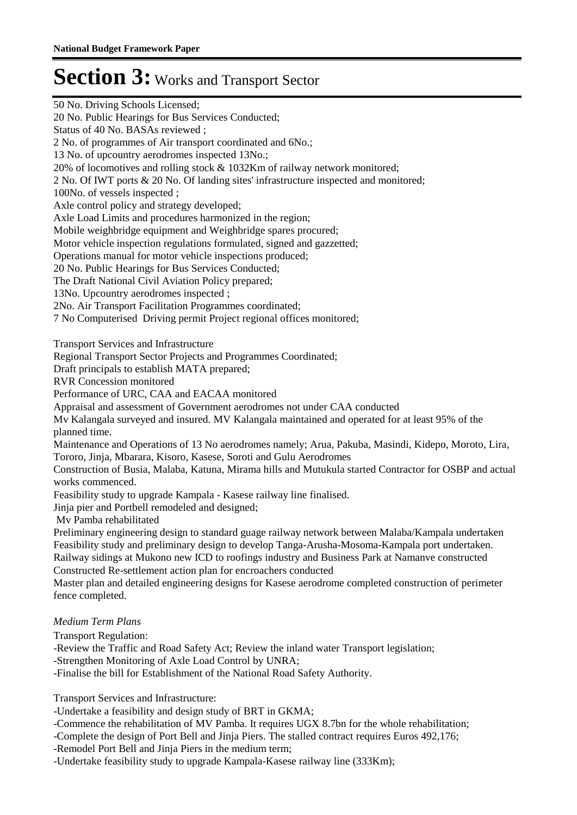50 No. Driving Schools Licensed; 20 No. Public Hearings for Bus Services Conducted; Status of 40 No. BASAs reviewed ; 2 No. of programmes of Air transport coordinated and 6No.; 13 No. of upcountry aerodromes inspected 13No.; 20% of locomotives and rolling stock & 1032Km of railway network monitored; 2 No. Of IWT ports & 20 No. Of landing sites' infrastructure inspected and monitored; 100No. of vessels inspected ; Axle control policy and strategy developed; Axle Load Limits and procedures harmonized in the region; Mobile weighbridge equipment and Weighbridge spares procured; Motor vehicle inspection regulations formulated, signed and gazzetted; Operations manual for motor vehicle inspections produced; 20 No. Public Hearings for Bus Services Conducted; The Draft National Civil Aviation Policy prepared; 13No. Upcountry aerodromes inspected ; 2No. Air Transport Facilitation Programmes coordinated; 7 No Computerised Driving permit Project regional offices monitored; Transport Services and Infrastructure Regional Transport Sector Projects and Programmes Coordinated; Draft principals to establish MATA prepared; RVR Concession monitored Performance of URC, CAA and EACAA monitored Appraisal and assessment of Government aerodromes not under CAA conducted Mv Kalangala surveyed and insured. MV Kalangala maintained and operated for at least 95% of the planned time. Maintenance and Operations of 13 No aerodromes namely; Arua, Pakuba, Masindi, Kidepo, Moroto, Lira, Tororo, Jinja, Mbarara, Kisoro, Kasese, Soroti and Gulu Aerodromes Construction of Busia, Malaba, Katuna, Mirama hills and Mutukula started Contractor for OSBP and actual works commenced. Feasibility study to upgrade Kampala - Kasese railway line finalised. Jinja pier and Portbell remodeled and designed; Mv Pamba rehabilitated Preliminary engineering design to standard guage railway network between Malaba/Kampala undertaken Feasibility study and preliminary design to develop Tanga-Arusha-Mosoma-Kampala port undertaken. Railway sidings at Mukono new ICD to roofings industry and Business Park at Namanve constructed Constructed Re-settlement action plan for encroachers conducted Master plan and detailed engineering designs for Kasese aerodrome completed construction of perimeter fence completed. Transport Regulation: -Review the Traffic and Road Safety Act; Review the inland water Transport legislation; *Medium Term Plans*

-Strengthen Monitoring of Axle Load Control by UNRA;

-Finalise the bill for Establishment of the National Road Safety Authority.

Transport Services and Infrastructure:

-Undertake a feasibility and design study of BRT in GKMA;

-Commence the rehabilitation of MV Pamba. It requires UGX 8.7bn for the whole rehabilitation;

-Complete the design of Port Bell and Jinja Piers. The stalled contract requires Euros 492,176;

-Remodel Port Bell and Jinja Piers in the medium term;

-Undertake feasibility study to upgrade Kampala-Kasese railway line (333Km);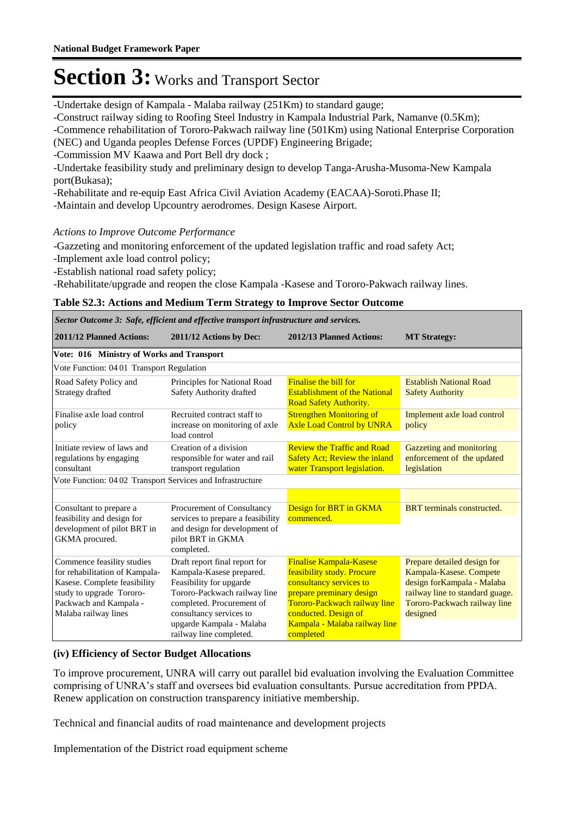-Undertake design of Kampala - Malaba railway (251Km) to standard gauge;

-Construct railway siding to Roofing Steel Industry in Kampala Industrial Park, Namanve (0.5Km);

-Commence rehabilitation of Tororo-Pakwach railway line (501Km) using National Enterprise Corporation (NEC) and Uganda peoples Defense Forces (UPDF) Engineering Brigade;

-Commission MV Kaawa and Port Bell dry dock ;

-Undertake feasibility study and preliminary design to develop Tanga-Arusha-Musoma-New Kampala port(Bukasa);

-Rehabilitate and re-equip East Africa Civil Aviation Academy (EACAA)-Soroti.Phase II;

-Maintain and develop Upcountry aerodromes. Design Kasese Airport.

### *Actions to Improve Outcome Performance*

-Gazzeting and monitoring enforcement of the updated legislation traffic and road safety Act; -Implement axle load control policy;

-Establish national road safety policy;

-Rehabilitate/upgrade and reopen the close Kampala -Kasese and Tororo-Pakwach railway lines.

#### **Table S2.3: Actions and Medium Term Strategy to Improve Sector Outcome**

| Sector Outcome 3: Safe, efficient and effective transport infrastructure and services.                                                                                     |                                                                                                                                                                                                                                     |                                                                                                                                                                                                                           |                                                                                                                                                                     |  |  |  |
|----------------------------------------------------------------------------------------------------------------------------------------------------------------------------|-------------------------------------------------------------------------------------------------------------------------------------------------------------------------------------------------------------------------------------|---------------------------------------------------------------------------------------------------------------------------------------------------------------------------------------------------------------------------|---------------------------------------------------------------------------------------------------------------------------------------------------------------------|--|--|--|
| 2011/12 Planned Actions:                                                                                                                                                   | 2011/12 Actions by Dec:                                                                                                                                                                                                             | 2012/13 Planned Actions:                                                                                                                                                                                                  | <b>MT Strategy:</b>                                                                                                                                                 |  |  |  |
| Vote: 016 Ministry of Works and Transport                                                                                                                                  |                                                                                                                                                                                                                                     |                                                                                                                                                                                                                           |                                                                                                                                                                     |  |  |  |
| Vote Function: 0401 Transport Regulation                                                                                                                                   |                                                                                                                                                                                                                                     |                                                                                                                                                                                                                           |                                                                                                                                                                     |  |  |  |
| Road Safety Policy and<br>Strategy drafted                                                                                                                                 | Principles for National Road<br>Safety Authority drafted                                                                                                                                                                            | <b>Finalise the bill for</b><br><b>Establishment of the National</b><br><b>Road Safety Authority.</b>                                                                                                                     | <b>Establish National Road</b><br><b>Safety Authority</b>                                                                                                           |  |  |  |
| Finalise axle load control<br>policy                                                                                                                                       | Recruited contract staff to<br>increase on monitoring of axle<br>load control                                                                                                                                                       | <b>Strengthen Monitoring of</b><br><b>Axle Load Control by UNRA</b>                                                                                                                                                       | Implement axle load control<br>policy                                                                                                                               |  |  |  |
| Initiate review of laws and<br>regulations by engaging<br>consultant                                                                                                       | Creation of a division<br>responsible for water and rail<br>transport regulation                                                                                                                                                    | <b>Review the Traffic and Road</b><br><b>Safety Act; Review the inland</b><br>water Transport legislation.                                                                                                                | Gazzeting and monitoring<br>enforcement of the updated<br>legislation                                                                                               |  |  |  |
| Vote Function: 04 02 Transport Services and Infrastructure                                                                                                                 |                                                                                                                                                                                                                                     |                                                                                                                                                                                                                           |                                                                                                                                                                     |  |  |  |
|                                                                                                                                                                            |                                                                                                                                                                                                                                     |                                                                                                                                                                                                                           |                                                                                                                                                                     |  |  |  |
| Consultant to prepare a<br>feasibility and design for<br>development of pilot BRT in                                                                                       | Procurement of Consultancy<br>services to prepare a feasibility<br>and design for development of                                                                                                                                    | Design for BRT in GKMA<br>commenced.                                                                                                                                                                                      | <b>BRT</b> terminals constructed.                                                                                                                                   |  |  |  |
| GKMA procured.                                                                                                                                                             | pilot BRT in GKMA<br>completed.                                                                                                                                                                                                     |                                                                                                                                                                                                                           |                                                                                                                                                                     |  |  |  |
| Commence feasility studies<br>for rehabilitation of Kampala-<br>Kasese. Complete feasibility<br>study to upgrade Tororo-<br>Packwach and Kampala -<br>Malaba railway lines | Draft report final report for<br>Kampala-Kasese prepared.<br>Feasibility for upgarde<br>Tororo-Packwach railway line<br>completed. Procurement of<br>consultancy services to<br>upgarde Kampala - Malaba<br>railway line completed. | <b>Finalise Kampala-Kasese</b><br>feasibility study. Procure<br>consultancy services to<br>prepare preminary design<br>Tororo-Packwach railway line<br>conducted. Design of<br>Kampala - Malaba railway line<br>completed | Prepare detailed design for<br>Kampala-Kasese. Compete<br>design forKampala - Malaba<br>railway line to standard guage.<br>Tororo-Packwach railway line<br>designed |  |  |  |

#### **(iv) Efficiency of Sector Budget Allocations**

To improve procurement, UNRA will carry out parallel bid evaluation involving the Evaluation Committee comprising of UNRA's staff and oversees bid evaluation consultants. Pursue accreditation from PPDA. Renew application on construction transparency initiative membership.

Technical and financial audits of road maintenance and development projects

Implementation of the District road equipment scheme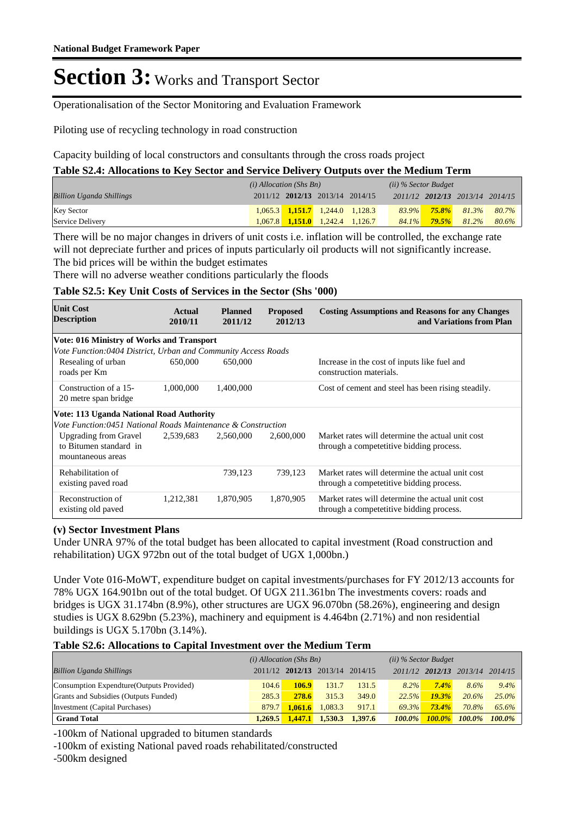Operationalisation of the Sector Monitoring and Evaluation Framework

Piloting use of recycling technology in road construction

Capacity building of local constructors and consultants through the cross roads project

**Table S2.4: Allocations to Key Sector and Service Delivery Outputs over the Medium Term**

|                                 | $(i)$ Allocation (Shs Bn) |  |                                         | (ii) % Sector Budget |       |          |                                 |       |
|---------------------------------|---------------------------|--|-----------------------------------------|----------------------|-------|----------|---------------------------------|-------|
| <b>Billion Uganda Shillings</b> |                           |  | 2011/12 2012/13 2013/14 2014/15         |                      |       |          | 2011/12 2012/13 2013/14 2014/15 |       |
| <b>Key Sector</b>               |                           |  | $1,065.3$ $1,151.7$ $1,244.0$ $1,128.3$ |                      |       |          | $83.9\%$ 75.8% 81.3%            | 80.7% |
| Service Delivery                |                           |  | $1,067.8$ 1.151.0 1.242.4 1.126.7       |                      | 84.1% | $79.5\%$ | 81.2%                           | 80.6% |

There will be no major changes in drivers of unit costs i.e. inflation will be controlled, the exchange rate will not depreciate further and prices of inputs particularly oil products will not significantly increase. The bid prices will be within the budget estimates

There will no adverse weather conditions particularly the floods

#### **Table S2.5: Key Unit Costs of Services in the Sector (Shs '000)**

| <b>Unit Cost</b><br><b>Description</b>                                      | Actual<br>2010/11 | <b>Planned</b><br>2011/12 | <b>Proposed</b><br>2012/13 | <b>Costing Assumptions and Reasons for any Changes</b><br>and Variations from Plan           |
|-----------------------------------------------------------------------------|-------------------|---------------------------|----------------------------|----------------------------------------------------------------------------------------------|
| <b>Vote: 016 Ministry of Works and Transport</b>                            |                   |                           |                            |                                                                                              |
| Vote Function:0404 District, Urban and Community Access Roads               |                   |                           |                            |                                                                                              |
| Resealing of urban<br>roads per Km                                          | 650,000           | 650,000                   |                            | Increase in the cost of inputs like fuel and<br>construction materials.                      |
| Construction of a 15-<br>20 metre span bridge                               | 1,000,000         | 1,400,000                 |                            | Cost of cement and steel has been rising steadily.                                           |
| <b>Vote: 113 Uganda National Road Authority</b>                             |                   |                           |                            |                                                                                              |
| Vote Function:0451 National Roads Maintenance & Construction                |                   |                           |                            |                                                                                              |
| <b>Upgrading from Gravel</b><br>to Bitumen standard in<br>mountaneous areas | 2,539,683         | 2,560,000                 | 2,600,000                  | Market rates will determine the actual unit cost<br>through a competetitive bidding process. |
| Rehabilitation of<br>existing paved road                                    |                   | 739,123                   | 739,123                    | Market rates will determine the actual unit cost<br>through a competetitive bidding process. |
| Reconstruction of<br>existing old paved                                     | 1,212,381         | 1,870,905                 | 1,870,905                  | Market rates will determine the actual unit cost<br>through a competetitive bidding process. |

#### **(v) Sector Investment Plans**

Under UNRA 97% of the total budget has been allocated to capital investment (Road construction and rehabilitation) UGX 972bn out of the total budget of UGX 1,000bn.)

Under Vote 016-MoWT, expenditure budget on capital investments/purchases for FY 2012/13 accounts for 78% UGX 164.901bn out of the total budget. Of UGX 211.361bn The investments covers: roads and bridges is UGX 31.174bn (8.9%), other structures are UGX 96.070bn (58.26%), engineering and design studies is UGX 8.629bn (5.23%), machinery and equipment is 4.464bn (2.71%) and non residential buildings is UGX 5.170bn (3.14%).

#### **Table S2.6: Allocations to Capital Investment over the Medium Term**

|                                           | $(i)$ Allocation (Shs Bn) |         |                                 | $(ii)$ % Sector Budget |           |           |                         |           |
|-------------------------------------------|---------------------------|---------|---------------------------------|------------------------|-----------|-----------|-------------------------|-----------|
| <b>Billion Uganda Shillings</b>           |                           |         | 2011/12 2012/13 2013/14 2014/15 |                        |           |           | 2011/12 2012/13 2013/14 | 2014/15   |
| Consumption Expendture (Outputs Provided) | 104.6                     | 106.9   | 131.7                           | 131.5                  | $8.2\%$   | 7.4%      | 8.6%                    | 9.4%      |
| Grants and Subsidies (Outputs Funded)     | 285.3                     | 278.6   | 315.3                           | 349.0                  | 22.5%     | 19.3%     | 20.6%                   | $25.0\%$  |
| Investment (Capital Purchases)            | 879.7                     | 1.061.6 | 1.083.3                         | 917.1                  | 69.3%     | $73.4\%$  | 70.8%                   | 65.6%     |
| <b>Grand Total</b>                        | 1.269.5                   | 1,447.1 | 1,530.3                         | 1.397.6                | $100.0\%$ | $100.0\%$ | $100.0\%$               | $100.0\%$ |

-100km of National upgraded to bitumen standards

-100km of existing National paved roads rehabilitated/constructed

-500km designed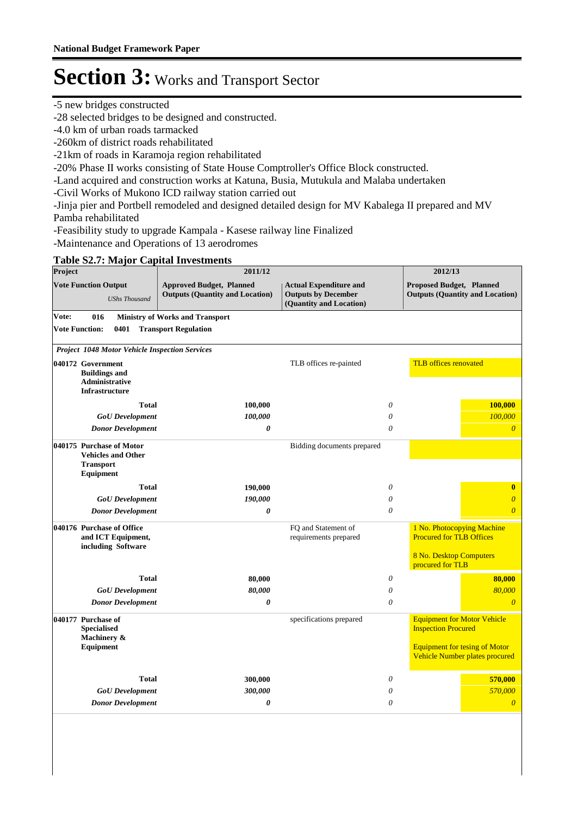-5 new bridges constructed

-28 selected bridges to be designed and constructed.

-4.0 km of urban roads tarmacked

-260km of district roads rehabilitated

-21km of roads in Karamoja region rehabilitated

-20% Phase II works consisting of State House Comptroller's Office Block constructed.

-Land acquired and construction works at Katuna, Busia, Mutukula and Malaba undertaken

-Civil Works of Mukono ICD railway station carried out

-Jinja pier and Portbell remodeled and designed detailed design for MV Kabalega II prepared and MV Pamba rehabilitated

-Feasibility study to upgrade Kampala - Kasese railway line Finalized

-Maintenance and Operations of 13 aerodromes

### **Table S2.7: Major Capital Investments**

| Project |                                                                                        | 2011/12                                                                   |                                                                                        | 2012/13                                                                                                      |
|---------|----------------------------------------------------------------------------------------|---------------------------------------------------------------------------|----------------------------------------------------------------------------------------|--------------------------------------------------------------------------------------------------------------|
|         | <b>Vote Function Output</b><br><b>UShs Thousand</b>                                    | <b>Approved Budget, Planned</b><br><b>Outputs (Quantity and Location)</b> | <b>Actual Expenditure and</b><br><b>Outputs by December</b><br>(Quantity and Location) | <b>Proposed Budget, Planned</b><br><b>Outputs (Quantity and Location)</b>                                    |
| Vote:   | 016                                                                                    | <b>Ministry of Works and Transport</b>                                    |                                                                                        |                                                                                                              |
|         | <b>Vote Function:</b><br>0401                                                          | <b>Transport Regulation</b>                                               |                                                                                        |                                                                                                              |
|         | <b>Project 1048 Motor Vehicle Inspection Services</b>                                  |                                                                           |                                                                                        |                                                                                                              |
|         | 040172 Government<br><b>Buildings and</b><br>Administrative<br><b>Infrastructure</b>   |                                                                           | TLB offices re-painted                                                                 | <b>TLB</b> offices renovated                                                                                 |
|         | <b>Total</b>                                                                           | 100,000                                                                   | $\theta$                                                                               | 100,000                                                                                                      |
|         | <b>GoU</b> Development                                                                 | 100,000                                                                   | 0                                                                                      | 100,000                                                                                                      |
|         | <b>Donor Development</b>                                                               | 0                                                                         | 0                                                                                      | $\overline{0}$                                                                                               |
|         | 040175 Purchase of Motor<br><b>Vehicles and Other</b><br><b>Transport</b><br>Equipment |                                                                           | Bidding documents prepared                                                             |                                                                                                              |
|         | <b>Total</b>                                                                           | 190,000                                                                   | $\theta$                                                                               | $\bf{0}$                                                                                                     |
|         | <b>GoU</b> Development                                                                 | 190,000                                                                   | 0                                                                                      | $\overline{\theta}$                                                                                          |
|         | <b>Donor Development</b>                                                               | $\theta$                                                                  | 0                                                                                      | $\overline{\theta}$                                                                                          |
|         | 040176 Purchase of Office<br>and ICT Equipment,<br>including Software                  |                                                                           | FQ and Statement of<br>requirements prepared                                           | 1 No. Photocopying Machine<br><b>Procured for TLB Offices</b><br>8 No. Desktop Computers<br>procured for TLB |
|         | <b>Total</b>                                                                           |                                                                           | 0                                                                                      | 80,000                                                                                                       |
|         | <b>GoU</b> Development                                                                 | 80,000<br>80,000                                                          | 0                                                                                      | 80,000                                                                                                       |
|         | <b>Donor Development</b>                                                               | $\boldsymbol{\theta}$                                                     | 0                                                                                      | $\overline{\theta}$                                                                                          |
|         | 040177 Purchase of<br><b>Specialised</b><br>Machinery &<br>Equipment                   |                                                                           | specifications prepared                                                                | <b>Equipment for Motor Vehicle</b><br><b>Inspection Procured</b><br><b>Equipment for tesing of Motor</b>     |
|         |                                                                                        |                                                                           |                                                                                        | Vehicle Number plates procured                                                                               |
|         | <b>Total</b>                                                                           | 300,000                                                                   | $\boldsymbol{\theta}$                                                                  | 570,000                                                                                                      |
|         | <b>GoU</b> Development                                                                 | 300,000                                                                   | 0                                                                                      | 570,000                                                                                                      |
|         | <b>Donor Development</b>                                                               | 0                                                                         | 0                                                                                      | $\overline{\theta}$                                                                                          |
|         |                                                                                        |                                                                           |                                                                                        |                                                                                                              |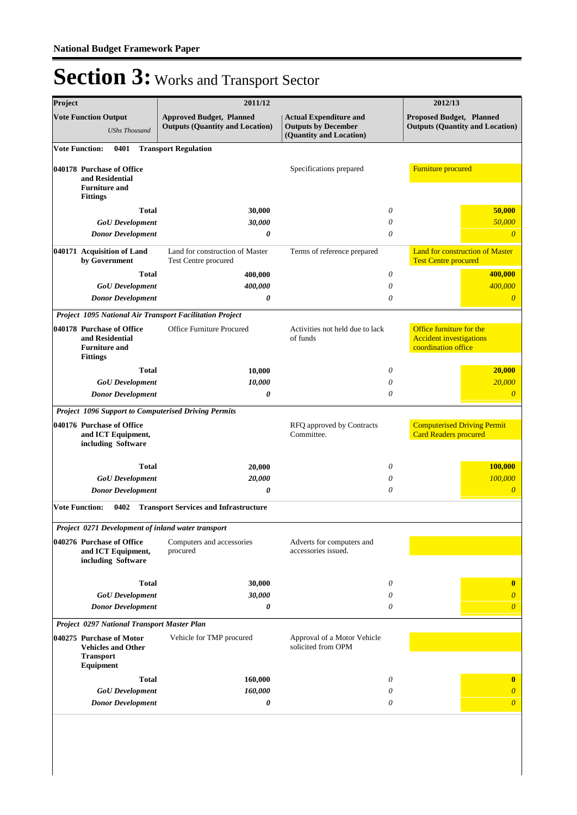| Project               |                                                                                               | 2011/12                                                                   |                                                                                        |          | 2012/13                                                                           |
|-----------------------|-----------------------------------------------------------------------------------------------|---------------------------------------------------------------------------|----------------------------------------------------------------------------------------|----------|-----------------------------------------------------------------------------------|
|                       | <b>Vote Function Output</b><br><b>UShs Thousand</b>                                           | <b>Approved Budget, Planned</b><br><b>Outputs (Quantity and Location)</b> | <b>Actual Expenditure and</b><br><b>Outputs by December</b><br>(Quantity and Location) |          | Proposed Budget, Planned<br><b>Outputs (Quantity and Location)</b>                |
| <b>Vote Function:</b> | 0401                                                                                          | <b>Transport Regulation</b>                                               |                                                                                        |          |                                                                                   |
|                       | 040178 Purchase of Office<br>and Residential<br><b>Furniture and</b><br><b>Fittings</b>       |                                                                           | Specifications prepared                                                                |          | <b>Furniture</b> procured                                                         |
|                       | <b>Total</b>                                                                                  | 30,000                                                                    |                                                                                        | 0        | 50,000                                                                            |
|                       | <b>GoU</b> Development                                                                        | 30,000                                                                    |                                                                                        | 0        | 50,000                                                                            |
|                       | <b>Donor Development</b>                                                                      | 0                                                                         |                                                                                        | 0        | $\overline{0}$                                                                    |
|                       | 040171 Acquisition of Land<br>by Government                                                   | Land for construction of Master<br>Test Centre procured                   | Terms of reference prepared                                                            |          | <b>Land for construction of Master</b><br><b>Test Centre procured</b>             |
|                       | <b>Total</b>                                                                                  | 400,000                                                                   |                                                                                        | 0        | 400,000                                                                           |
|                       | <b>GoU</b> Development                                                                        | 400,000                                                                   |                                                                                        | 0        | 400,000                                                                           |
|                       | <b>Donor Development</b>                                                                      | 0                                                                         |                                                                                        | $\theta$ | $\overline{0}$                                                                    |
|                       |                                                                                               | Project 1095 National Air Transport Facilitation Project                  |                                                                                        |          |                                                                                   |
|                       | 040178 Purchase of Office<br>and Residential<br><b>Furniture and</b><br><b>Fittings</b>       | <b>Office Furniture Procured</b>                                          | Activities not held due to lack<br>of funds                                            |          | Office furniture for the<br><b>Accident investigations</b><br>coordination office |
|                       | <b>Total</b>                                                                                  | 10,000                                                                    |                                                                                        | 0        | 20,000                                                                            |
|                       | <b>GoU</b> Development                                                                        | 10,000                                                                    |                                                                                        | 0        | 20,000                                                                            |
|                       | <b>Donor Development</b>                                                                      | $\boldsymbol{\theta}$                                                     |                                                                                        | $\theta$ | $\boldsymbol{0}$                                                                  |
|                       |                                                                                               | Project 1096 Support to Computerised Driving Permits                      |                                                                                        |          |                                                                                   |
|                       | 040176 Purchase of Office<br>and ICT Equipment,<br>including Software                         |                                                                           | RFQ approved by Contracts<br>Committee.                                                |          | <b>Computerised Driving Permit</b><br><b>Card Readers procured</b>                |
|                       | <b>Total</b>                                                                                  | 20,000                                                                    |                                                                                        | 0        | 100,000                                                                           |
|                       | <b>GoU</b> Development                                                                        | 20,000                                                                    |                                                                                        | 0        | 100,000                                                                           |
|                       | <b>Donor Development</b>                                                                      | 0                                                                         |                                                                                        | $\theta$ | $\overline{\theta}$                                                               |
| <b>Vote Function:</b> | 0402                                                                                          | <b>Transport Services and Infrastructure</b>                              |                                                                                        |          |                                                                                   |
|                       | Project 0271 Development of inland water transport                                            |                                                                           |                                                                                        |          |                                                                                   |
|                       | 040276 Purchase of Office<br>and ICT Equipment,<br>including Software                         | Computers and accessories<br>procured                                     | Adverts for computers and<br>accessories issued.                                       |          |                                                                                   |
|                       | <b>Total</b>                                                                                  | 30,000                                                                    |                                                                                        | 0        | $\mathbf{0}$                                                                      |
|                       | <b>GoU</b> Development                                                                        | 30,000                                                                    |                                                                                        | 0        | $\overline{0}$                                                                    |
|                       | <b>Donor Development</b>                                                                      | 0                                                                         |                                                                                        | 0        | $\overline{0}$                                                                    |
|                       | Project 0297 National Transport Master Plan                                                   |                                                                           |                                                                                        |          |                                                                                   |
|                       | 040275 Purchase of Motor<br><b>Vehicles and Other</b><br><b>Transport</b><br><b>Equipment</b> | Vehicle for TMP procured                                                  | Approval of a Motor Vehicle<br>solicited from OPM                                      |          |                                                                                   |
|                       | <b>Total</b>                                                                                  | 160,000                                                                   |                                                                                        | 0        | $\bf{0}$                                                                          |
|                       | <b>GoU</b> Development                                                                        | 160,000                                                                   |                                                                                        | 0        | $\boldsymbol{\theta}$                                                             |
|                       | <b>Donor Development</b>                                                                      | 0                                                                         |                                                                                        | 0        | $\boldsymbol{\theta}$                                                             |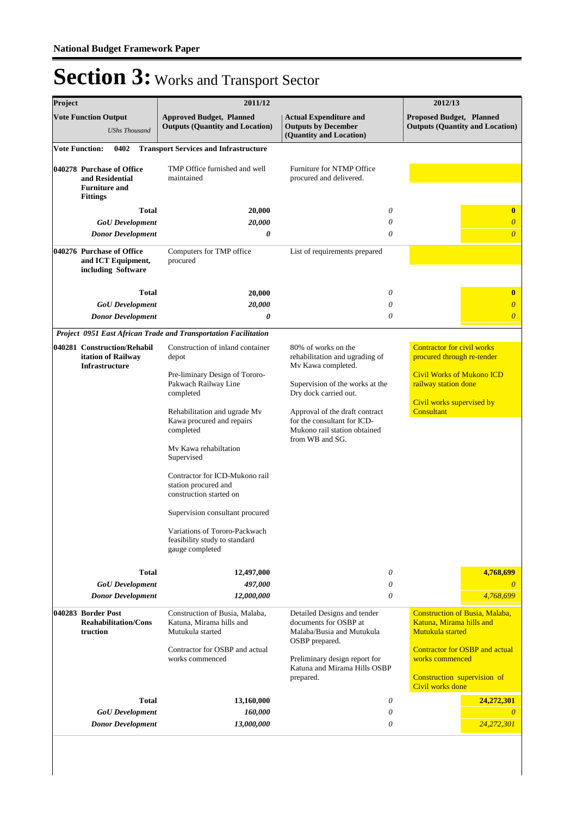| Project |                                                                                         | 2011/12                                                                                                                                                                                                                                                                                                                                                                                                                                        |                                                                                                                                                                                                                                                             | 2012/13                                                                                                                                                                                       |
|---------|-----------------------------------------------------------------------------------------|------------------------------------------------------------------------------------------------------------------------------------------------------------------------------------------------------------------------------------------------------------------------------------------------------------------------------------------------------------------------------------------------------------------------------------------------|-------------------------------------------------------------------------------------------------------------------------------------------------------------------------------------------------------------------------------------------------------------|-----------------------------------------------------------------------------------------------------------------------------------------------------------------------------------------------|
|         | <b>Vote Function Output</b><br><b>UShs Thousand</b>                                     | <b>Approved Budget, Planned</b><br><b>Outputs (Quantity and Location)</b>                                                                                                                                                                                                                                                                                                                                                                      | <b>Actual Expenditure and</b><br><b>Outputs by December</b><br>(Quantity and Location)                                                                                                                                                                      | <b>Proposed Budget, Planned</b><br><b>Outputs (Quantity and Location)</b>                                                                                                                     |
|         | <b>Vote Function:</b><br>0402                                                           | <b>Transport Services and Infrastructure</b>                                                                                                                                                                                                                                                                                                                                                                                                   |                                                                                                                                                                                                                                                             |                                                                                                                                                                                               |
|         | 040278 Purchase of Office<br>and Residential<br><b>Furniture and</b><br><b>Fittings</b> | TMP Office furnished and well<br>maintained                                                                                                                                                                                                                                                                                                                                                                                                    | Furniture for NTMP Office<br>procured and delivered.                                                                                                                                                                                                        |                                                                                                                                                                                               |
|         | <b>Total</b>                                                                            | 20,000                                                                                                                                                                                                                                                                                                                                                                                                                                         | 0                                                                                                                                                                                                                                                           | $\bf{0}$                                                                                                                                                                                      |
|         | <b>GoU</b> Development                                                                  | 20,000                                                                                                                                                                                                                                                                                                                                                                                                                                         | 0                                                                                                                                                                                                                                                           | $\boldsymbol{\theta}$                                                                                                                                                                         |
|         | <b>Donor Development</b>                                                                | $\boldsymbol{\theta}$                                                                                                                                                                                                                                                                                                                                                                                                                          | 0                                                                                                                                                                                                                                                           | $\overline{\theta}$                                                                                                                                                                           |
|         | 040276 Purchase of Office<br>and ICT Equipment,<br>including Software                   | Computers for TMP office<br>procured                                                                                                                                                                                                                                                                                                                                                                                                           | List of requirements prepared                                                                                                                                                                                                                               |                                                                                                                                                                                               |
|         | <b>Total</b>                                                                            | 20,000                                                                                                                                                                                                                                                                                                                                                                                                                                         | 0                                                                                                                                                                                                                                                           | $\bf{0}$                                                                                                                                                                                      |
|         | <b>GoU</b> Development                                                                  | 20,000                                                                                                                                                                                                                                                                                                                                                                                                                                         | 0                                                                                                                                                                                                                                                           | $\boldsymbol{\theta}$                                                                                                                                                                         |
|         | <b>Donor Development</b>                                                                | 0                                                                                                                                                                                                                                                                                                                                                                                                                                              | 0                                                                                                                                                                                                                                                           | $\overline{0}$                                                                                                                                                                                |
|         |                                                                                         | Project 0951 East African Trade and Transportation Facilitation                                                                                                                                                                                                                                                                                                                                                                                |                                                                                                                                                                                                                                                             |                                                                                                                                                                                               |
|         | 040281 Construction/Rehabil<br>itation of Railway<br><b>Infrastructure</b>              | Construction of inland container<br>depot<br>Pre-liminary Design of Tororo-<br>Pakwach Railway Line<br>completed<br>Rehabilitation and ugrade Mv<br>Kawa procured and repairs<br>completed<br>My Kawa rehabiltation<br>Supervised<br>Contractor for ICD-Mukono rail<br>station procured and<br>construction started on<br>Supervision consultant procured<br>Variations of Tororo-Packwach<br>feasibility study to standard<br>gauge completed | 80% of works on the<br>rehabilitation and ugrading of<br>Mv Kawa completed.<br>Supervision of the works at the<br>Dry dock carried out.<br>Approval of the draft contract<br>for the consultant for ICD-<br>Mukono rail station obtained<br>from WB and SG. | <b>Contractor for civil works</b><br>procured through re-tender<br><b>Civil Works of Mukono ICD</b><br>railway station done<br>Civil works supervised by<br>Consultant                        |
|         | <b>Total</b>                                                                            | 12,497,000                                                                                                                                                                                                                                                                                                                                                                                                                                     | 0                                                                                                                                                                                                                                                           | 4,768,699                                                                                                                                                                                     |
|         | <b>GoU</b> Development                                                                  | 497,000                                                                                                                                                                                                                                                                                                                                                                                                                                        | $\theta$                                                                                                                                                                                                                                                    | $\theta$                                                                                                                                                                                      |
|         | <b>Donor Development</b>                                                                | 12,000,000                                                                                                                                                                                                                                                                                                                                                                                                                                     | 0                                                                                                                                                                                                                                                           | 4,768,699                                                                                                                                                                                     |
|         | 040283 Border Post<br><b>Reahabilitation/Cons</b><br>truction                           | Construction of Busia, Malaba,<br>Katuna, Mirama hills and<br>Mutukula started<br>Contractor for OSBP and actual<br>works commenced                                                                                                                                                                                                                                                                                                            | Detailed Designs and tender<br>documents for OSBP at<br>Malaba/Busia and Mutukula<br>OSBP prepared.<br>Preliminary design report for<br>Katuna and Mirama Hills OSBP<br>prepared.                                                                           | <b>Construction of Busia, Malaba,</b><br>Katuna, Mirama hills and<br>Mutukula started<br>Contractor for OSBP and actual<br>works commenced<br>Construction supervision of<br>Civil works done |
|         | <b>Total</b>                                                                            | 13,160,000                                                                                                                                                                                                                                                                                                                                                                                                                                     | 0                                                                                                                                                                                                                                                           | 24,272,301                                                                                                                                                                                    |
|         | <b>GoU</b> Development                                                                  | 160,000                                                                                                                                                                                                                                                                                                                                                                                                                                        | $\theta$                                                                                                                                                                                                                                                    | $\theta$                                                                                                                                                                                      |
|         | <b>Donor Development</b>                                                                | 13,000,000                                                                                                                                                                                                                                                                                                                                                                                                                                     | 0                                                                                                                                                                                                                                                           | 24,272,301                                                                                                                                                                                    |
|         |                                                                                         |                                                                                                                                                                                                                                                                                                                                                                                                                                                |                                                                                                                                                                                                                                                             |                                                                                                                                                                                               |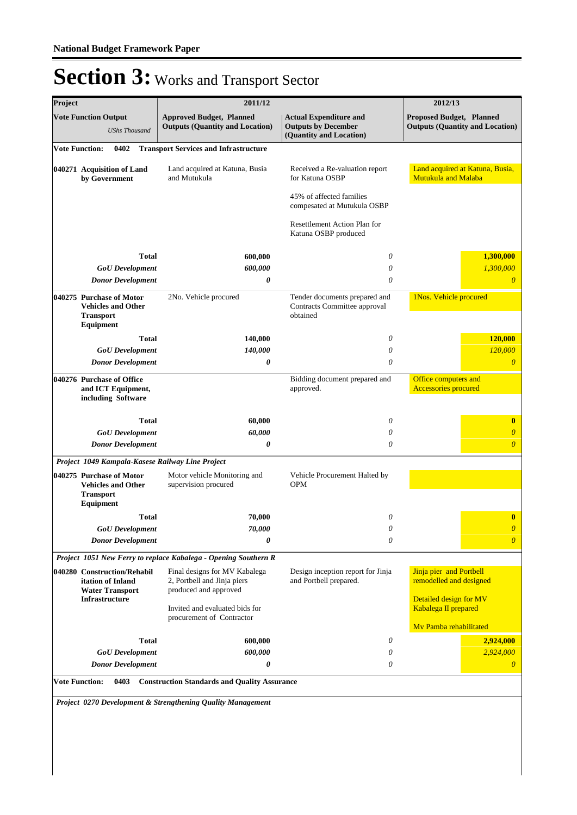| Project                     |                                             | 2011/12                                                                               |                                                                                        | 2012/13                                                            |
|-----------------------------|---------------------------------------------|---------------------------------------------------------------------------------------|----------------------------------------------------------------------------------------|--------------------------------------------------------------------|
| <b>Vote Function Output</b> | <b>UShs Thousand</b>                        | <b>Approved Budget, Planned</b><br><b>Outputs (Quantity and Location)</b>             | <b>Actual Expenditure and</b><br><b>Outputs by December</b><br>(Quantity and Location) | Proposed Budget, Planned<br><b>Outputs (Quantity and Location)</b> |
| <b>Vote Function:</b>       | 0402                                        | <b>Transport Services and Infrastructure</b>                                          |                                                                                        |                                                                    |
| 040271 Acquisition of Land  | by Government                               | Land acquired at Katuna, Busia<br>and Mutukula                                        | Received a Re-valuation report<br>for Katuna OSBP                                      | Land acquired at Katuna, Busia,<br>Mutukula and Malaba             |
|                             |                                             |                                                                                       | 45% of affected families<br>compesated at Mutukula OSBP                                |                                                                    |
|                             |                                             |                                                                                       | Resettlement Action Plan for<br>Katuna OSBP produced                                   |                                                                    |
|                             | <b>Total</b>                                | 600,000                                                                               | 0                                                                                      | 1,300,000                                                          |
|                             | <b>GoU</b> Development                      | 600,000                                                                               | $\theta$                                                                               | 1,300,000                                                          |
|                             | <b>Donor Development</b>                    | 0                                                                                     | $\theta$                                                                               | $\overline{0}$                                                     |
| 040275 Purchase of Motor    |                                             |                                                                                       | Tender documents prepared and                                                          | 1Nos. Vehicle procured                                             |
| <b>Transport</b>            | <b>Vehicles and Other</b>                   | 2No. Vehicle procured                                                                 | Contracts Committee approval<br>obtained                                               |                                                                    |
| Equipment                   |                                             |                                                                                       |                                                                                        |                                                                    |
|                             | <b>Total</b>                                | 140,000                                                                               | $\theta$                                                                               | 120,000                                                            |
|                             | <b>GoU</b> Development                      | 140,000                                                                               | $\theta$                                                                               | 120,000<br>$\overline{0}$                                          |
|                             | <b>Donor Development</b>                    | 0                                                                                     | $\theta$                                                                               |                                                                    |
| 040276 Purchase of Office   | and ICT Equipment,<br>including Software    |                                                                                       | Bidding document prepared and<br>approved.                                             | Office computers and<br><b>Accessories procured</b>                |
|                             | <b>Total</b>                                | 60,000                                                                                | 0                                                                                      | $\bf{0}$                                                           |
|                             | <b>GoU</b> Development                      | 60,000                                                                                | 0                                                                                      | $\overline{0}$                                                     |
|                             | <b>Donor Development</b>                    | 0                                                                                     | 0                                                                                      | $\overline{0}$                                                     |
|                             |                                             | Project 1049 Kampala-Kasese Railway Line Project                                      |                                                                                        |                                                                    |
| 040275 Purchase of Motor    |                                             | Motor vehicle Monitoring and                                                          | Vehicle Procurement Halted by                                                          |                                                                    |
| <b>Transport</b>            | <b>Vehicles and Other</b>                   | supervision procured                                                                  | <b>OPM</b>                                                                             |                                                                    |
| Equipment                   |                                             |                                                                                       |                                                                                        |                                                                    |
|                             | <b>Total</b>                                | 70,000                                                                                | 0                                                                                      | $\bf{0}$                                                           |
|                             | <b>GoU</b> Development                      | 70,000                                                                                | $\boldsymbol{\omega}$                                                                  | $\boldsymbol{\omega}$                                              |
|                             | <b>Donor Development</b>                    | 0                                                                                     | $\theta$                                                                               | $\boldsymbol{\theta}$                                              |
|                             |                                             | Project 1051 New Ferry to replace Kabalega - Opening Southern R                       |                                                                                        |                                                                    |
| 040280 Construction/Rehabil | itation of Inland<br><b>Water Transport</b> | Final designs for MV Kabalega<br>2, Portbell and Jinja piers<br>produced and approved | Design inception report for Jinja<br>and Portbell prepared.                            | Jinja pier and Portbell<br>remodelled and designed                 |
| Infrastructure              |                                             | Invited and evaluated bids for<br>procurement of Contractor                           |                                                                                        | Detailed design for MV<br>Kabalega II prepared                     |
|                             |                                             |                                                                                       |                                                                                        | My Pamba rehabilitated                                             |
|                             | Total                                       | 600,000                                                                               | 0                                                                                      | 2,924,000                                                          |
|                             | <b>GoU</b> Development                      | 600,000                                                                               | 0                                                                                      | 2,924,000                                                          |
|                             | <b>Donor Development</b>                    | 0                                                                                     | 0                                                                                      | $\theta$                                                           |
| <b>Vote Function:</b>       | 0403                                        | <b>Construction Standards and Quality Assurance</b>                                   |                                                                                        |                                                                    |
|                             |                                             |                                                                                       |                                                                                        |                                                                    |
|                             |                                             | Project 0270 Development & Strengthening Quality Management                           |                                                                                        |                                                                    |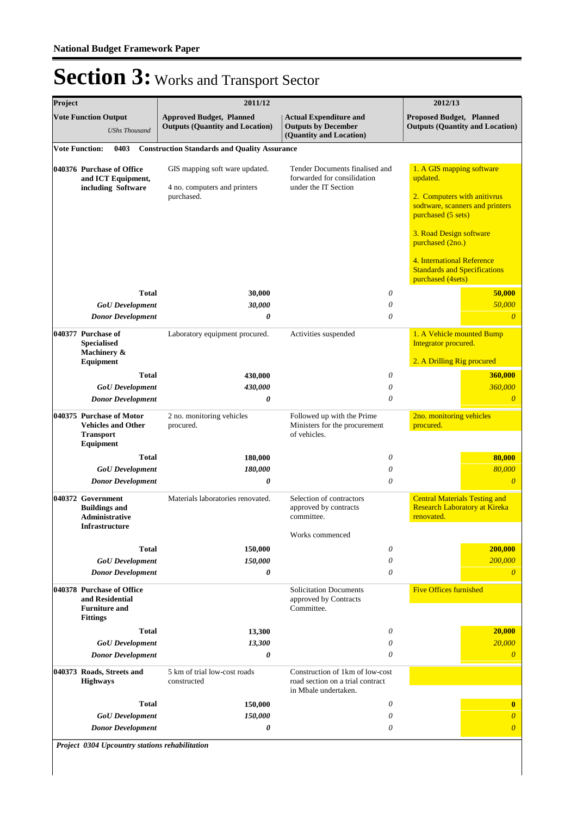| Project |                                                                                         | 2011/12                                                                   |                                                                                             | 2012/13                                                                                    |
|---------|-----------------------------------------------------------------------------------------|---------------------------------------------------------------------------|---------------------------------------------------------------------------------------------|--------------------------------------------------------------------------------------------|
|         | <b>Vote Function Output</b><br><b>UShs Thousand</b>                                     | <b>Approved Budget, Planned</b><br><b>Outputs (Quantity and Location)</b> | <b>Actual Expenditure and</b><br><b>Outputs by December</b><br>(Quantity and Location)      | Proposed Budget, Planned<br><b>Outputs (Quantity and Location)</b>                         |
|         | <b>Vote Function:</b><br>0403                                                           | <b>Construction Standards and Quality Assurance</b>                       |                                                                                             |                                                                                            |
|         | 040376 Purchase of Office<br>and ICT Equipment,<br>including Software                   | GIS mapping soft ware updated.<br>4 no. computers and printers            | Tender Documents finalised and<br>forwarded for consilidation<br>under the IT Section       | 1. A GIS mapping software<br>updated.                                                      |
|         |                                                                                         | purchased.                                                                |                                                                                             | 2. Computers with anitivrus<br>sodtware, scanners and printers<br>purchased (5 sets)       |
|         |                                                                                         |                                                                           |                                                                                             | 3. Road Design software<br>purchased (2no.)                                                |
|         |                                                                                         |                                                                           |                                                                                             | 4. International Reference<br><b>Standards and Specifications</b><br>purchased (4sets)     |
|         | <b>Total</b>                                                                            | 30,000                                                                    | $\theta$                                                                                    | 50,000                                                                                     |
|         | <b>GoU</b> Development                                                                  | 30,000                                                                    | 0                                                                                           | 50,000                                                                                     |
|         | <b>Donor Development</b>                                                                | 0                                                                         | 0                                                                                           | $\theta$                                                                                   |
|         | 040377 Purchase of<br><b>Specialised</b><br>Machinery &                                 | Laboratory equipment procured.                                            | Activities suspended                                                                        | 1. A Vehicle mounted Bump<br>Integrator procured.                                          |
|         | Equipment                                                                               |                                                                           |                                                                                             | 2. A Drilling Rig procured                                                                 |
|         | <b>Total</b>                                                                            | 430,000                                                                   | 0                                                                                           | 360,000                                                                                    |
|         | <b>GoU</b> Development                                                                  | 430,000                                                                   | 0                                                                                           | 360,000                                                                                    |
|         | <b>Donor Development</b>                                                                | 0                                                                         | 0                                                                                           | $\overline{0}$                                                                             |
|         | 040375 Purchase of Motor<br><b>Vehicles and Other</b><br><b>Transport</b>               | 2 no. monitoring vehicles<br>procured.                                    | Followed up with the Prime<br>Ministers for the procurement<br>of vehicles.                 | 2no. monitoring vehicles<br>procured.                                                      |
|         | Equipment                                                                               |                                                                           |                                                                                             |                                                                                            |
|         | <b>Total</b>                                                                            | 180,000                                                                   | $\theta$                                                                                    | 80,000                                                                                     |
|         | <b>GoU</b> Development<br><b>Donor Development</b>                                      | 180,000<br>0                                                              | 0<br>0                                                                                      | 80,000<br>$\theta$                                                                         |
|         |                                                                                         |                                                                           |                                                                                             |                                                                                            |
|         | 040372 Government<br><b>Buildings and</b><br>Administrative                             | Materials laboratories renovated.                                         | Selection of contractors<br>approved by contracts<br>committee.                             | <b>Central Materials Testing and</b><br><b>Research Laboratory at Kireka</b><br>renovated. |
|         | <b>Infrastructure</b>                                                                   |                                                                           | Works commenced                                                                             |                                                                                            |
|         | Total                                                                                   | 150,000                                                                   | 0                                                                                           | 200,000                                                                                    |
|         | <b>GoU</b> Development                                                                  | 150,000                                                                   | 0                                                                                           | 200,000                                                                                    |
|         | <b>Donor Development</b>                                                                | 0                                                                         | 0                                                                                           | $\theta$                                                                                   |
|         | 040378 Purchase of Office<br>and Residential<br><b>Furniture and</b><br><b>Fittings</b> |                                                                           | <b>Solicitation Documents</b><br>approved by Contracts<br>Committee.                        | <b>Five Offices furnished</b>                                                              |
|         | <b>Total</b>                                                                            | 13,300                                                                    | 0                                                                                           | 20,000                                                                                     |
|         | $GoU$ Development                                                                       | 13,300                                                                    | 0                                                                                           | 20,000                                                                                     |
|         | <b>Donor Development</b>                                                                | 0                                                                         | 0                                                                                           | $\boldsymbol{\theta}$                                                                      |
|         | 040373 Roads, Streets and<br><b>Highways</b>                                            | 5 km of trial low-cost roads<br>constructed                               | Construction of 1km of low-cost<br>road section on a trial contract<br>in Mbale undertaken. |                                                                                            |
|         | <b>Total</b>                                                                            | 150,000                                                                   | 0                                                                                           | $\bf{0}$                                                                                   |
|         | <b>GoU</b> Development                                                                  | 150,000                                                                   | 0                                                                                           | $\overline{0}$                                                                             |
|         | <b>Donor Development</b>                                                                | 0                                                                         | 0                                                                                           | $\overline{0}$                                                                             |
|         | $1204$ Unagusta stations                                                                | $\Delta L \Delta L/L$                                                     |                                                                                             |                                                                                            |

*Project 0304 Upcountry stations rehabilitation*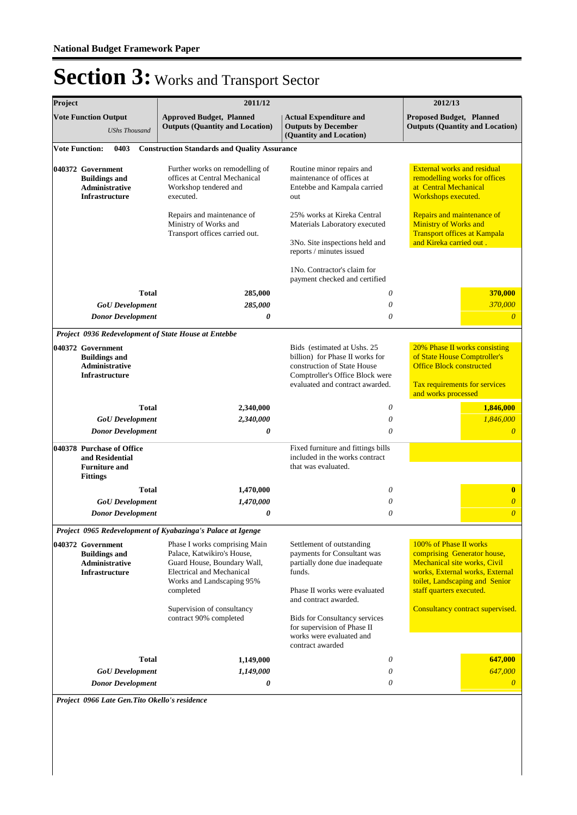| Project |                                                                                             | 2011/12                                                                                                                                                                                                                          |                                                                                                                                                                                                                                                                                      | 2012/13                                                                                                                                                                                                                    |
|---------|---------------------------------------------------------------------------------------------|----------------------------------------------------------------------------------------------------------------------------------------------------------------------------------------------------------------------------------|--------------------------------------------------------------------------------------------------------------------------------------------------------------------------------------------------------------------------------------------------------------------------------------|----------------------------------------------------------------------------------------------------------------------------------------------------------------------------------------------------------------------------|
|         | <b>Vote Function Output</b><br><b>UShs Thousand</b>                                         | <b>Approved Budget, Planned</b><br><b>Outputs (Quantity and Location)</b>                                                                                                                                                        | <b>Actual Expenditure and</b><br><b>Outputs by December</b><br>(Quantity and Location)                                                                                                                                                                                               | <b>Proposed Budget, Planned</b><br><b>Outputs (Quantity and Location)</b>                                                                                                                                                  |
|         | <b>Vote Function:</b><br>0403                                                               | <b>Construction Standards and Quality Assurance</b>                                                                                                                                                                              |                                                                                                                                                                                                                                                                                      |                                                                                                                                                                                                                            |
|         | 040372 Government<br><b>Buildings and</b><br><b>Administrative</b><br><b>Infrastructure</b> | Further works on remodelling of<br>offices at Central Mechanical<br>Workshop tendered and<br>executed.                                                                                                                           | Routine minor repairs and<br>maintenance of offices at<br>Entebbe and Kampala carried<br>out                                                                                                                                                                                         | <b>External works and residual</b><br>remodelling works for offices<br>at Central Mechanical<br>Workshops executed.                                                                                                        |
|         |                                                                                             | Repairs and maintenance of<br>Ministry of Works and<br>Transport offices carried out.                                                                                                                                            | 25% works at Kireka Central<br>Materials Laboratory executed<br>3No. Site inspections held and<br>reports / minutes issued                                                                                                                                                           | Repairs and maintenance of<br><b>Ministry of Works and</b><br><b>Transport offices at Kampala</b><br>and Kireka carried out.                                                                                               |
|         |                                                                                             |                                                                                                                                                                                                                                  | 1No. Contractor's claim for<br>payment checked and certified                                                                                                                                                                                                                         |                                                                                                                                                                                                                            |
|         | <b>Total</b><br><b>GoU</b> Development<br><b>Donor Development</b>                          | 285,000<br>285,000<br>0                                                                                                                                                                                                          | 0<br>0<br>0                                                                                                                                                                                                                                                                          | 370,000<br>370,000<br>$\overline{0}$                                                                                                                                                                                       |
|         |                                                                                             | Project 0936 Redevelopment of State House at Entebbe                                                                                                                                                                             |                                                                                                                                                                                                                                                                                      |                                                                                                                                                                                                                            |
|         | 040372 Government<br><b>Buildings and</b><br><b>Administrative</b><br><b>Infrastructure</b> |                                                                                                                                                                                                                                  | Bids (estimated at Ushs. 25)<br>billion) for Phase II works for<br>construction of State House<br>Comptroller's Office Block were<br>evaluated and contract awarded.                                                                                                                 | 20% Phase II works consisting<br>of State House Comptroller's<br><b>Office Block constructed</b><br>Tax requirements for services<br>and works processed                                                                   |
|         | <b>Total</b>                                                                                | 2,340,000                                                                                                                                                                                                                        | 0                                                                                                                                                                                                                                                                                    | 1,846,000                                                                                                                                                                                                                  |
|         | <b>GoU</b> Development                                                                      | 2,340,000                                                                                                                                                                                                                        | $\theta$                                                                                                                                                                                                                                                                             | 1,846,000                                                                                                                                                                                                                  |
|         | <b>Donor Development</b>                                                                    | 0                                                                                                                                                                                                                                | 0                                                                                                                                                                                                                                                                                    | $\theta$                                                                                                                                                                                                                   |
|         | 040378 Purchase of Office<br>and Residential<br><b>Furniture and</b><br><b>Fittings</b>     |                                                                                                                                                                                                                                  | Fixed furniture and fittings bills<br>included in the works contract<br>that was evaluated.                                                                                                                                                                                          |                                                                                                                                                                                                                            |
|         | <b>Total</b>                                                                                | 1,470,000                                                                                                                                                                                                                        | 0                                                                                                                                                                                                                                                                                    | $\bf{0}$                                                                                                                                                                                                                   |
|         | <b>GoU</b> Development                                                                      | 1,470,000                                                                                                                                                                                                                        | 0                                                                                                                                                                                                                                                                                    | $\overline{\theta}$                                                                                                                                                                                                        |
|         | <b>Donor Development</b>                                                                    | 0                                                                                                                                                                                                                                | 0                                                                                                                                                                                                                                                                                    | $\overline{\theta}$                                                                                                                                                                                                        |
|         |                                                                                             | Project 0965 Redevelopment of Kyabazinga's Palace at Igenge                                                                                                                                                                      |                                                                                                                                                                                                                                                                                      |                                                                                                                                                                                                                            |
|         | 040372 Government<br><b>Buildings and</b><br>Administrative<br><b>Infrastructure</b>        | Phase I works comprising Main<br>Palace, Katwikiro's House,<br>Guard House, Boundary Wall,<br><b>Electrical and Mechanical</b><br>Works and Landscaping 95%<br>completed<br>Supervision of consultancy<br>contract 90% completed | Settlement of outstanding<br>payments for Consultant was<br>partially done due inadequate<br>funds.<br>Phase II works were evaluated<br>and contract awarded.<br><b>Bids for Consultancy services</b><br>for supervision of Phase II<br>works were evaluated and<br>contract awarded | 100% of Phase II works<br>comprising Generator house,<br>Mechanical site works, Civil<br>works, External works, External<br>toilet, Landscaping and Senior<br>staff quarters executed.<br>Consultancy contract supervised. |
|         | <b>Total</b>                                                                                | 1,149,000                                                                                                                                                                                                                        | 0                                                                                                                                                                                                                                                                                    | 647,000                                                                                                                                                                                                                    |
|         | <b>GoU</b> Development                                                                      | 1,149,000                                                                                                                                                                                                                        | 0                                                                                                                                                                                                                                                                                    | 647,000                                                                                                                                                                                                                    |
|         | <b>Donor Development</b>                                                                    | 0                                                                                                                                                                                                                                | 0                                                                                                                                                                                                                                                                                    | $\theta$                                                                                                                                                                                                                   |

*Project 0966 Late Gen.Tito Okello's residence*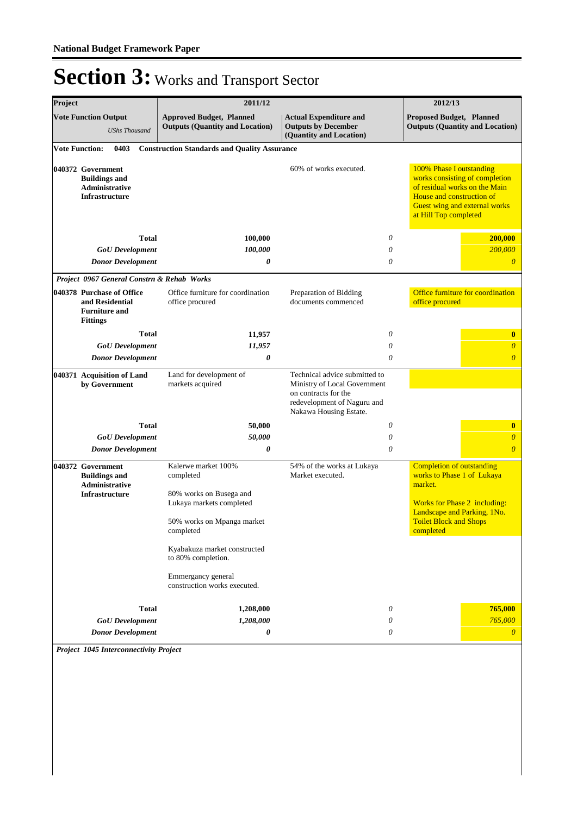| Project                                                                              |                                                                                             | 2011/12                                                                                                                            |                                                                                                                                                | 2012/13                                                                                                                 |                                                                                                  |
|--------------------------------------------------------------------------------------|---------------------------------------------------------------------------------------------|------------------------------------------------------------------------------------------------------------------------------------|------------------------------------------------------------------------------------------------------------------------------------------------|-------------------------------------------------------------------------------------------------------------------------|--------------------------------------------------------------------------------------------------|
|                                                                                      | <b>Vote Function Output</b><br><b>UShs Thousand</b>                                         | <b>Approved Budget, Planned</b><br><b>Outputs (Quantity and Location)</b>                                                          | <b>Actual Expenditure and</b><br><b>Outputs by December</b><br>(Quantity and Location)                                                         | Proposed Budget, Planned                                                                                                | <b>Outputs (Quantity and Location)</b>                                                           |
| <b>Vote Function:</b>                                                                | 0403                                                                                        | <b>Construction Standards and Quality Assurance</b>                                                                                |                                                                                                                                                |                                                                                                                         |                                                                                                  |
| 040372 Government<br><b>Buildings and</b><br>Administrative<br><b>Infrastructure</b> |                                                                                             |                                                                                                                                    | 60% of works executed.                                                                                                                         | 100% Phase I outstanding<br>House and construction of<br>at Hill Top completed                                          | works consisting of completion<br>of residual works on the Main<br>Guest wing and external works |
|                                                                                      | <b>Total</b>                                                                                | 100,000                                                                                                                            | 0                                                                                                                                              |                                                                                                                         | 200,000                                                                                          |
|                                                                                      | <b>GoU</b> Development                                                                      | 100,000                                                                                                                            | 0                                                                                                                                              |                                                                                                                         | 200,000                                                                                          |
|                                                                                      | <b>Donor Development</b>                                                                    | 0                                                                                                                                  | 0                                                                                                                                              |                                                                                                                         | $\theta$                                                                                         |
|                                                                                      | Project 0967 General Constrn & Rehab Works                                                  |                                                                                                                                    |                                                                                                                                                |                                                                                                                         |                                                                                                  |
|                                                                                      | 040378 Purchase of Office<br>and Residential<br><b>Furniture and</b><br><b>Fittings</b>     | Office furniture for coordination<br>office procured                                                                               | Preparation of Bidding<br>documents commenced                                                                                                  | office procured                                                                                                         | Office furniture for coordination                                                                |
|                                                                                      | <b>Total</b>                                                                                | 11,957                                                                                                                             | 0                                                                                                                                              |                                                                                                                         | $\bf{0}$                                                                                         |
|                                                                                      | <b>GoU</b> Development                                                                      | 11,957                                                                                                                             | $\theta$                                                                                                                                       |                                                                                                                         | $\boldsymbol{0}$                                                                                 |
|                                                                                      | <b>Donor Development</b>                                                                    | 0                                                                                                                                  | $\theta$                                                                                                                                       |                                                                                                                         | $\boldsymbol{\theta}$                                                                            |
|                                                                                      | 040371 Acquisition of Land<br>by Government                                                 | Land for development of<br>markets acquired                                                                                        | Technical advice submitted to<br>Ministry of Local Government<br>on contracts for the<br>redevelopment of Naguru and<br>Nakawa Housing Estate. |                                                                                                                         |                                                                                                  |
|                                                                                      | <b>Total</b>                                                                                | 50,000                                                                                                                             | 0                                                                                                                                              |                                                                                                                         | $\bf{0}$                                                                                         |
|                                                                                      | <b>GoU</b> Development                                                                      | 50,000                                                                                                                             | 0                                                                                                                                              |                                                                                                                         | $\overline{0}$                                                                                   |
|                                                                                      | <b>Donor Development</b>                                                                    | $\boldsymbol{\theta}$                                                                                                              | $\theta$                                                                                                                                       |                                                                                                                         | $\overline{0}$                                                                                   |
|                                                                                      | 040372 Government<br><b>Buildings and</b><br><b>Administrative</b><br><b>Infrastructure</b> | Kalerwe market 100%<br>completed<br>80% works on Busega and<br>Lukaya markets completed<br>50% works on Mpanga market<br>completed | 54% of the works at Lukaya<br>Market executed.                                                                                                 | <b>Completion of outstanding</b><br>works to Phase 1 of Lukaya<br>market.<br><b>Toilet Block and Shops</b><br>completed | Works for Phase 2 including:<br>Landscape and Parking, 1No.                                      |
|                                                                                      |                                                                                             | Kyabakuza market constructed<br>to 80% completion.<br>Emmergancy general<br>construction works executed.                           |                                                                                                                                                |                                                                                                                         |                                                                                                  |
|                                                                                      | <b>Total</b>                                                                                | 1,208,000                                                                                                                          | 0                                                                                                                                              |                                                                                                                         | 765,000                                                                                          |
|                                                                                      | <b>GoU</b> Development                                                                      | 1,208,000                                                                                                                          | 0                                                                                                                                              |                                                                                                                         | 765,000                                                                                          |
|                                                                                      | <b>Donor Development</b>                                                                    | 0                                                                                                                                  | 0                                                                                                                                              |                                                                                                                         | $\theta$                                                                                         |

*Project 1045 Interconnectivity Project*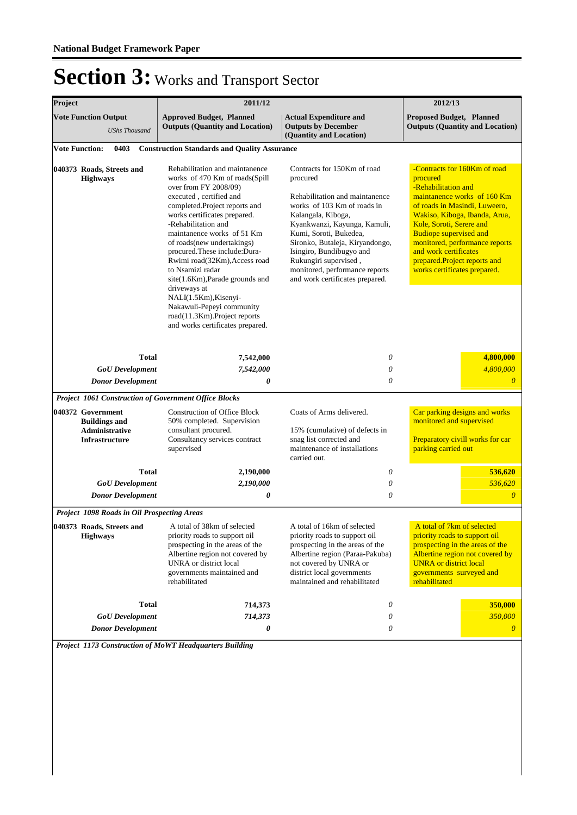| Project                                                                                     | 2011/12                                                                                                                                                                                                                                                                                                                                                                                                                                                                                                                                    |                                                                                                                                                                                                                                                                                                                                                       | 2012/13                                                                                                                                                                                                                                                                                                                                                  |
|---------------------------------------------------------------------------------------------|--------------------------------------------------------------------------------------------------------------------------------------------------------------------------------------------------------------------------------------------------------------------------------------------------------------------------------------------------------------------------------------------------------------------------------------------------------------------------------------------------------------------------------------------|-------------------------------------------------------------------------------------------------------------------------------------------------------------------------------------------------------------------------------------------------------------------------------------------------------------------------------------------------------|----------------------------------------------------------------------------------------------------------------------------------------------------------------------------------------------------------------------------------------------------------------------------------------------------------------------------------------------------------|
| <b>Vote Function Output</b><br><b>UShs Thousand</b>                                         | <b>Approved Budget, Planned</b><br><b>Outputs (Quantity and Location)</b>                                                                                                                                                                                                                                                                                                                                                                                                                                                                  | <b>Actual Expenditure and</b><br><b>Outputs by December</b><br>(Quantity and Location)                                                                                                                                                                                                                                                                | <b>Proposed Budget, Planned</b><br><b>Outputs (Quantity and Location)</b>                                                                                                                                                                                                                                                                                |
| <b>Vote Function:</b><br>0403                                                               | <b>Construction Standards and Quality Assurance</b>                                                                                                                                                                                                                                                                                                                                                                                                                                                                                        |                                                                                                                                                                                                                                                                                                                                                       |                                                                                                                                                                                                                                                                                                                                                          |
| 040373 Roads, Streets and<br><b>Highways</b>                                                | Rehabilitation and maintanence<br>works of 470 Km of roads(Spill<br>over from FY 2008/09)<br>executed, certified and<br>completed.Project reports and<br>works certificates prepared.<br>-Rehabilitation and<br>maintanence works of 51 Km<br>of roads(new undertakings)<br>procured.These include:Dura-<br>Rwimi road(32Km), Access road<br>to Nsamizi radar<br>site(1.6Km), Parade grounds and<br>driveways at<br>NALI(1.5Km), Kisenyi-<br>Nakawuli-Pepeyi community<br>road(11.3Km).Project reports<br>and works certificates prepared. | Contracts for 150Km of road<br>procured<br>Rehabilitation and maintanence<br>works of 103 Km of roads in<br>Kalangala, Kiboga,<br>Kyankwanzi, Kayunga, Kamuli,<br>Kumi, Soroti, Bukedea,<br>Sironko, Butaleja, Kiryandongo,<br>Isingiro, Bundibugyo and<br>Rukungiri supervised,<br>monitored, performance reports<br>and work certificates prepared. | -Contracts for 160Km of road<br>procured<br>-Rehabilitation and<br>maintanence works of 160 Km<br>of roads in Masindi, Luweero,<br>Wakiso, Kiboga, Ibanda, Arua,<br>Kole, Soroti, Serere and<br><b>Budiope supervised and</b><br>monitored, performance reports<br>and work certificates<br>prepared.Project reports and<br>works certificates prepared. |
| <b>Total</b>                                                                                | 7,542,000                                                                                                                                                                                                                                                                                                                                                                                                                                                                                                                                  | 0                                                                                                                                                                                                                                                                                                                                                     | 4,800,000                                                                                                                                                                                                                                                                                                                                                |
| <b>GoU</b> Development                                                                      | 7,542,000                                                                                                                                                                                                                                                                                                                                                                                                                                                                                                                                  | 0                                                                                                                                                                                                                                                                                                                                                     | 4,800,000                                                                                                                                                                                                                                                                                                                                                |
| <b>Donor Development</b>                                                                    | 0                                                                                                                                                                                                                                                                                                                                                                                                                                                                                                                                          | 0                                                                                                                                                                                                                                                                                                                                                     | $\overline{0}$                                                                                                                                                                                                                                                                                                                                           |
| <b>Project 1061 Construction of Government Office Blocks</b>                                |                                                                                                                                                                                                                                                                                                                                                                                                                                                                                                                                            |                                                                                                                                                                                                                                                                                                                                                       |                                                                                                                                                                                                                                                                                                                                                          |
| 040372 Government<br><b>Buildings and</b><br><b>Administrative</b><br><b>Infrastructure</b> | <b>Construction of Office Block</b><br>50% completed. Supervision<br>consultant procured.<br>Consultancy services contract<br>supervised                                                                                                                                                                                                                                                                                                                                                                                                   | Coats of Arms delivered.<br>15% (cumulative) of defects in<br>snag list corrected and<br>maintenance of installations<br>carried out.                                                                                                                                                                                                                 | Car parking designs and works<br>monitored and supervised<br>Preparatory civill works for car<br>parking carried out                                                                                                                                                                                                                                     |
| <b>Total</b>                                                                                | 2,190,000                                                                                                                                                                                                                                                                                                                                                                                                                                                                                                                                  | 0                                                                                                                                                                                                                                                                                                                                                     | 536,620                                                                                                                                                                                                                                                                                                                                                  |
| <b>GoU</b> Development                                                                      | 2,190,000                                                                                                                                                                                                                                                                                                                                                                                                                                                                                                                                  | 0                                                                                                                                                                                                                                                                                                                                                     | 536,620                                                                                                                                                                                                                                                                                                                                                  |
| <b>Donor Development</b>                                                                    | 0                                                                                                                                                                                                                                                                                                                                                                                                                                                                                                                                          | 0                                                                                                                                                                                                                                                                                                                                                     | $\overline{0}$                                                                                                                                                                                                                                                                                                                                           |
| <b>Project 1098 Roads in Oil Prospecting Areas</b>                                          |                                                                                                                                                                                                                                                                                                                                                                                                                                                                                                                                            |                                                                                                                                                                                                                                                                                                                                                       |                                                                                                                                                                                                                                                                                                                                                          |
| 040373 Roads, Streets and A total of 38km of selected<br><b>Highways</b>                    | priority roads to support oil<br>prospecting in the areas of the<br>Albertine region not covered by<br>UNRA or district local<br>governments maintained and<br>rehabilitated                                                                                                                                                                                                                                                                                                                                                               | A total of 16km of selected<br>priority roads to support oil<br>prospecting in the areas of the<br>Albertine region (Paraa-Pakuba)<br>not covered by UNRA or<br>district local governments<br>maintained and rehabilitated                                                                                                                            | A total of 7km of selected<br>priority roads to support oil<br>prospecting in the areas of the<br>Albertine region not covered by<br><b>UNRA</b> or district local<br>governments surveyed and<br>rehabilitated                                                                                                                                          |
|                                                                                             |                                                                                                                                                                                                                                                                                                                                                                                                                                                                                                                                            |                                                                                                                                                                                                                                                                                                                                                       |                                                                                                                                                                                                                                                                                                                                                          |
| Total                                                                                       | 714,373                                                                                                                                                                                                                                                                                                                                                                                                                                                                                                                                    | 0                                                                                                                                                                                                                                                                                                                                                     | 350,000<br>350,000                                                                                                                                                                                                                                                                                                                                       |
| <b>GoU</b> Development<br><b>Donor Development</b>                                          | 714,373<br>0                                                                                                                                                                                                                                                                                                                                                                                                                                                                                                                               | 0<br>$\boldsymbol{\mathit{0}}$                                                                                                                                                                                                                                                                                                                        | $\theta$                                                                                                                                                                                                                                                                                                                                                 |

*Project 1173 Construction of MoWT Headquarters Building*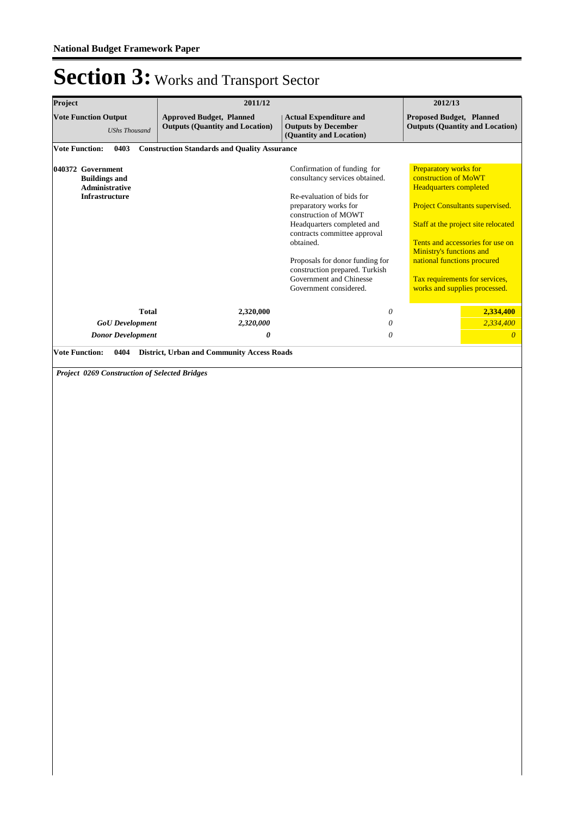| Project                                                                       | 2011/12                                                                   |                                                                                                                                                                                                                                                                                                                                                  | 2012/13                                                                                                                                                                                                                                                                                                                                  |  |  |
|-------------------------------------------------------------------------------|---------------------------------------------------------------------------|--------------------------------------------------------------------------------------------------------------------------------------------------------------------------------------------------------------------------------------------------------------------------------------------------------------------------------------------------|------------------------------------------------------------------------------------------------------------------------------------------------------------------------------------------------------------------------------------------------------------------------------------------------------------------------------------------|--|--|
| <b>Vote Function Output</b><br><b>UShs Thousand</b>                           | <b>Approved Budget, Planned</b><br><b>Outputs (Quantity and Location)</b> | <b>Actual Expenditure and</b><br><b>Outputs by December</b><br>(Quantity and Location)                                                                                                                                                                                                                                                           | Proposed Budget, Planned<br><b>Outputs (Quantity and Location)</b>                                                                                                                                                                                                                                                                       |  |  |
| <b>Vote Function:</b><br>0403                                                 | <b>Construction Standards and Quality Assurance</b>                       |                                                                                                                                                                                                                                                                                                                                                  |                                                                                                                                                                                                                                                                                                                                          |  |  |
| 040372 Government<br><b>Buildings and</b><br>Administrative<br>Infrastructure |                                                                           | Confirmation of funding for<br>consultancy services obtained.<br>Re-evaluation of bids for<br>preparatory works for<br>construction of MOWT<br>Headquarters completed and<br>contracts committee approval<br>obtained.<br>Proposals for donor funding for<br>construction prepared. Turkish<br>Government and Chinesse<br>Government considered. | Preparatory works for<br>construction of MoWT<br><b>Headquarters completed</b><br><b>Project Consultants supervised.</b><br>Staff at the project site relocated<br>Tents and accessories for use on<br><b>Ministry's functions and</b><br>national functions procured<br>Tax requirements for services,<br>works and supplies processed. |  |  |
| <b>Total</b>                                                                  | 2,320,000                                                                 | $\boldsymbol{\theta}$                                                                                                                                                                                                                                                                                                                            | 2,334,400                                                                                                                                                                                                                                                                                                                                |  |  |
| <b>GoU</b> Development                                                        | 2,320,000                                                                 | $\boldsymbol{\theta}$                                                                                                                                                                                                                                                                                                                            | 2,334,400                                                                                                                                                                                                                                                                                                                                |  |  |
| <b>Donor Development</b>                                                      | 0                                                                         | $\theta$                                                                                                                                                                                                                                                                                                                                         | $\overline{0}$                                                                                                                                                                                                                                                                                                                           |  |  |
|                                                                               |                                                                           |                                                                                                                                                                                                                                                                                                                                                  |                                                                                                                                                                                                                                                                                                                                          |  |  |
|                                                                               |                                                                           |                                                                                                                                                                                                                                                                                                                                                  |                                                                                                                                                                                                                                                                                                                                          |  |  |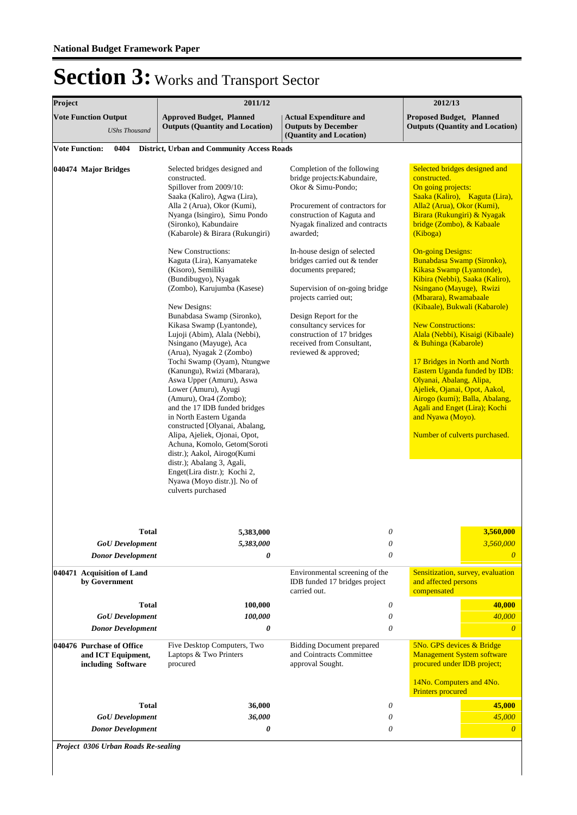| Project |                                                                       | 2011/12                                                                                                                                                                                                                                                                                                                                                                                                                                                                                                                                                                                                                                                                                                                                                                                                                                                                                                                                                                                              |                                                                                                                                                                                                                                                                                                                                                                                                                                                                                          | 2012/13                                                                                                                                                                                                                                                                                                                                                                                                                                                                                                                                                                                                                                                                                                                                                                      |
|---------|-----------------------------------------------------------------------|------------------------------------------------------------------------------------------------------------------------------------------------------------------------------------------------------------------------------------------------------------------------------------------------------------------------------------------------------------------------------------------------------------------------------------------------------------------------------------------------------------------------------------------------------------------------------------------------------------------------------------------------------------------------------------------------------------------------------------------------------------------------------------------------------------------------------------------------------------------------------------------------------------------------------------------------------------------------------------------------------|------------------------------------------------------------------------------------------------------------------------------------------------------------------------------------------------------------------------------------------------------------------------------------------------------------------------------------------------------------------------------------------------------------------------------------------------------------------------------------------|------------------------------------------------------------------------------------------------------------------------------------------------------------------------------------------------------------------------------------------------------------------------------------------------------------------------------------------------------------------------------------------------------------------------------------------------------------------------------------------------------------------------------------------------------------------------------------------------------------------------------------------------------------------------------------------------------------------------------------------------------------------------------|
|         | <b>Vote Function Output</b><br><b>UShs Thousand</b>                   | <b>Approved Budget, Planned</b><br><b>Outputs (Quantity and Location)</b>                                                                                                                                                                                                                                                                                                                                                                                                                                                                                                                                                                                                                                                                                                                                                                                                                                                                                                                            | <b>Actual Expenditure and</b><br><b>Outputs by December</b><br>(Quantity and Location)                                                                                                                                                                                                                                                                                                                                                                                                   | <b>Proposed Budget, Planned</b><br><b>Outputs (Quantity and Location)</b>                                                                                                                                                                                                                                                                                                                                                                                                                                                                                                                                                                                                                                                                                                    |
|         | <b>Vote Function:</b><br>0404                                         | <b>District, Urban and Community Access Roads</b>                                                                                                                                                                                                                                                                                                                                                                                                                                                                                                                                                                                                                                                                                                                                                                                                                                                                                                                                                    |                                                                                                                                                                                                                                                                                                                                                                                                                                                                                          |                                                                                                                                                                                                                                                                                                                                                                                                                                                                                                                                                                                                                                                                                                                                                                              |
|         | 040474 Major Bridges                                                  | Selected bridges designed and<br>constructed.<br>Spillover from 2009/10:<br>Saaka (Kaliro), Agwa (Lira),<br>Alla 2 (Arua), Okor (Kumi),<br>Nyanga (Isingiro), Simu Pondo<br>(Sironko), Kabundaire<br>(Kabarole) & Birara (Rukungiri)<br>New Constructions:<br>Kaguta (Lira), Kanyamateke<br>(Kisoro), Semiliki<br>(Bundibugyo), Nyagak<br>(Zombo), Karujumba (Kasese)<br>New Designs:<br>Bunabdasa Swamp (Sironko),<br>Kikasa Swamp (Lyantonde),<br>Lujoji (Abim), Alala (Nebbi),<br>Nsingano (Mayuge), Aca<br>(Arua), Nyagak 2 (Zombo)<br>Tochi Swamp (Oyam), Ntungwe<br>(Kanungu), Rwizi (Mbarara),<br>Aswa Upper (Amuru), Aswa<br>Lower (Amuru), Ayugi<br>(Amuru), Ora4 (Zombo);<br>and the 17 IDB funded bridges<br>in North Eastern Uganda<br>constructed [Olyanai, Abalang,<br>Alipa, Ajeliek, Ojonai, Opot,<br>Achuna, Komolo, Getom(Soroti<br>distr.); Aakol, Airogo(Kumi<br>distr.); Abalang 3, Agali,<br>Enget(Lira distr.); Kochi 2,<br>Nyawa (Moyo distr.)]. No of<br>culverts purchased | Completion of the following<br>bridge projects: Kabundaire,<br>Okor & Simu-Pondo;<br>Procurement of contractors for<br>construction of Kaguta and<br>Nyagak finalized and contracts<br>awarded;<br>In-house design of selected<br>bridges carried out & tender<br>documents prepared;<br>Supervision of on-going bridge<br>projects carried out;<br>Design Report for the<br>consultancy services for<br>construction of 17 bridges<br>received from Consultant,<br>reviewed & approved; | Selected bridges designed and<br>constructed.<br>On going projects:<br>Saaka (Kaliro), Kaguta (Lira),<br>Alla2 (Arua), Okor (Kumi),<br>Birara (Rukungiri) & Nyagak<br>bridge (Zombo), & Kabaale<br>(Kiboga)<br><b>On-going Designs:</b><br>Bunabdasa Swamp (Sironko),<br>Kikasa Swamp (Lyantonde),<br>Kibira (Nebbi), Saaka (Kaliro),<br>Nsingano (Mayuge), Rwizi<br>(Mbarara), Rwamabaale<br>(Kibaale), Bukwali (Kabarole)<br><b>New Constructions:</b><br>Alala (Nebbi), Kisaigi (Kibaale)<br>& Buhinga (Kabarole)<br>17 Bridges in North and North<br>Eastern Uganda funded by IDB:<br>Olyanai, Abalang, Alipa,<br>Ajeliek, Ojanai, Opot, Aakol,<br>Airogo (kumi); Balla, Abalang,<br>Agali and Enget (Lira); Kochi<br>and Nyawa (Moyo).<br>Number of culverts purchased. |
|         | <b>Total</b>                                                          | 5,383,000                                                                                                                                                                                                                                                                                                                                                                                                                                                                                                                                                                                                                                                                                                                                                                                                                                                                                                                                                                                            | 0                                                                                                                                                                                                                                                                                                                                                                                                                                                                                        | 3,560,000                                                                                                                                                                                                                                                                                                                                                                                                                                                                                                                                                                                                                                                                                                                                                                    |
|         | <b>GoU</b> Development                                                | 5,383,000                                                                                                                                                                                                                                                                                                                                                                                                                                                                                                                                                                                                                                                                                                                                                                                                                                                                                                                                                                                            | 0                                                                                                                                                                                                                                                                                                                                                                                                                                                                                        | 3,560,000                                                                                                                                                                                                                                                                                                                                                                                                                                                                                                                                                                                                                                                                                                                                                                    |
|         | <b>Donor Development</b>                                              | 0                                                                                                                                                                                                                                                                                                                                                                                                                                                                                                                                                                                                                                                                                                                                                                                                                                                                                                                                                                                                    | $\theta$                                                                                                                                                                                                                                                                                                                                                                                                                                                                                 | $\theta$                                                                                                                                                                                                                                                                                                                                                                                                                                                                                                                                                                                                                                                                                                                                                                     |
|         | 040471 Acquisition of Land<br>by Government                           |                                                                                                                                                                                                                                                                                                                                                                                                                                                                                                                                                                                                                                                                                                                                                                                                                                                                                                                                                                                                      | Environmental screening of the<br>IDB funded 17 bridges project<br>carried out.                                                                                                                                                                                                                                                                                                                                                                                                          | Sensitization, survey, evaluation<br>and affected persons<br>compensated                                                                                                                                                                                                                                                                                                                                                                                                                                                                                                                                                                                                                                                                                                     |
|         | <b>Total</b>                                                          | 100,000                                                                                                                                                                                                                                                                                                                                                                                                                                                                                                                                                                                                                                                                                                                                                                                                                                                                                                                                                                                              | 0                                                                                                                                                                                                                                                                                                                                                                                                                                                                                        | 40,000                                                                                                                                                                                                                                                                                                                                                                                                                                                                                                                                                                                                                                                                                                                                                                       |
|         | <b>GoU</b> Development                                                | 100,000                                                                                                                                                                                                                                                                                                                                                                                                                                                                                                                                                                                                                                                                                                                                                                                                                                                                                                                                                                                              | 0                                                                                                                                                                                                                                                                                                                                                                                                                                                                                        | 40,000                                                                                                                                                                                                                                                                                                                                                                                                                                                                                                                                                                                                                                                                                                                                                                       |
|         | <b>Donor Development</b>                                              | 0                                                                                                                                                                                                                                                                                                                                                                                                                                                                                                                                                                                                                                                                                                                                                                                                                                                                                                                                                                                                    | 0                                                                                                                                                                                                                                                                                                                                                                                                                                                                                        | $\theta$                                                                                                                                                                                                                                                                                                                                                                                                                                                                                                                                                                                                                                                                                                                                                                     |
|         | 040476 Purchase of Office<br>and ICT Equipment,<br>including Software | Five Desktop Computers, Two<br>Laptops & Two Printers<br>procured                                                                                                                                                                                                                                                                                                                                                                                                                                                                                                                                                                                                                                                                                                                                                                                                                                                                                                                                    | <b>Bidding Document prepared</b><br>and Cointracts Committee<br>approval Sought.                                                                                                                                                                                                                                                                                                                                                                                                         | 5No. GPS devices & Bridge<br><b>Management System software</b><br>procured under IDB project;<br>14No. Computers and 4No.<br><b>Printers procured</b>                                                                                                                                                                                                                                                                                                                                                                                                                                                                                                                                                                                                                        |
|         | <b>Total</b>                                                          | 36,000                                                                                                                                                                                                                                                                                                                                                                                                                                                                                                                                                                                                                                                                                                                                                                                                                                                                                                                                                                                               | 0                                                                                                                                                                                                                                                                                                                                                                                                                                                                                        | 45,000                                                                                                                                                                                                                                                                                                                                                                                                                                                                                                                                                                                                                                                                                                                                                                       |
|         | <b>GoU</b> Development                                                | 36,000                                                                                                                                                                                                                                                                                                                                                                                                                                                                                                                                                                                                                                                                                                                                                                                                                                                                                                                                                                                               | 0                                                                                                                                                                                                                                                                                                                                                                                                                                                                                        | 45,000                                                                                                                                                                                                                                                                                                                                                                                                                                                                                                                                                                                                                                                                                                                                                                       |
|         | <b>Donor Development</b>                                              | 0                                                                                                                                                                                                                                                                                                                                                                                                                                                                                                                                                                                                                                                                                                                                                                                                                                                                                                                                                                                                    | 0                                                                                                                                                                                                                                                                                                                                                                                                                                                                                        | $\theta$                                                                                                                                                                                                                                                                                                                                                                                                                                                                                                                                                                                                                                                                                                                                                                     |
|         |                                                                       |                                                                                                                                                                                                                                                                                                                                                                                                                                                                                                                                                                                                                                                                                                                                                                                                                                                                                                                                                                                                      |                                                                                                                                                                                                                                                                                                                                                                                                                                                                                          |                                                                                                                                                                                                                                                                                                                                                                                                                                                                                                                                                                                                                                                                                                                                                                              |

*Project 0306 Urban Roads Re-sealing*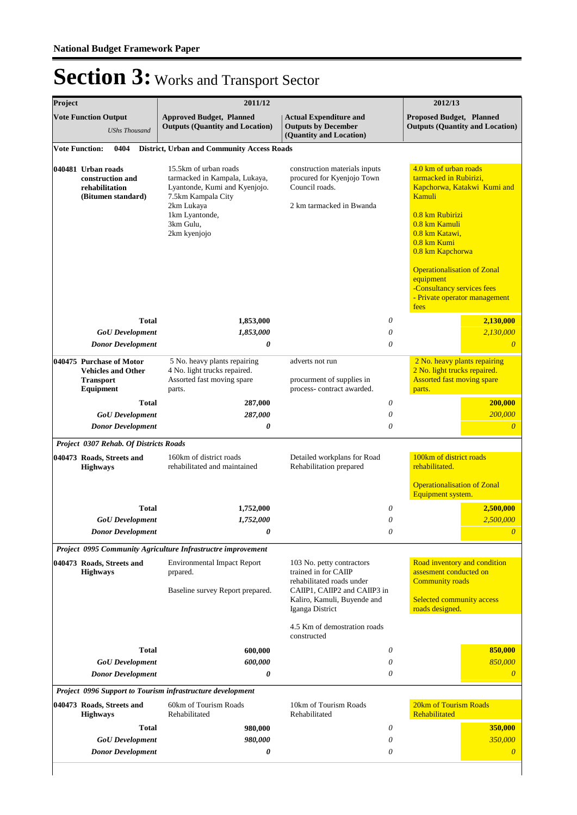| Project |                                                                                                                    | 2011/12                                                                                                                                                                    |                                                                                                                                                                  | 2012/13                                                                                                                                                                                                                                                                                                     |
|---------|--------------------------------------------------------------------------------------------------------------------|----------------------------------------------------------------------------------------------------------------------------------------------------------------------------|------------------------------------------------------------------------------------------------------------------------------------------------------------------|-------------------------------------------------------------------------------------------------------------------------------------------------------------------------------------------------------------------------------------------------------------------------------------------------------------|
|         | <b>Vote Function Output</b><br><b>UShs Thousand</b>                                                                | <b>Approved Budget, Planned</b><br><b>Outputs (Quantity and Location)</b>                                                                                                  | <b>Actual Expenditure and</b><br><b>Outputs by December</b><br>(Quantity and Location)                                                                           | <b>Proposed Budget, Planned</b><br><b>Outputs (Quantity and Location)</b>                                                                                                                                                                                                                                   |
|         | <b>Vote Function:</b><br>0404                                                                                      | <b>District, Urban and Community Access Roads</b>                                                                                                                          |                                                                                                                                                                  |                                                                                                                                                                                                                                                                                                             |
|         | 040481 Urban roads<br>construction and<br>rehabilitation<br>(Bitumen standard)                                     | 15.5km of urban roads<br>tarmacked in Kampala, Lukaya,<br>Lyantonde, Kumi and Kyenjojo.<br>7.5km Kampala City<br>2km Lukaya<br>1km Lyantonde,<br>3km Gulu,<br>2km kyenjojo | construction materials inputs<br>procured for Kyenjojo Town<br>Council roads.<br>2 km tarmacked in Bwanda                                                        | 4.0 km of urban roads<br>tarmacked in Rubirizi,<br>Kapchorwa, Katakwi Kumi and<br>Kamuli<br>0.8 km Rubirizi<br>0.8 km Kamuli<br>0.8 km Katawi,<br>0.8 km Kumi<br>0.8 km Kapchorwa<br><b>Operationalisation of Zonal</b><br>equipment<br>-Consultancy services fees<br>- Private operator management<br>fees |
|         | Total                                                                                                              | 1,853,000                                                                                                                                                                  | 0                                                                                                                                                                | 2,130,000                                                                                                                                                                                                                                                                                                   |
|         | <b>GoU</b> Development                                                                                             | 1,853,000                                                                                                                                                                  | 0                                                                                                                                                                | 2,130,000                                                                                                                                                                                                                                                                                                   |
|         | <b>Donor Development</b><br>040475 Purchase of Motor<br><b>Vehicles and Other</b><br><b>Transport</b><br>Equipment | 0<br>5 No. heavy plants repairing<br>4 No. light trucks repaired.<br>Assorted fast moving spare<br>parts.                                                                  | $\theta$<br>adverts not run<br>procurment of supplies in<br>process-contract awarded.                                                                            | $\overline{0}$<br>2 No. heavy plants repairing<br>2 No. light trucks repaired.<br><b>Assorted fast moving spare</b><br>parts.                                                                                                                                                                               |
|         | <b>Total</b>                                                                                                       | 287,000                                                                                                                                                                    | 0                                                                                                                                                                | 200,000                                                                                                                                                                                                                                                                                                     |
|         | <b>GoU</b> Development                                                                                             | 287,000                                                                                                                                                                    | 0                                                                                                                                                                | 200,000                                                                                                                                                                                                                                                                                                     |
|         | <b>Donor Development</b>                                                                                           | 0                                                                                                                                                                          | $\theta$                                                                                                                                                         | $\overline{\theta}$                                                                                                                                                                                                                                                                                         |
|         | <b>Project 0307 Rehab. Of Districts Roads</b>                                                                      |                                                                                                                                                                            |                                                                                                                                                                  |                                                                                                                                                                                                                                                                                                             |
|         | 040473 Roads, Streets and<br><b>Highways</b>                                                                       | 160km of district roads<br>rehabilitated and maintained                                                                                                                    | Detailed workplans for Road<br>Rehabilitation prepared                                                                                                           | 100km of district roads<br>rehabilitated.<br><b>Operationalisation of Zonal</b><br>Equipment system.                                                                                                                                                                                                        |
|         | Total                                                                                                              | 1,752,000                                                                                                                                                                  | 0                                                                                                                                                                | 2,500,000                                                                                                                                                                                                                                                                                                   |
|         | <b>GoU</b> Development                                                                                             | 1,752,000                                                                                                                                                                  | $\theta$                                                                                                                                                         | 2,500,000                                                                                                                                                                                                                                                                                                   |
|         | <b>Donor Development</b>                                                                                           | 0                                                                                                                                                                          | 0                                                                                                                                                                | $\boldsymbol{\theta}$                                                                                                                                                                                                                                                                                       |
|         |                                                                                                                    | Project 0995 Community Agriculture Infrastructre improvement                                                                                                               |                                                                                                                                                                  |                                                                                                                                                                                                                                                                                                             |
|         | 040473 Roads, Streets and<br><b>Highways</b>                                                                       | <b>Environmental Impact Report</b><br>prpared.<br>Baseline survey Report prepared.                                                                                         | 103 No. petty contractors<br>trained in for CAIIP<br>rehabilitated roads under<br>CAIIP1, CAIIP2 and CAIIP3 in<br>Kaliro, Kamuli, Buyende and<br>Iganga District | Road inventory and condition<br>assesment conducted on<br><b>Community roads</b><br>Selected community access<br>roads designed.                                                                                                                                                                            |
|         |                                                                                                                    |                                                                                                                                                                            | 4.5 Km of demostration roads<br>constructed                                                                                                                      |                                                                                                                                                                                                                                                                                                             |
|         | Total                                                                                                              | 600,000                                                                                                                                                                    | 0                                                                                                                                                                | 850,000                                                                                                                                                                                                                                                                                                     |
|         | <b>GoU</b> Development                                                                                             | 600,000                                                                                                                                                                    | 0                                                                                                                                                                | 850,000                                                                                                                                                                                                                                                                                                     |
|         | <b>Donor Development</b>                                                                                           | 0                                                                                                                                                                          | 0                                                                                                                                                                | $\boldsymbol{\theta}$                                                                                                                                                                                                                                                                                       |
|         |                                                                                                                    | Project 0996 Support to Tourism infrastructure development                                                                                                                 |                                                                                                                                                                  |                                                                                                                                                                                                                                                                                                             |
|         | 040473 Roads, Streets and<br><b>Highways</b>                                                                       | 60km of Tourism Roads<br>Rehabilitated                                                                                                                                     | 10km of Tourism Roads<br>Rehabilitated                                                                                                                           | 20km of Tourism Roads<br>Rehabilitated                                                                                                                                                                                                                                                                      |
|         | <b>Total</b>                                                                                                       | 980,000                                                                                                                                                                    | 0                                                                                                                                                                | 350,000                                                                                                                                                                                                                                                                                                     |
|         | <b>GoU</b> Development<br><b>Donor Development</b>                                                                 | 980,000<br>0                                                                                                                                                               | 0<br>0                                                                                                                                                           | 350,000<br>$\overline{0}$                                                                                                                                                                                                                                                                                   |
|         |                                                                                                                    |                                                                                                                                                                            |                                                                                                                                                                  |                                                                                                                                                                                                                                                                                                             |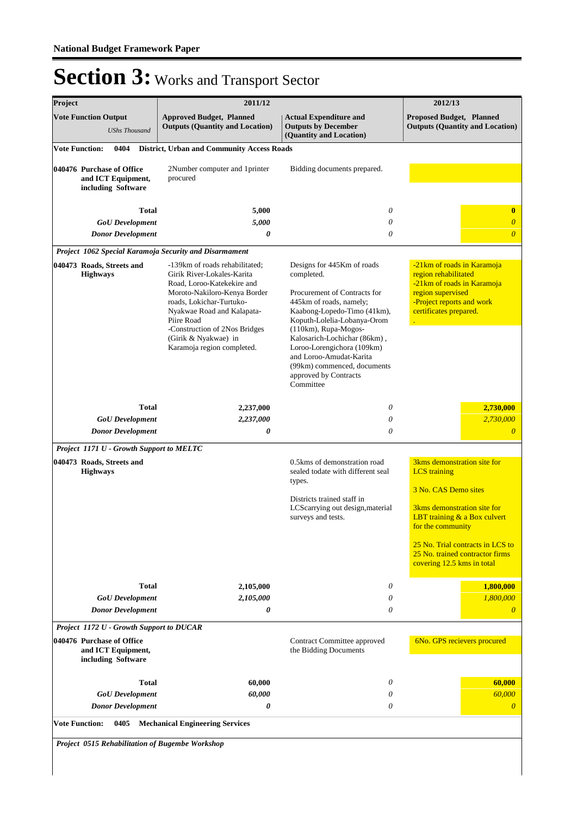| Project                                                               | 2011/12                                                                                                                                                                                                                                                                                   |                                                                                                                                                                                                                                                                                                                                                         | 2012/13                                                                                                                                                                                                                                                                         |
|-----------------------------------------------------------------------|-------------------------------------------------------------------------------------------------------------------------------------------------------------------------------------------------------------------------------------------------------------------------------------------|---------------------------------------------------------------------------------------------------------------------------------------------------------------------------------------------------------------------------------------------------------------------------------------------------------------------------------------------------------|---------------------------------------------------------------------------------------------------------------------------------------------------------------------------------------------------------------------------------------------------------------------------------|
| <b>Vote Function Output</b><br><b>UShs Thousand</b>                   | <b>Approved Budget, Planned</b><br><b>Outputs (Quantity and Location)</b>                                                                                                                                                                                                                 | <b>Actual Expenditure and</b><br><b>Outputs by December</b><br>(Quantity and Location)                                                                                                                                                                                                                                                                  | <b>Proposed Budget, Planned</b><br><b>Outputs (Quantity and Location)</b>                                                                                                                                                                                                       |
| <b>Vote Function:</b><br>0404                                         | <b>District, Urban and Community Access Roads</b>                                                                                                                                                                                                                                         |                                                                                                                                                                                                                                                                                                                                                         |                                                                                                                                                                                                                                                                                 |
| 040476 Purchase of Office<br>and ICT Equipment,<br>including Software | 2Number computer and 1printer<br>procured                                                                                                                                                                                                                                                 | Bidding documents prepared.                                                                                                                                                                                                                                                                                                                             |                                                                                                                                                                                                                                                                                 |
| <b>Total</b>                                                          | 5,000                                                                                                                                                                                                                                                                                     | 0                                                                                                                                                                                                                                                                                                                                                       | $\bf{0}$                                                                                                                                                                                                                                                                        |
| <b>GoU</b> Development<br><b>Donor Development</b>                    | 5,000<br>0                                                                                                                                                                                                                                                                                | 0<br>0                                                                                                                                                                                                                                                                                                                                                  | $\overline{0}$<br>$\overline{0}$                                                                                                                                                                                                                                                |
| Project 1062 Special Karamoja Security and Disarmament                |                                                                                                                                                                                                                                                                                           |                                                                                                                                                                                                                                                                                                                                                         |                                                                                                                                                                                                                                                                                 |
| 040473 Roads, Streets and<br><b>Highways</b>                          | -139km of roads rehabilitated;<br>Girik River-Lokales-Karita<br>Road, Loroo-Katekekire and<br>Moroto-Nakiloro-Kenya Border<br>roads, Lokichar-Turtuko-<br>Nyakwae Road and Kalapata-<br>Piire Road<br>-Construction of 2Nos Bridges<br>(Girik & Nyakwae) in<br>Karamoja region completed. | Designs for 445Km of roads<br>completed.<br>Procurement of Contracts for<br>445km of roads, namely;<br>Kaabong-Lopedo-Timo (41km),<br>Koputh-Lolelia-Lobanya-Orom<br>(110km), Rupa-Mogos-<br>Kalosarich-Lochichar (86km),<br>Loroo-Lorengichora (109km)<br>and Loroo-Amudat-Karita<br>(99km) commenced, documents<br>approved by Contracts<br>Committee | -21km of roads in Karamoja<br>region rehabilitated<br>-21km of roads in Karamoja<br>region supervised<br>-Project reports and work<br>certificates prepared.                                                                                                                    |
| <b>Total</b>                                                          | 2,237,000                                                                                                                                                                                                                                                                                 | 0                                                                                                                                                                                                                                                                                                                                                       | 2,730,000                                                                                                                                                                                                                                                                       |
| <b>GoU</b> Development<br><b>Donor Development</b>                    | 2,237,000<br>0                                                                                                                                                                                                                                                                            | 0<br>$\theta$                                                                                                                                                                                                                                                                                                                                           | 2,730,000<br>$\overline{\theta}$                                                                                                                                                                                                                                                |
| Project 1171 U - Growth Support to MELTC                              |                                                                                                                                                                                                                                                                                           |                                                                                                                                                                                                                                                                                                                                                         |                                                                                                                                                                                                                                                                                 |
| 040473 Roads, Streets and<br><b>Highways</b>                          |                                                                                                                                                                                                                                                                                           | 0.5 kms of demonstration road<br>sealed todate with different seal<br>types.<br>Districts trained staff in<br>LCScarrying out design, material<br>surveys and tests.                                                                                                                                                                                    | 3kms demonstration site for<br><b>LCS</b> training<br>3 No. CAS Demo sites<br>3 <sub>kms</sub> demonstration site for<br>LBT training & a Box culvert<br>for the community<br>25 No. Trial contracts in LCS to<br>25 No. trained contractor firms<br>covering 12.5 kms in total |
| <b>Total</b>                                                          | 2,105,000                                                                                                                                                                                                                                                                                 | 0                                                                                                                                                                                                                                                                                                                                                       | 1,800,000                                                                                                                                                                                                                                                                       |
| <b>GoU</b> Development<br><b>Donor Development</b>                    | 2,105,000<br>0                                                                                                                                                                                                                                                                            | 0<br>0                                                                                                                                                                                                                                                                                                                                                  | 1,800,000<br>$\overline{0}$                                                                                                                                                                                                                                                     |
| Project 1172 U - Growth Support to DUCAR                              |                                                                                                                                                                                                                                                                                           |                                                                                                                                                                                                                                                                                                                                                         |                                                                                                                                                                                                                                                                                 |
| 040476 Purchase of Office<br>and ICT Equipment,<br>including Software |                                                                                                                                                                                                                                                                                           | Contract Committee approved<br>the Bidding Documents                                                                                                                                                                                                                                                                                                    | 6No. GPS recievers procured                                                                                                                                                                                                                                                     |
| <b>Total</b>                                                          | 60,000                                                                                                                                                                                                                                                                                    | 0                                                                                                                                                                                                                                                                                                                                                       | 60,000                                                                                                                                                                                                                                                                          |
| <b>GoU</b> Development<br><b>Donor Development</b>                    | 60,000<br>0                                                                                                                                                                                                                                                                               | 0<br>0                                                                                                                                                                                                                                                                                                                                                  | 60,000<br>$\boldsymbol{\theta}$                                                                                                                                                                                                                                                 |
| <b>Vote Function:</b><br>0405                                         | <b>Mechanical Engineering Services</b>                                                                                                                                                                                                                                                    |                                                                                                                                                                                                                                                                                                                                                         |                                                                                                                                                                                                                                                                                 |
| Project 0515 Rehabilitation of Bugembe Workshop                       |                                                                                                                                                                                                                                                                                           |                                                                                                                                                                                                                                                                                                                                                         |                                                                                                                                                                                                                                                                                 |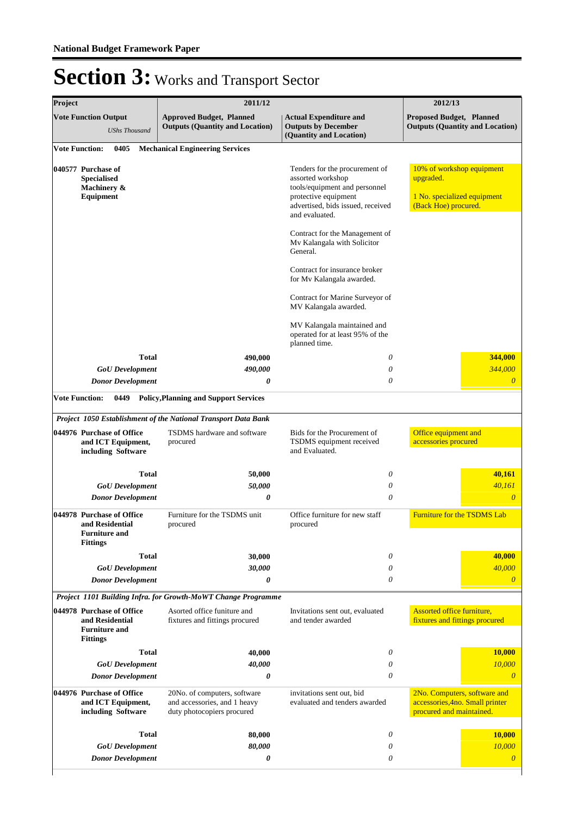| Project               |                                                                                         | 2011/12                                                                                    |                                                                                                                                                                                                                                                                                                                                                                                                                                                                | 2012/13                                                                                       |
|-----------------------|-----------------------------------------------------------------------------------------|--------------------------------------------------------------------------------------------|----------------------------------------------------------------------------------------------------------------------------------------------------------------------------------------------------------------------------------------------------------------------------------------------------------------------------------------------------------------------------------------------------------------------------------------------------------------|-----------------------------------------------------------------------------------------------|
|                       | <b>Vote Function Output</b><br><b>UShs Thousand</b>                                     | <b>Approved Budget, Planned</b><br><b>Outputs (Quantity and Location)</b>                  | <b>Actual Expenditure and</b><br><b>Outputs by December</b><br>(Quantity and Location)                                                                                                                                                                                                                                                                                                                                                                         | <b>Proposed Budget, Planned</b><br><b>Outputs (Quantity and Location)</b>                     |
| <b>Vote Function:</b> | 0405                                                                                    | <b>Mechanical Engineering Services</b>                                                     |                                                                                                                                                                                                                                                                                                                                                                                                                                                                |                                                                                               |
|                       | 040577 Purchase of<br><b>Specialised</b><br>Machinery &<br><b>Equipment</b>             |                                                                                            | Tenders for the procurement of<br>assorted workshop<br>tools/equipment and personnel<br>protective equipment<br>advertised, bids issued, received<br>and evaluated.<br>Contract for the Management of<br>Mv Kalangala with Solicitor<br>General.<br>Contract for insurance broker<br>for Mv Kalangala awarded.<br>Contract for Marine Surveyor of<br>MV Kalangala awarded.<br>MV Kalangala maintained and<br>operated for at least 95% of the<br>planned time. | 10% of workshop equipment<br>upgraded.<br>1 No. specialized equipment<br>(Back Hoe) procured. |
|                       | <b>Total</b>                                                                            | 490,000                                                                                    | 0                                                                                                                                                                                                                                                                                                                                                                                                                                                              | 344,000                                                                                       |
|                       | <b>GoU</b> Development                                                                  | 490,000                                                                                    | 0                                                                                                                                                                                                                                                                                                                                                                                                                                                              | 344,000                                                                                       |
|                       | <b>Donor Development</b>                                                                | 0                                                                                          | $\theta$                                                                                                                                                                                                                                                                                                                                                                                                                                                       | $\overline{\theta}$                                                                           |
| <b>Vote Function:</b> | 0449                                                                                    | <b>Policy, Planning and Support Services</b>                                               |                                                                                                                                                                                                                                                                                                                                                                                                                                                                |                                                                                               |
|                       |                                                                                         | Project 1050 Establishment of the National Transport Data Bank                             |                                                                                                                                                                                                                                                                                                                                                                                                                                                                |                                                                                               |
|                       | 044976 Purchase of Office<br>and ICT Equipment,<br>including Software                   | TSDMS hardware and software<br>procured                                                    | Bids for the Procurement of<br>TSDMS equipment received<br>and Evaluated.                                                                                                                                                                                                                                                                                                                                                                                      | Office equipment and<br>accessories procured                                                  |
|                       | <b>Total</b>                                                                            | 50,000                                                                                     | 0                                                                                                                                                                                                                                                                                                                                                                                                                                                              | 40,161                                                                                        |
|                       | <b>GoU</b> Development                                                                  | 50,000                                                                                     | $\theta$                                                                                                                                                                                                                                                                                                                                                                                                                                                       | 40,161                                                                                        |
|                       | <b>Donor Development</b>                                                                | 0                                                                                          | $\theta$                                                                                                                                                                                                                                                                                                                                                                                                                                                       | $\boldsymbol{\theta}$                                                                         |
|                       | 044978 Purchase of Office<br>and Residential<br><b>Furniture and</b><br><b>Fittings</b> | Furniture for the TSDMS unit<br>procured                                                   | Office furniture for new staff<br>procured                                                                                                                                                                                                                                                                                                                                                                                                                     | <b>Furniture for the TSDMS Lab</b>                                                            |
|                       | <b>Total</b>                                                                            | 30.000                                                                                     | 0                                                                                                                                                                                                                                                                                                                                                                                                                                                              | 40,000                                                                                        |
|                       | <b>GoU</b> Development                                                                  | 30,000                                                                                     | 0                                                                                                                                                                                                                                                                                                                                                                                                                                                              | 40,000                                                                                        |
|                       | <b>Donor Development</b>                                                                | 0                                                                                          | $\theta$                                                                                                                                                                                                                                                                                                                                                                                                                                                       | $\overline{0}$                                                                                |
|                       |                                                                                         | Project 1101 Building Infra. for Growth-MoWT Change Programme                              |                                                                                                                                                                                                                                                                                                                                                                                                                                                                |                                                                                               |
|                       | 044978 Purchase of Office<br>and Residential<br><b>Furniture and</b><br><b>Fittings</b> | Asorted office funiture and<br>fixtures and fittings procured                              | Invitations sent out, evaluated<br>and tender awarded                                                                                                                                                                                                                                                                                                                                                                                                          | <b>Assorted office furniture,</b><br>fixtures and fittings procured                           |
|                       | <b>Total</b>                                                                            | 40,000                                                                                     | 0                                                                                                                                                                                                                                                                                                                                                                                                                                                              | 10,000                                                                                        |
|                       | <b>GoU</b> Development                                                                  | 40,000                                                                                     | 0                                                                                                                                                                                                                                                                                                                                                                                                                                                              | 10,000                                                                                        |
|                       | <b>Donor Development</b>                                                                | 0                                                                                          | $\theta$                                                                                                                                                                                                                                                                                                                                                                                                                                                       | $\theta$                                                                                      |
|                       | 044976 Purchase of Office<br>and ICT Equipment,<br>including Software                   | 20No. of computers, software<br>and accessories, and 1 heavy<br>duty photocopiers procured | invitations sent out, bid<br>evaluated and tenders awarded                                                                                                                                                                                                                                                                                                                                                                                                     | 2No. Computers, software and<br>accessories, 4no. Small printer<br>procured and maintained.   |
|                       | <b>Total</b>                                                                            | 80,000                                                                                     | 0                                                                                                                                                                                                                                                                                                                                                                                                                                                              | 10,000                                                                                        |
|                       | <b>GoU</b> Development                                                                  | 80,000                                                                                     | 0                                                                                                                                                                                                                                                                                                                                                                                                                                                              | 10,000                                                                                        |
|                       | <b>Donor Development</b>                                                                | 0                                                                                          | 0                                                                                                                                                                                                                                                                                                                                                                                                                                                              | $\overline{\theta}$                                                                           |
|                       |                                                                                         |                                                                                            |                                                                                                                                                                                                                                                                                                                                                                                                                                                                |                                                                                               |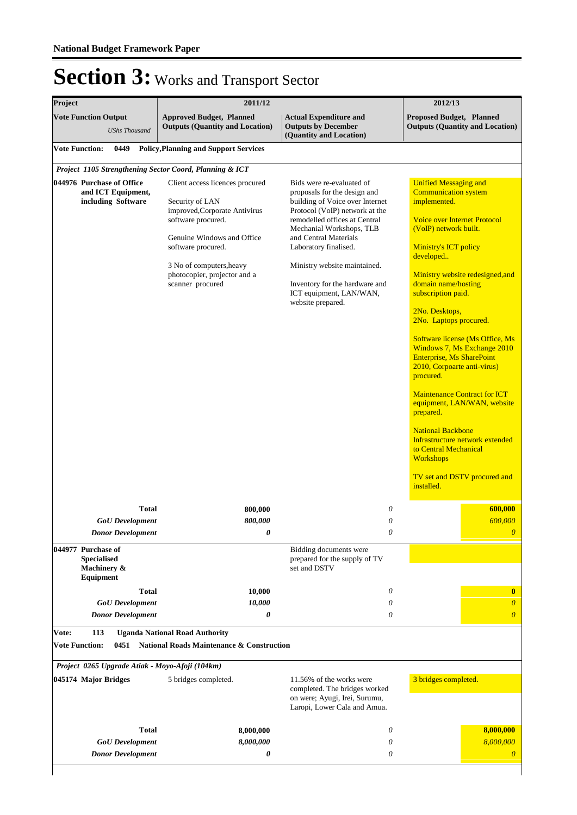| Project                                                                                                                                                                                                             | 2011/12                                                                                                                                                                                                                                                                  |                                                                                                                                                                                                                                                                                                                                                                                                                                                           | 2012/13                                                                                                                                                                                                                                                                                                                                                                                                                                                                                                                                                                                                                                                                                                                                                      |
|---------------------------------------------------------------------------------------------------------------------------------------------------------------------------------------------------------------------|--------------------------------------------------------------------------------------------------------------------------------------------------------------------------------------------------------------------------------------------------------------------------|-----------------------------------------------------------------------------------------------------------------------------------------------------------------------------------------------------------------------------------------------------------------------------------------------------------------------------------------------------------------------------------------------------------------------------------------------------------|--------------------------------------------------------------------------------------------------------------------------------------------------------------------------------------------------------------------------------------------------------------------------------------------------------------------------------------------------------------------------------------------------------------------------------------------------------------------------------------------------------------------------------------------------------------------------------------------------------------------------------------------------------------------------------------------------------------------------------------------------------------|
| <b>Vote Function Output</b><br><b>UShs Thousand</b>                                                                                                                                                                 | <b>Approved Budget, Planned</b><br><b>Outputs (Quantity and Location)</b>                                                                                                                                                                                                | <b>Actual Expenditure and</b><br><b>Outputs by December</b><br>(Quantity and Location)                                                                                                                                                                                                                                                                                                                                                                    | Proposed Budget, Planned<br><b>Outputs (Quantity and Location)</b>                                                                                                                                                                                                                                                                                                                                                                                                                                                                                                                                                                                                                                                                                           |
| <b>Vote Function:</b><br>0449                                                                                                                                                                                       | <b>Policy, Planning and Support Services</b>                                                                                                                                                                                                                             |                                                                                                                                                                                                                                                                                                                                                                                                                                                           |                                                                                                                                                                                                                                                                                                                                                                                                                                                                                                                                                                                                                                                                                                                                                              |
| Project 1105 Strengthening Sector Coord, Planning & ICT                                                                                                                                                             |                                                                                                                                                                                                                                                                          |                                                                                                                                                                                                                                                                                                                                                                                                                                                           |                                                                                                                                                                                                                                                                                                                                                                                                                                                                                                                                                                                                                                                                                                                                                              |
| 044976 Purchase of Office<br>and ICT Equipment,<br>including Software<br><b>Total</b><br><b>GoU</b> Development<br><b>Donor Development</b><br>044977 Purchase of<br><b>Specialised</b><br>Machinery &<br>Equipment | Client access licences procured<br>Security of LAN<br>improved, Corporate Antivirus<br>software procured.<br>Genuine Windows and Office<br>software procured.<br>3 No of computers, heavy<br>photocopier, projector and a<br>scanner procured<br>800,000<br>800,000<br>0 | Bids were re-evaluated of<br>proposals for the design and<br>building of Voice over Internet<br>Protocol (VoIP) network at the<br>remodelled offices at Central<br>Mechanial Workshops, TLB<br>and Central Materials<br>Laboratory finalised.<br>Ministry website maintained.<br>Inventory for the hardware and<br>ICT equipment, LAN/WAN,<br>website prepared.<br>0<br>0<br>0<br>Bidding documents were<br>prepared for the supply of TV<br>set and DSTV | <b>Unified Messaging and</b><br><b>Communication system</b><br>implemented.<br><b>Voice over Internet Protocol</b><br>(VoIP) network built.<br><b>Ministry's ICT policy</b><br>developed<br>Ministry website redesigned, and<br>domain name/hosting<br>subscription paid.<br>2No. Desktops,<br>2No. Laptops procured.<br>Software license (Ms Office, Ms<br>Windows 7, Ms Exchange 2010<br><b>Enterprise, Ms SharePoint</b><br>2010, Corpoarte anti-virus)<br>procured.<br><b>Maintenance Contract for ICT</b><br>equipment, LAN/WAN, website<br>prepared.<br><b>National Backbone</b><br>Infrastructure network extended<br>to Central Mechanical<br><b>Workshops</b><br>TV set and DSTV procured and<br>installed.<br>600,000<br>600,000<br>$\overline{0}$ |
| Total<br><b>GoU</b> Development                                                                                                                                                                                     | 10,000<br>10,000                                                                                                                                                                                                                                                         | 0<br>0                                                                                                                                                                                                                                                                                                                                                                                                                                                    | $\bf{0}$<br>$\theta$                                                                                                                                                                                                                                                                                                                                                                                                                                                                                                                                                                                                                                                                                                                                         |
| <b>Donor Development</b>                                                                                                                                                                                            | 0                                                                                                                                                                                                                                                                        | 0                                                                                                                                                                                                                                                                                                                                                                                                                                                         | $\theta$                                                                                                                                                                                                                                                                                                                                                                                                                                                                                                                                                                                                                                                                                                                                                     |
| <b>Vote:</b><br>113<br><b>Vote Function:</b><br>0451<br>Project 0265 Upgrade Atiak - Moyo-Afoji (104km)                                                                                                             | <b>Uganda National Road Authority</b><br><b>National Roads Maintenance &amp; Construction</b>                                                                                                                                                                            |                                                                                                                                                                                                                                                                                                                                                                                                                                                           |                                                                                                                                                                                                                                                                                                                                                                                                                                                                                                                                                                                                                                                                                                                                                              |
| 045174 Major Bridges                                                                                                                                                                                                | 5 bridges completed.                                                                                                                                                                                                                                                     | 11.56% of the works were<br>completed. The bridges worked<br>on were; Ayugi, Irei, Surumu,<br>Laropi, Lower Cala and Amua.                                                                                                                                                                                                                                                                                                                                | 3 bridges completed.                                                                                                                                                                                                                                                                                                                                                                                                                                                                                                                                                                                                                                                                                                                                         |
| Total                                                                                                                                                                                                               | 8,000,000                                                                                                                                                                                                                                                                | 0                                                                                                                                                                                                                                                                                                                                                                                                                                                         | 8,000,000                                                                                                                                                                                                                                                                                                                                                                                                                                                                                                                                                                                                                                                                                                                                                    |
| <b>GoU</b> Development<br><b>Donor Development</b>                                                                                                                                                                  | 8,000,000<br>0                                                                                                                                                                                                                                                           | 0<br>0                                                                                                                                                                                                                                                                                                                                                                                                                                                    | 8,000,000<br>$\theta$                                                                                                                                                                                                                                                                                                                                                                                                                                                                                                                                                                                                                                                                                                                                        |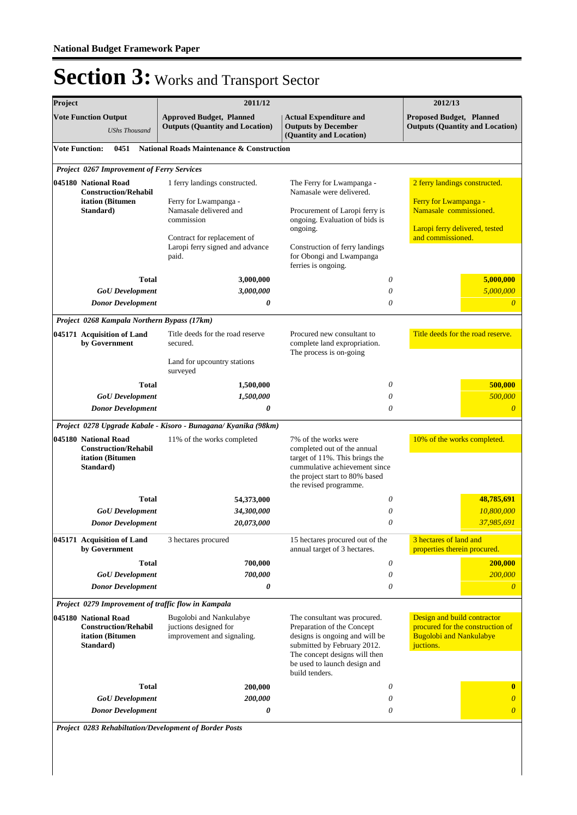| Project |                                                                                            | 2011/12                                                                                                                                                                   |                                                                                                                                                                                                                | 2012/13                                                                                                                                 |
|---------|--------------------------------------------------------------------------------------------|---------------------------------------------------------------------------------------------------------------------------------------------------------------------------|----------------------------------------------------------------------------------------------------------------------------------------------------------------------------------------------------------------|-----------------------------------------------------------------------------------------------------------------------------------------|
|         | <b>Vote Function Output</b><br><b>UShs Thousand</b>                                        | <b>Approved Budget, Planned</b><br><b>Outputs (Quantity and Location)</b>                                                                                                 | <b>Actual Expenditure and</b><br><b>Outputs by December</b><br>(Quantity and Location)                                                                                                                         | Proposed Budget, Planned<br><b>Outputs (Quantity and Location)</b>                                                                      |
|         | <b>Vote Function:</b><br>0451                                                              | <b>National Roads Maintenance &amp; Construction</b>                                                                                                                      |                                                                                                                                                                                                                |                                                                                                                                         |
|         | Project 0267 Improvement of Ferry Services                                                 |                                                                                                                                                                           |                                                                                                                                                                                                                |                                                                                                                                         |
|         | 045180 National Road<br><b>Construction/Rehabil</b><br>itation (Bitumen<br>Standard)       | 1 ferry landings constructed.<br>Ferry for Lwampanga -<br>Namasale delivered and<br>commission<br>Contract for replacement of<br>Laropi ferry signed and advance<br>paid. | The Ferry for Lwampanga -<br>Namasale were delivered.<br>Procurement of Laropi ferry is<br>ongoing. Evaluation of bids is<br>ongoing.<br>Construction of ferry landings<br>for Obongi and Lwampanga            | 2 ferry landings constructed.<br>Ferry for Lwampanga -<br>Namasale commissioned.<br>Laropi ferry delivered, tested<br>and commissioned. |
|         |                                                                                            |                                                                                                                                                                           | ferries is ongoing.                                                                                                                                                                                            |                                                                                                                                         |
|         | <b>Total</b>                                                                               | 3,000,000                                                                                                                                                                 | 0                                                                                                                                                                                                              | 5,000,000                                                                                                                               |
|         | <b>GoU</b> Development<br><b>Donor Development</b>                                         | 3,000,000<br>0                                                                                                                                                            | $\theta$<br>$\theta$                                                                                                                                                                                           | 5,000,000<br>$\theta$                                                                                                                   |
|         |                                                                                            |                                                                                                                                                                           |                                                                                                                                                                                                                |                                                                                                                                         |
|         | Project 0268 Kampala Northern Bypass (17km)<br>045171 Acquisition of Land<br>by Government | Title deeds for the road reserve<br>secured.<br>Land for upcountry stations<br>surveyed                                                                                   | Procured new consultant to<br>complete land expropriation.<br>The process is on-going                                                                                                                          | Title deeds for the road reserve.                                                                                                       |
|         | <b>Total</b>                                                                               | 1,500,000                                                                                                                                                                 | 0                                                                                                                                                                                                              | 500,000                                                                                                                                 |
|         | <b>GoU</b> Development                                                                     | 1,500,000                                                                                                                                                                 | 0                                                                                                                                                                                                              | 500,000                                                                                                                                 |
|         | <b>Donor Development</b>                                                                   | 0                                                                                                                                                                         | 0                                                                                                                                                                                                              | $\overline{0}$                                                                                                                          |
|         |                                                                                            | Project 0278 Upgrade Kabale - Kisoro - Bunagana/ Kyanika (98km)                                                                                                           |                                                                                                                                                                                                                |                                                                                                                                         |
|         | 045180 National Road<br><b>Construction/Rehabil</b><br>itation (Bitumen<br>Standard)       | 11% of the works completed                                                                                                                                                | 7% of the works were<br>completed out of the annual<br>target of 11%. This brings the<br>cummulative achievement since<br>the project start to 80% based<br>the revised programme.                             | 10% of the works completed.                                                                                                             |
|         | <b>Total</b>                                                                               | 54,373,000                                                                                                                                                                | 0                                                                                                                                                                                                              | 48,785,691                                                                                                                              |
|         | <b>GoU</b> Development                                                                     | 34,300,000                                                                                                                                                                | 0                                                                                                                                                                                                              | 10,800,000                                                                                                                              |
|         | <b>Donor Development</b>                                                                   | 20,073,000                                                                                                                                                                | 0                                                                                                                                                                                                              | 37,985,691                                                                                                                              |
|         | 045171 Acquisition of Land<br>by Government                                                | 3 hectares procured                                                                                                                                                       | 15 hectares procured out of the<br>annual target of 3 hectares.                                                                                                                                                | 3 hectares of land and<br>properties therein procured.                                                                                  |
|         | <b>Total</b>                                                                               | 700,000                                                                                                                                                                   | 0                                                                                                                                                                                                              | 200,000                                                                                                                                 |
|         | <b>GoU</b> Development                                                                     | 700,000                                                                                                                                                                   | $\theta$                                                                                                                                                                                                       | 200,000                                                                                                                                 |
|         | <b>Donor Development</b>                                                                   | 0                                                                                                                                                                         | $\theta$                                                                                                                                                                                                       | $\overline{0}$                                                                                                                          |
|         | Project 0279 Improvement of traffic flow in Kampala                                        |                                                                                                                                                                           |                                                                                                                                                                                                                |                                                                                                                                         |
|         | 045180 National Road<br><b>Construction/Rehabil</b><br>itation (Bitumen<br>Standard)       | Bugolobi and Nankulabye<br>juctions designed for<br>improvement and signaling.                                                                                            | The consultant was procured.<br>Preparation of the Concept<br>designs is ongoing and will be<br>submitted by February 2012.<br>The concept designs will then<br>be used to launch design and<br>build tenders. | Design and build contractor<br>procured for the construction of<br><b>Bugolobi and Nankulabye</b><br>juctions.                          |
|         | <b>Total</b>                                                                               | 200,000                                                                                                                                                                   | 0                                                                                                                                                                                                              | $\bf{0}$                                                                                                                                |
|         | <b>GoU</b> Development                                                                     | 200,000                                                                                                                                                                   | 0                                                                                                                                                                                                              | $\boldsymbol{\theta}$                                                                                                                   |
|         | <b>Donor Development</b>                                                                   | 0                                                                                                                                                                         | 0                                                                                                                                                                                                              | $\overline{0}$                                                                                                                          |
|         |                                                                                            | Project 0283 Rehabiltation/Development of Border Posts                                                                                                                    |                                                                                                                                                                                                                |                                                                                                                                         |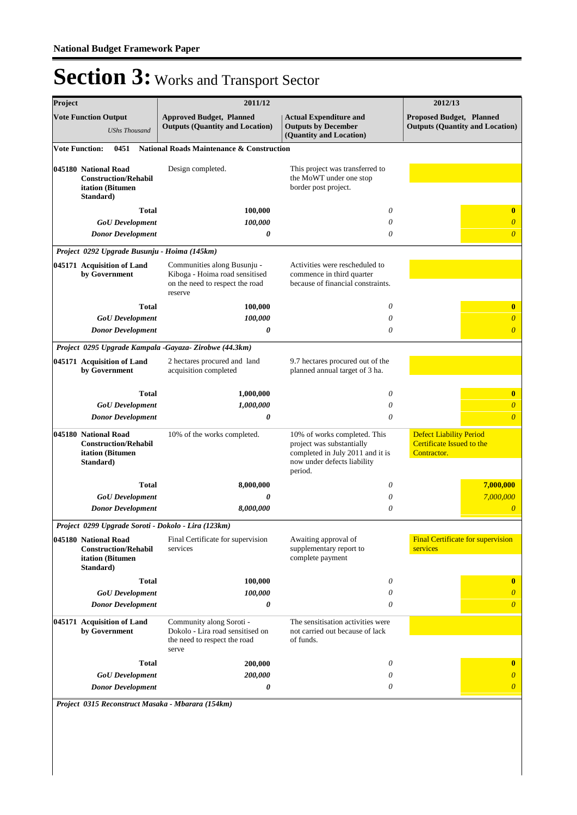| Project               |                                                                                      | 2011/12                                                                                                     |                                                                                                                                         | 2012/13                                                                    |
|-----------------------|--------------------------------------------------------------------------------------|-------------------------------------------------------------------------------------------------------------|-----------------------------------------------------------------------------------------------------------------------------------------|----------------------------------------------------------------------------|
|                       | <b>Vote Function Output</b><br><b>UShs Thousand</b>                                  | <b>Approved Budget, Planned</b><br><b>Outputs (Quantity and Location)</b>                                   | <b>Actual Expenditure and</b><br><b>Outputs by December</b><br>(Quantity and Location)                                                  | <b>Proposed Budget, Planned</b><br><b>Outputs (Quantity and Location)</b>  |
| <b>Vote Function:</b> | 0451                                                                                 | <b>National Roads Maintenance &amp; Construction</b>                                                        |                                                                                                                                         |                                                                            |
|                       | 045180 National Road<br><b>Construction/Rehabil</b><br>itation (Bitumen<br>Standard) | Design completed.                                                                                           | This project was transferred to<br>the MoWT under one stop<br>border post project.                                                      |                                                                            |
|                       | <b>Total</b>                                                                         | 100,000                                                                                                     | 0                                                                                                                                       | $\bf{0}$                                                                   |
|                       | <b>GoU</b> Development                                                               | 100,000                                                                                                     | 0                                                                                                                                       | $\overline{0}$                                                             |
|                       | <b>Donor Development</b>                                                             | 0                                                                                                           | 0                                                                                                                                       | $\overline{\theta}$                                                        |
|                       | Project 0292 Upgrade Busunju - Hoima (145km)                                         |                                                                                                             |                                                                                                                                         |                                                                            |
|                       | 045171 Acquisition of Land<br>by Government                                          | Communities along Busunju -<br>Kiboga - Hoima road sensitised<br>on the need to respect the road<br>reserve | Activities were rescheduled to<br>commence in third quarter<br>because of financial constraints.                                        |                                                                            |
|                       | <b>Total</b>                                                                         | 100,000                                                                                                     | $\theta$                                                                                                                                | $\bf{0}$                                                                   |
|                       | <b>GoU</b> Development                                                               | 100,000                                                                                                     | 0                                                                                                                                       | $\overline{0}$                                                             |
|                       | <b>Donor Development</b>                                                             | 0                                                                                                           | 0                                                                                                                                       | $\overline{0}$                                                             |
|                       |                                                                                      | Project 0295 Upgrade Kampala -Gayaza- Zirobwe (44.3km)                                                      |                                                                                                                                         |                                                                            |
|                       | 045171 Acquisition of Land<br>by Government                                          | 2 hectares procured and land<br>acquisition completed                                                       | 9.7 hectares procured out of the<br>planned annual target of 3 ha.                                                                      |                                                                            |
|                       | <b>Total</b>                                                                         | 1,000,000                                                                                                   | 0                                                                                                                                       | $\bf{0}$                                                                   |
|                       | <b>GoU</b> Development                                                               | 1,000,000                                                                                                   | $\theta$                                                                                                                                | $\overline{0}$                                                             |
|                       | <b>Donor Development</b>                                                             | 0                                                                                                           | 0                                                                                                                                       | $\overline{\theta}$                                                        |
|                       | 045180 National Road<br><b>Construction/Rehabil</b><br>itation (Bitumen<br>Standard) | 10% of the works completed.                                                                                 | 10% of works completed. This<br>project was substantially<br>completed in July 2011 and it is<br>now under defects liability<br>period. | <b>Defect Liability Period</b><br>Certificate Issued to the<br>Contractor. |
|                       | <b>Total</b>                                                                         | 8,000,000                                                                                                   | 0                                                                                                                                       | 7,000,000                                                                  |
|                       | <b>GoU</b> Development                                                               | 0                                                                                                           | 0                                                                                                                                       | 7,000,000                                                                  |
|                       | <b>Donor Development</b>                                                             | 8,000,000                                                                                                   | 0                                                                                                                                       | $\boldsymbol{0}$                                                           |
|                       | Project 0299 Upgrade Soroti - Dokolo - Lira (123km)                                  |                                                                                                             |                                                                                                                                         |                                                                            |
|                       | 045180 National Road<br><b>Construction/Rehabil</b><br>itation (Bitumen<br>Standard) | Final Certificate for supervision<br>services                                                               | Awaiting approval of<br>supplementary report to<br>complete payment                                                                     | <b>Final Certificate for supervision</b><br>services                       |
|                       | <b>Total</b>                                                                         | 100,000                                                                                                     | 0                                                                                                                                       | $\bf{0}$                                                                   |
|                       | <b>GoU</b> Development                                                               | 100,000                                                                                                     | 0                                                                                                                                       | $\theta$                                                                   |
|                       | <b>Donor Development</b>                                                             | 0                                                                                                           | 0                                                                                                                                       | $\overline{0}$                                                             |
|                       | 045171 Acquisition of Land<br>by Government                                          | Community along Soroti -<br>Dokolo - Lira road sensitised on<br>the need to respect the road<br>serve       | The sensitisation activities were<br>not carried out because of lack<br>of funds.                                                       |                                                                            |
|                       | <b>Total</b>                                                                         | 200,000                                                                                                     | 0                                                                                                                                       | $\bf{0}$                                                                   |
|                       | <b>GoU</b> Development                                                               | 200,000                                                                                                     | 0                                                                                                                                       | $\boldsymbol{\theta}$                                                      |
|                       | <b>Donor Development</b>                                                             | 0                                                                                                           | 0                                                                                                                                       | $\boldsymbol{\theta}$                                                      |
|                       | Project 0315 Reconstruct Masaka - Mbarara (154km)                                    |                                                                                                             |                                                                                                                                         |                                                                            |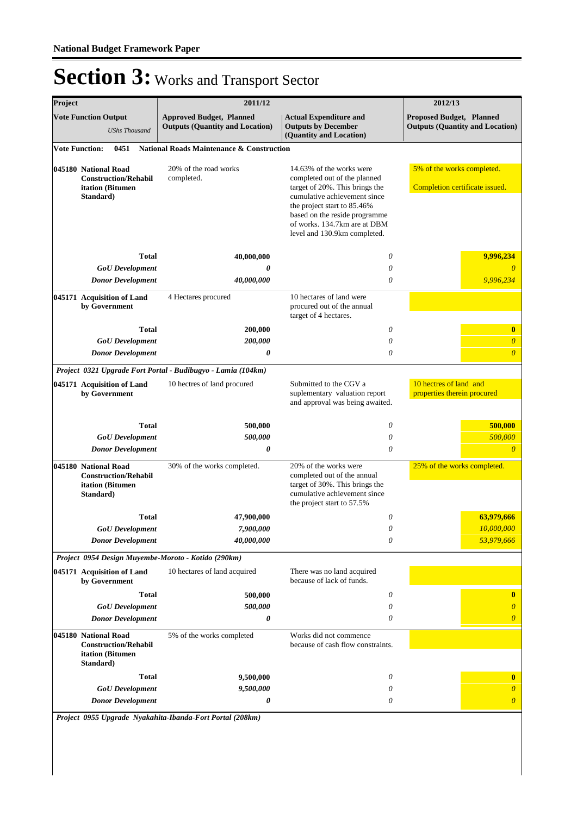| Project |                                                                                      | 2011/12                                                                   |                                                                                                                                                              | 2012/13                                                                   |
|---------|--------------------------------------------------------------------------------------|---------------------------------------------------------------------------|--------------------------------------------------------------------------------------------------------------------------------------------------------------|---------------------------------------------------------------------------|
|         | <b>Vote Function Output</b><br><b>UShs Thousand</b>                                  | <b>Approved Budget, Planned</b><br><b>Outputs (Quantity and Location)</b> | <b>Actual Expenditure and</b><br><b>Outputs by December</b><br>(Quantity and Location)                                                                       | <b>Proposed Budget, Planned</b><br><b>Outputs (Quantity and Location)</b> |
|         | <b>Vote Function:</b><br>0451                                                        | <b>National Roads Maintenance &amp; Construction</b>                      |                                                                                                                                                              |                                                                           |
|         | 045180 National Road                                                                 | 20% of the road works                                                     | 14.63% of the works were                                                                                                                                     | 5% of the works completed.                                                |
|         | <b>Construction/Rehabil</b><br>itation (Bitumen                                      | completed.                                                                | completed out of the planned<br>target of 20%. This brings the                                                                                               | Completion certificate issued.                                            |
|         | Standard)                                                                            |                                                                           | cumulative achievement since<br>the project start to 85.46%<br>based on the reside programme<br>of works. 134.7km are at DBM<br>level and 130.9km completed. |                                                                           |
|         | Total                                                                                | 40,000,000                                                                | $\theta$                                                                                                                                                     | 9,996,234                                                                 |
|         | <b>GoU</b> Development                                                               | 0                                                                         | 0                                                                                                                                                            | $\theta$                                                                  |
|         | <b>Donor Development</b>                                                             | 40,000,000                                                                | 0                                                                                                                                                            | 9,996,234                                                                 |
|         | 045171 Acquisition of Land<br>by Government                                          | 4 Hectares procured                                                       | 10 hectares of land were<br>procured out of the annual<br>target of 4 hectares.                                                                              |                                                                           |
|         | <b>Total</b>                                                                         | 200,000                                                                   | $\theta$                                                                                                                                                     | $\bf{0}$                                                                  |
|         | <b>GoU</b> Development                                                               | 200,000                                                                   | $\theta$                                                                                                                                                     | $\theta$                                                                  |
|         | <b>Donor Development</b>                                                             | 0                                                                         | $\theta$                                                                                                                                                     | $\overline{\theta}$                                                       |
|         |                                                                                      | Project 0321 Upgrade Fort Portal - Budibugyo - Lamia (104km)              |                                                                                                                                                              |                                                                           |
|         | 045171 Acquisition of Land<br>by Government                                          | 10 hectres of land procured                                               | Submitted to the CGV a<br>suplementary valuation report<br>and approval was being awaited.                                                                   | 10 hectres of land and<br>properties therein procured                     |
|         | <b>Total</b>                                                                         | 500,000                                                                   | $\theta$                                                                                                                                                     | 500,000                                                                   |
|         | <b>GoU</b> Development                                                               | 500,000                                                                   | 0                                                                                                                                                            | 500,000                                                                   |
|         | <b>Donor Development</b>                                                             | 0                                                                         | $\theta$                                                                                                                                                     | $\overline{0}$                                                            |
|         | 045180 National Road                                                                 | 30% of the works completed.                                               | 20% of the works were                                                                                                                                        | 25% of the works completed.                                               |
|         | <b>Construction/Rehabil</b><br>itation (Bitumen<br>Standard)                         |                                                                           | completed out of the annual<br>target of 30%. This brings the<br>cumulative achievement since<br>the project start to 57.5%                                  |                                                                           |
|         | Total                                                                                | 47,900,000                                                                | $\theta$                                                                                                                                                     | 63,979,666                                                                |
|         | <b>GoU</b> Development                                                               | 7,900,000                                                                 | 0                                                                                                                                                            | 10,000,000                                                                |
|         | <b>Donor Development</b>                                                             | 40,000,000                                                                | $\theta$                                                                                                                                                     | 53,979,666                                                                |
|         |                                                                                      | Project 0954 Design Muyembe-Moroto - Kotido (290km)                       |                                                                                                                                                              |                                                                           |
|         | 045171 Acquisition of Land<br>by Government                                          | 10 hectares of land acquired                                              | There was no land acquired<br>because of lack of funds.                                                                                                      |                                                                           |
|         | <b>Total</b>                                                                         | 500,000                                                                   | $\theta$                                                                                                                                                     | $\bf{0}$                                                                  |
|         | <b>GoU</b> Development                                                               | 500,000                                                                   | $\theta$                                                                                                                                                     | $\overline{0}$                                                            |
|         | <b>Donor Development</b>                                                             | 0                                                                         | $\theta$                                                                                                                                                     | $\overline{0}$                                                            |
|         | 045180 National Road<br><b>Construction/Rehabil</b><br>itation (Bitumen<br>Standard) | 5% of the works completed                                                 | Works did not commence<br>because of cash flow constraints.                                                                                                  |                                                                           |
|         | <b>Total</b>                                                                         | 9,500,000                                                                 | $\theta$                                                                                                                                                     | $\bf{0}$                                                                  |
|         | <b>GoU</b> Development                                                               | 9,500,000                                                                 | 0                                                                                                                                                            | $\overline{0}$                                                            |
|         | <b>Donor Development</b>                                                             | 0                                                                         | 0                                                                                                                                                            | $\boldsymbol{\theta}$                                                     |
|         |                                                                                      |                                                                           |                                                                                                                                                              |                                                                           |

*Project 0955 Upgrade Nyakahita-Ibanda-Fort Portal (208km)*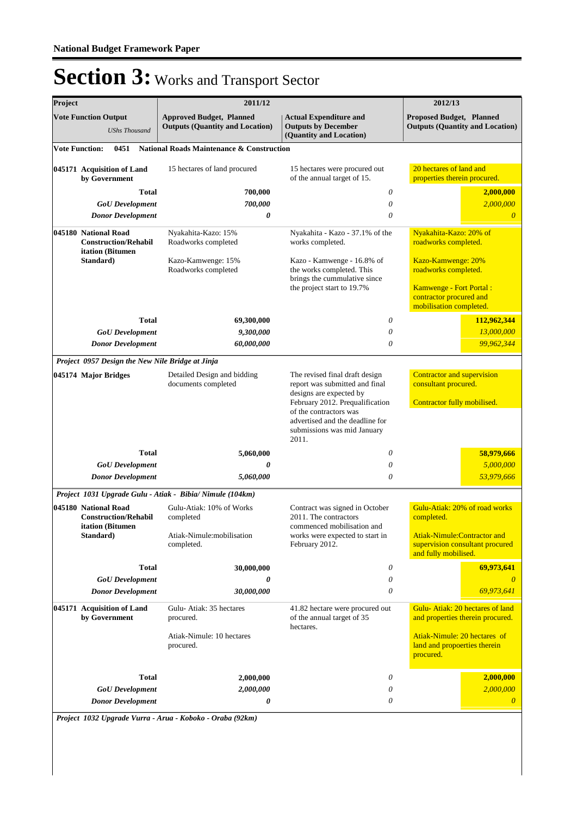| Project                                                                 | 2011/12                                                                   |                                                                                                                             | 2012/13                                                                                |
|-------------------------------------------------------------------------|---------------------------------------------------------------------------|-----------------------------------------------------------------------------------------------------------------------------|----------------------------------------------------------------------------------------|
| <b>Vote Function Output</b><br><b>UShs Thousand</b>                     | <b>Approved Budget, Planned</b><br><b>Outputs (Quantity and Location)</b> | <b>Actual Expenditure and</b><br><b>Outputs by December</b><br>(Quantity and Location)                                      | <b>Proposed Budget, Planned</b><br><b>Outputs (Quantity and Location)</b>              |
| <b>Vote Function:</b><br>0451                                           | National Roads Maintenance & Construction                                 |                                                                                                                             |                                                                                        |
| 045171 Acquisition of Land<br>by Government                             | 15 hectares of land procured                                              | 15 hectares were procured out<br>of the annual target of 15.                                                                | 20 hectares of land and<br>properties therein procured.                                |
|                                                                         | Total<br>700,000                                                          | 0                                                                                                                           | 2,000,000                                                                              |
| <b>GoU</b> Development                                                  | 700,000                                                                   | 0                                                                                                                           | 2,000,000                                                                              |
| <b>Donor Development</b>                                                | 0                                                                         | 0                                                                                                                           | $\theta$                                                                               |
| 045180 National Road<br><b>Construction/Rehabil</b><br>itation (Bitumen | Nyakahita-Kazo: 15%<br>Roadworks completed                                | Nyakahita - Kazo - 37.1% of the<br>works completed.                                                                         | Nyakahita-Kazo: 20% of<br>roadworks completed.                                         |
| Standard)                                                               | Kazo-Kamwenge: 15%<br>Roadworks completed                                 | Kazo - Kamwenge - 16.8% of<br>the works completed. This<br>brings the cummulative since                                     | Kazo-Kamwenge: 20%<br>roadworks completed.                                             |
|                                                                         |                                                                           | the project start to 19.7%                                                                                                  | <b>Kamwenge - Fort Portal:</b><br>contractor procured and<br>mobilisation completed.   |
|                                                                         | Total<br>69,300,000                                                       | 0                                                                                                                           | 112,962,344                                                                            |
| <b>GoU</b> Development                                                  | 9,300,000                                                                 | 0                                                                                                                           | 13,000,000                                                                             |
| <b>Donor Development</b>                                                | 60,000,000                                                                | $\theta$                                                                                                                    | 99,962,344                                                                             |
| Project 0957 Design the New Nile Bridge at Jinja                        |                                                                           |                                                                                                                             |                                                                                        |
| 045174 Major Bridges                                                    | Detailed Design and bidding<br>documents completed                        | The revised final draft design<br>report was submitted and final<br>designs are expected by                                 | Contractor and supervision<br>consultant procured.                                     |
|                                                                         |                                                                           | February 2012. Prequalification<br>of the contractors was<br>advertised and the deadline for<br>submissions was mid January | Contractor fully mobilised.                                                            |
|                                                                         |                                                                           | 2011.                                                                                                                       |                                                                                        |
| <b>GoU</b> Development                                                  | <b>Total</b><br>5,060,000<br>0                                            | 0<br>0                                                                                                                      | 58,979,666<br>5,000,000                                                                |
| <b>Donor Development</b>                                                | 5,060,000                                                                 | 0                                                                                                                           | 53,979,666                                                                             |
|                                                                         | Project 1031 Upgrade Gulu - Atiak - Bibia/ Nimule (104km)                 |                                                                                                                             |                                                                                        |
| 045180 National Road<br><b>Construction/Rehabil</b><br>itation (Bitumen | Gulu-Atiak: 10% of Works<br>completed                                     | Contract was signed in October<br>2011. The contractors<br>commenced mobilisation and                                       | Gulu-Atiak: 20% of road works<br>completed.                                            |
| Standard)                                                               | Atiak-Nimule:mobilisation<br>completed.                                   | works were expected to start in<br>February 2012.                                                                           | Atiak-Nimule:Contractor and<br>supervision consultant procured<br>and fully mobilised. |
|                                                                         | <b>Total</b><br>30,000,000                                                | 0                                                                                                                           | 69,973,641                                                                             |
| <b>GoU</b> Development<br><b>Donor Development</b>                      | 0<br>30,000,000                                                           | 0<br>0                                                                                                                      | 69,973,641                                                                             |
| 045171 Acquisition of Land<br>by Government                             | Gulu-Atiak: 35 hectares<br>procured.                                      | 41.82 hectare were procured out<br>of the annual target of 35<br>hectares.                                                  | Gulu-Atiak: 20 hectares of land<br>and properties therein procured.                    |
|                                                                         | Atiak-Nimule: 10 hectares<br>procured.                                    |                                                                                                                             | Atiak-Nimule: 20 hectares of<br>land and propoerties therein<br>procured.              |
|                                                                         |                                                                           |                                                                                                                             |                                                                                        |
|                                                                         | <b>Total</b><br>2,000,000                                                 | 0                                                                                                                           | 2,000,000                                                                              |
| <b>GoU</b> Development                                                  | 2,000,000                                                                 | 0                                                                                                                           | 2,000,000                                                                              |

*Project 1032 Upgrade Vurra - Arua - Koboko - Oraba (92km)*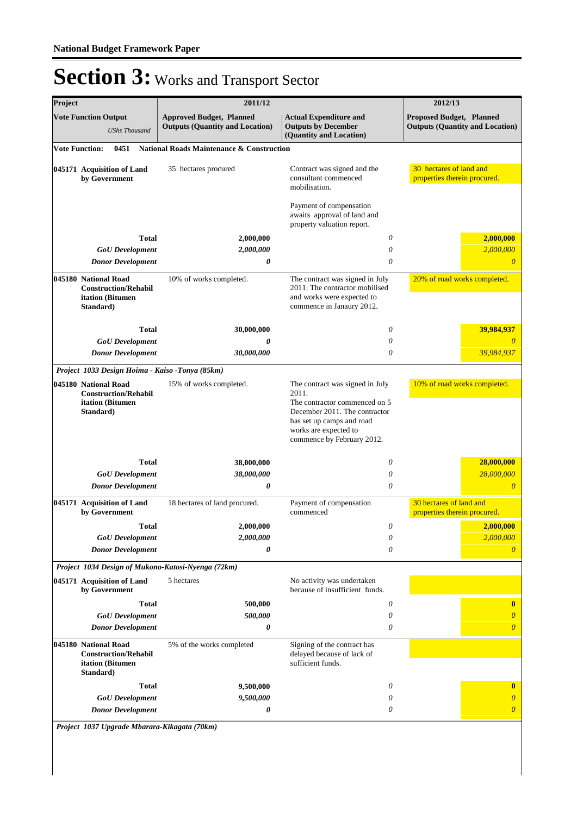| Project               |                                                                                      | 2011/12                                                                   |                                                                                                                              | 2012/13                                                                   |
|-----------------------|--------------------------------------------------------------------------------------|---------------------------------------------------------------------------|------------------------------------------------------------------------------------------------------------------------------|---------------------------------------------------------------------------|
|                       | <b>Vote Function Output</b><br><b>UShs Thousand</b>                                  | <b>Approved Budget, Planned</b><br><b>Outputs (Quantity and Location)</b> | <b>Actual Expenditure and</b><br><b>Outputs by December</b><br>(Quantity and Location)                                       | <b>Proposed Budget, Planned</b><br><b>Outputs (Quantity and Location)</b> |
| <b>Vote Function:</b> | 0451                                                                                 | <b>National Roads Maintenance &amp; Construction</b>                      |                                                                                                                              |                                                                           |
|                       | 045171 Acquisition of Land<br>by Government                                          | 35 hectares procured                                                      | Contract was signed and the<br>consultant commenced<br>mobilisation.                                                         | 30 hectares of land and<br>properties therein procured.                   |
|                       |                                                                                      |                                                                           | Payment of compensation<br>awaits approval of land and<br>property valuation report.                                         |                                                                           |
|                       | Total                                                                                | 2,000,000                                                                 | 0                                                                                                                            | 2,000,000                                                                 |
|                       | <b>GoU</b> Development                                                               | 2,000,000                                                                 | 0                                                                                                                            | 2,000,000                                                                 |
|                       | <b>Donor Development</b>                                                             | 0                                                                         | 0                                                                                                                            | $\theta$                                                                  |
|                       | 045180 National Road<br><b>Construction/Rehabil</b><br>itation (Bitumen<br>Standard) | 10% of works completed.                                                   | The contract was signed in July<br>2011. The contractor mobilised<br>and works were expected to<br>commence in Janaury 2012. | 20% of road works completed.                                              |
|                       | Total                                                                                | 30,000,000                                                                | 0                                                                                                                            | 39,984,937                                                                |
|                       | <b>GoU</b> Development                                                               | 0                                                                         | 0                                                                                                                            |                                                                           |
|                       | <b>Donor Development</b>                                                             | 30,000,000                                                                | $\theta$                                                                                                                     | 39,984,937                                                                |
|                       | Project 1033 Design Hoima - Kaiso -Tonya (85km)                                      |                                                                           |                                                                                                                              |                                                                           |
|                       | 045180 National Road<br><b>Construction/Rehabil</b><br>itation (Bitumen              | 15% of works completed.                                                   | The contract was signed in July<br>2011.<br>The contractor commenced on 5                                                    | 10% of road works completed.                                              |
|                       | Standard)                                                                            |                                                                           | December 2011. The contractor<br>has set up camps and road<br>works are expected to<br>commence by February 2012.            |                                                                           |
|                       | <b>Total</b>                                                                         | 38,000,000                                                                | 0                                                                                                                            | 28,000,000                                                                |
|                       | <b>GoU</b> Development                                                               | 38,000,000                                                                | 0                                                                                                                            | 28,000,000                                                                |
|                       | <b>Donor Development</b>                                                             | 0                                                                         | $\theta$                                                                                                                     | $\overline{0}$                                                            |
|                       | 045171 Acquisition of Land<br>by Government                                          | 18 hectares of land procured.                                             | Payment of compensation<br>commenced                                                                                         | 30 hectares of land and<br>properties therein procured.                   |
|                       | Total                                                                                | 2,000,000                                                                 | $\theta$                                                                                                                     | 2,000,000                                                                 |
|                       | <b>GoU</b> Development                                                               | 2,000,000                                                                 | $\theta$                                                                                                                     | 2,000,000                                                                 |
|                       | <b>Donor Development</b>                                                             | 0                                                                         | $\theta$                                                                                                                     | $\theta$                                                                  |
|                       |                                                                                      | Project 1034 Design of Mukono-Katosi-Nyenga (72km)                        |                                                                                                                              |                                                                           |
|                       | 045171 Acquisition of Land<br>by Government                                          | 5 hectares                                                                | No activity was undertaken<br>because of insufficient funds.                                                                 |                                                                           |
|                       | Total                                                                                | 500,000                                                                   | 0                                                                                                                            | $\bf{0}$                                                                  |
|                       | <b>GoU</b> Development                                                               | 500,000                                                                   | $\theta$                                                                                                                     |                                                                           |
|                       | <b>Donor Development</b>                                                             | 0                                                                         | 0                                                                                                                            | $\overline{0}$                                                            |
|                       | 045180 National Road<br><b>Construction/Rehabil</b><br>itation (Bitumen<br>Standard) | 5% of the works completed                                                 | Signing of the contract has<br>delayed because of lack of<br>sufficient funds.                                               |                                                                           |
|                       | Total                                                                                | 9,500,000                                                                 | 0                                                                                                                            | $\bf{0}$                                                                  |
|                       | <b>GoU</b> Development                                                               | 9,500,000                                                                 | 0                                                                                                                            | $\theta$                                                                  |
|                       | <b>Donor Development</b>                                                             | 0                                                                         | 0                                                                                                                            | $\theta$                                                                  |
|                       | Project 1037 Upgrade Mbarara-Kikagata (70km)                                         |                                                                           |                                                                                                                              |                                                                           |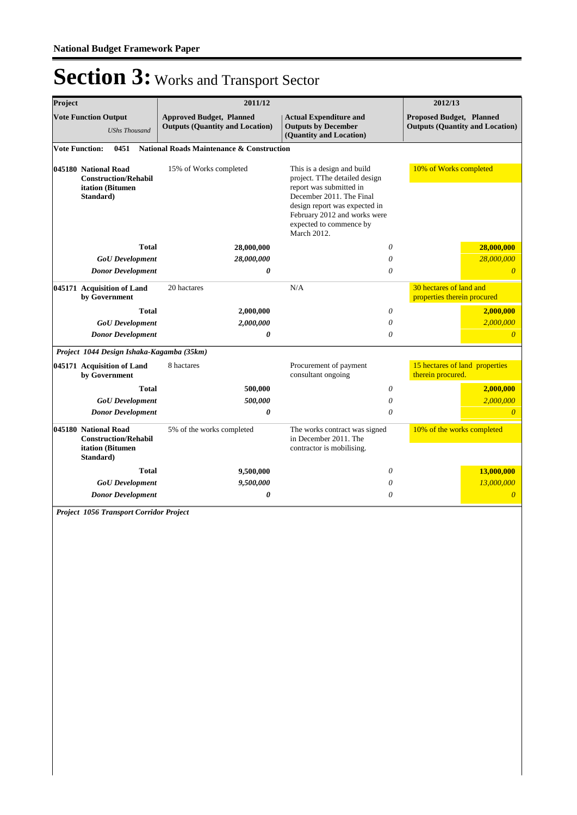| Project                                                                                                           |                                             | 2011/12                                                                             | 2012/13                                                                                                                                                                                                                       |                                                                           |  |
|-------------------------------------------------------------------------------------------------------------------|---------------------------------------------|-------------------------------------------------------------------------------------|-------------------------------------------------------------------------------------------------------------------------------------------------------------------------------------------------------------------------------|---------------------------------------------------------------------------|--|
| <b>Vote Function Output</b><br><b>UShs Thousand</b>                                                               |                                             | <b>Approved Budget, Planned</b><br><b>Outputs (Quantity and Location)</b>           | <b>Actual Expenditure and</b><br><b>Outputs by December</b><br>(Quantity and Location)                                                                                                                                        | <b>Proposed Budget, Planned</b><br><b>Outputs (Quantity and Location)</b> |  |
|                                                                                                                   | 0451<br><b>Vote Function:</b>               | <b>National Roads Maintenance &amp; Construction</b>                                |                                                                                                                                                                                                                               |                                                                           |  |
| 045180 National Road<br><b>Construction/Rehabil</b><br>itation (Bitumen<br>Standard)                              |                                             | 15% of Works completed                                                              | This is a design and build<br>project. TThe detailed design<br>report was submitted in<br>December 2011. The Final<br>design report was expected in<br>February 2012 and works were<br>expected to commence by<br>March 2012. | 10% of Works completed                                                    |  |
|                                                                                                                   | <b>Total</b>                                | 28,000,000                                                                          | $\theta$                                                                                                                                                                                                                      | 28,000,000                                                                |  |
|                                                                                                                   | <b>GoU</b> Development                      | 28,000,000                                                                          | $\theta$                                                                                                                                                                                                                      | 28,000,000                                                                |  |
|                                                                                                                   | <b>Donor Development</b>                    | 0                                                                                   | $\theta$                                                                                                                                                                                                                      | $\theta$                                                                  |  |
|                                                                                                                   | 045171 Acquisition of Land<br>by Government | 20 hactares                                                                         | N/A                                                                                                                                                                                                                           | 30 hectares of land and<br>properties therein procured                    |  |
|                                                                                                                   | <b>Total</b>                                | 2,000,000                                                                           | $\theta$                                                                                                                                                                                                                      | 2,000,000                                                                 |  |
|                                                                                                                   | <b>GoU</b> Development                      | 2,000,000                                                                           | $\theta$                                                                                                                                                                                                                      | 2,000,000                                                                 |  |
|                                                                                                                   | <b>Donor Development</b>                    | 0                                                                                   | $\theta$                                                                                                                                                                                                                      | $\overline{0}$                                                            |  |
|                                                                                                                   | Project 1044 Design Ishaka-Kagamba (35km)   |                                                                                     |                                                                                                                                                                                                                               |                                                                           |  |
|                                                                                                                   | 045171 Acquisition of Land<br>by Government | 8 hactares                                                                          | Procurement of payment<br>consultant ongoing                                                                                                                                                                                  | 15 hectares of land properties<br>therein procured.                       |  |
|                                                                                                                   | <b>Total</b>                                | 500,000                                                                             | $\theta$                                                                                                                                                                                                                      | 2,000,000                                                                 |  |
|                                                                                                                   | <b>GoU</b> Development                      | 500,000                                                                             | $\theta$                                                                                                                                                                                                                      | 2,000,000                                                                 |  |
|                                                                                                                   | <b>Donor Development</b>                    | 0                                                                                   | $\theta$                                                                                                                                                                                                                      | $\overline{0}$                                                            |  |
| 045180 National Road<br>5% of the works completed<br><b>Construction/Rehabil</b><br>itation (Bitumen<br>Standard) |                                             | The works contract was signed<br>in December 2011. The<br>contractor is mobilising. | 10% of the works completed                                                                                                                                                                                                    |                                                                           |  |
|                                                                                                                   | <b>Total</b>                                | 9,500,000                                                                           | $\theta$                                                                                                                                                                                                                      | 13,000,000                                                                |  |
|                                                                                                                   | <b>GoU</b> Development                      | 9,500,000                                                                           | $\theta$                                                                                                                                                                                                                      | 13,000,000                                                                |  |
|                                                                                                                   | <b>Donor Development</b>                    | 0                                                                                   | 0                                                                                                                                                                                                                             | $\overline{0}$                                                            |  |

*Project 1056 Transport Corridor Project*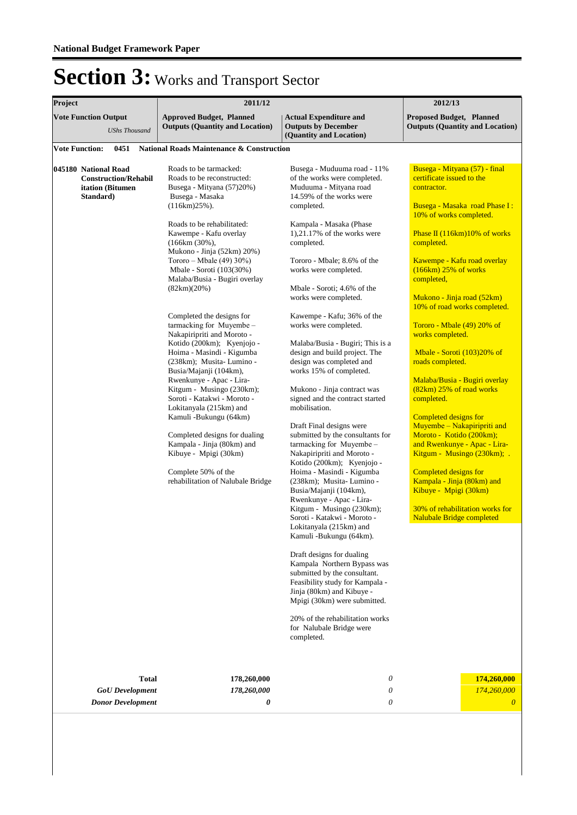| Project                                                                                       | 2011/12                                                                                                                                                                                                                                                                                                                                                                                                                                                                                                                                                                                                                                                                                                                                                                                                                                                              | 2012/13                                                                                                                                                                                                                                                                                                                                                                                                                                                                                                                                                                                                                                                                                                                                                                                                                                                                                                                                                                                                                                                                                                                                                                                                                                                               |                                                                                                                                                                                                                                                                                                                                                                                                                                                                                                                                                                                                                                                                                                                                                                                                                                     |  |
|-----------------------------------------------------------------------------------------------|----------------------------------------------------------------------------------------------------------------------------------------------------------------------------------------------------------------------------------------------------------------------------------------------------------------------------------------------------------------------------------------------------------------------------------------------------------------------------------------------------------------------------------------------------------------------------------------------------------------------------------------------------------------------------------------------------------------------------------------------------------------------------------------------------------------------------------------------------------------------|-----------------------------------------------------------------------------------------------------------------------------------------------------------------------------------------------------------------------------------------------------------------------------------------------------------------------------------------------------------------------------------------------------------------------------------------------------------------------------------------------------------------------------------------------------------------------------------------------------------------------------------------------------------------------------------------------------------------------------------------------------------------------------------------------------------------------------------------------------------------------------------------------------------------------------------------------------------------------------------------------------------------------------------------------------------------------------------------------------------------------------------------------------------------------------------------------------------------------------------------------------------------------|-------------------------------------------------------------------------------------------------------------------------------------------------------------------------------------------------------------------------------------------------------------------------------------------------------------------------------------------------------------------------------------------------------------------------------------------------------------------------------------------------------------------------------------------------------------------------------------------------------------------------------------------------------------------------------------------------------------------------------------------------------------------------------------------------------------------------------------|--|
| <b>Vote Function Output</b><br><b>UShs Thousand</b>                                           | <b>Approved Budget, Planned</b><br><b>Outputs (Quantity and Location)</b>                                                                                                                                                                                                                                                                                                                                                                                                                                                                                                                                                                                                                                                                                                                                                                                            | <b>Actual Expenditure and</b><br><b>Outputs by December</b><br>(Quantity and Location)                                                                                                                                                                                                                                                                                                                                                                                                                                                                                                                                                                                                                                                                                                                                                                                                                                                                                                                                                                                                                                                                                                                                                                                | <b>Proposed Budget, Planned</b><br><b>Outputs (Quantity and Location)</b>                                                                                                                                                                                                                                                                                                                                                                                                                                                                                                                                                                                                                                                                                                                                                           |  |
| <b>Vote Function:</b><br>0451                                                                 | <b>National Roads Maintenance &amp; Construction</b>                                                                                                                                                                                                                                                                                                                                                                                                                                                                                                                                                                                                                                                                                                                                                                                                                 |                                                                                                                                                                                                                                                                                                                                                                                                                                                                                                                                                                                                                                                                                                                                                                                                                                                                                                                                                                                                                                                                                                                                                                                                                                                                       |                                                                                                                                                                                                                                                                                                                                                                                                                                                                                                                                                                                                                                                                                                                                                                                                                                     |  |
| 045180 National Road<br><b>Construction/Rehabil</b><br>itation (Bitumen<br>Standard)<br>Total | Roads to be tarmacked:<br>Roads to be reconstructed:<br>Busega - Mityana (57)20%)<br>Busega - Masaka<br>$(116km)25\%$ ).<br>Roads to be rehabilitated:<br>Kawempe - Kafu overlay<br>$(166km (30\%)),$<br>Mukono - Jinja (52km) 20%)<br>Tororo – Mbale $(49)$ 30%)<br>Mbale - Soroti (103(30%)<br>Malaba/Busia - Bugiri overlay<br>(82km)(20%)<br>Completed the designs for<br>tarmacking for Muyembe-<br>Nakapiripriti and Moroto -<br>Kotido (200km); Kyenjojo -<br>Hoima - Masindi - Kigumba<br>(238km); Musita-Lumino -<br>Busia/Majanji (104km),<br>Rwenkunye - Apac - Lira-<br>Kitgum - Musingo (230km);<br>Soroti - Katakwi - Moroto -<br>Lokitanyala (215km) and<br>Kamuli -Bukungu (64km)<br>Completed designs for dualing<br>Kampala - Jinja (80km) and<br>Kibuye - Mpigi (30km)<br>Complete 50% of the<br>rehabilitation of Nalubale Bridge<br>178,260,000 | Busega - Muduuma road - 11%<br>of the works were completed.<br>Muduuma - Mityana road<br>14.59% of the works were<br>completed.<br>Kampala - Masaka (Phase<br>$1,21.17\%$ of the works were<br>completed.<br>Tororo - Mbale; 8.6% of the<br>works were completed.<br>Mbale - Soroti; 4.6% of the<br>works were completed.<br>Kawempe - Kafu; 36% of the<br>works were completed.<br>Malaba/Busia - Bugiri; This is a<br>design and build project. The<br>design was completed and<br>works 15% of completed.<br>Mukono - Jinja contract was<br>signed and the contract started<br>mobilisation.<br>Draft Final designs were<br>submitted by the consultants for<br>tarmacking for Muyembe-<br>Nakapiripriti and Moroto -<br>Kotido (200km); Kyenjojo -<br>Hoima - Masindi - Kigumba<br>(238km); Musita-Lumino -<br>Busia/Majanji (104km),<br>Rwenkunye - Apac - Lira-<br>Kitgum - Musingo (230km);<br>Soroti - Katakwi - Moroto -<br>Lokitanyala (215km) and<br>Kamuli -Bukungu (64km).<br>Draft designs for dualing<br>Kampala Northern Bypass was<br>submitted by the consultant.<br>Feasibility study for Kampala -<br>Jinja (80km) and Kibuye -<br>Mpigi (30km) were submitted.<br>20% of the rehabilitation works<br>for Nalubale Bridge were<br>completed.<br>0 | Busega - Mityana (57) - final<br>certificate issued to the<br>contractor.<br>Busega - Masaka road Phase I:<br>10% of works completed.<br>Phase II $(116km)10\%$ of works<br>completed.<br>Kawempe - Kafu road overlay<br>$(166km)$ 25% of works<br>completed,<br>Mukono - Jinja road (52km)<br>10% of road works completed.<br>Tororo - Mbale (49) 20% of<br>works completed.<br>Mbale - Soroti (103)20% of<br>roads completed.<br>Malaba/Busia - Bugiri overlay<br>(82km) 25% of road works<br>completed.<br><b>Completed designs for</b><br>Muyembe - Nakapiripriti and<br>Moroto - Kotido (200km);<br>and Rwenkunye - Apac - Lira-<br>Kitgum - Musingo (230km); .<br>Completed designs for<br>Kampala - Jinja (80km) and<br>Kibuye - Mpigi (30km)<br>30% of rehabilitation works for<br>Nalubale Bridge completed<br>174,260,000 |  |
| <b>GoU</b> Development                                                                        | 178,260,000                                                                                                                                                                                                                                                                                                                                                                                                                                                                                                                                                                                                                                                                                                                                                                                                                                                          | 0                                                                                                                                                                                                                                                                                                                                                                                                                                                                                                                                                                                                                                                                                                                                                                                                                                                                                                                                                                                                                                                                                                                                                                                                                                                                     | 174,260,000                                                                                                                                                                                                                                                                                                                                                                                                                                                                                                                                                                                                                                                                                                                                                                                                                         |  |
| <b>Donor Development</b>                                                                      | 0                                                                                                                                                                                                                                                                                                                                                                                                                                                                                                                                                                                                                                                                                                                                                                                                                                                                    | 0                                                                                                                                                                                                                                                                                                                                                                                                                                                                                                                                                                                                                                                                                                                                                                                                                                                                                                                                                                                                                                                                                                                                                                                                                                                                     | $\theta$                                                                                                                                                                                                                                                                                                                                                                                                                                                                                                                                                                                                                                                                                                                                                                                                                            |  |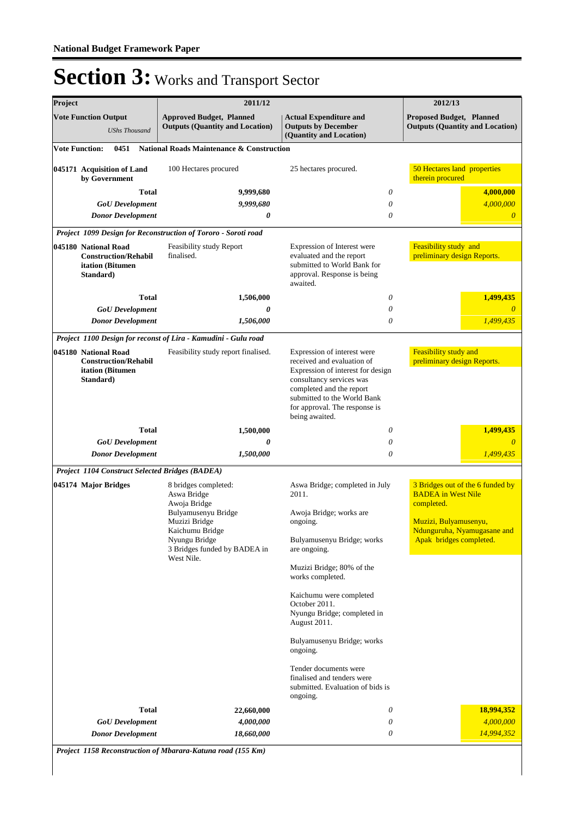| Project                                                                              |                                                                                      | 2011/12                                                                                                                                                                     | 2012/13                                                                                                                                                                                                                                  |                                                                                 |  |
|--------------------------------------------------------------------------------------|--------------------------------------------------------------------------------------|-----------------------------------------------------------------------------------------------------------------------------------------------------------------------------|------------------------------------------------------------------------------------------------------------------------------------------------------------------------------------------------------------------------------------------|---------------------------------------------------------------------------------|--|
| <b>Vote Function Output</b><br><b>UShs Thousand</b>                                  |                                                                                      | <b>Approved Budget, Planned</b><br><b>Outputs (Quantity and Location)</b>                                                                                                   | <b>Actual Expenditure and</b><br><b>Outputs by December</b><br>(Quantity and Location)                                                                                                                                                   | <b>Proposed Budget, Planned</b><br><b>Outputs (Quantity and Location)</b>       |  |
|                                                                                      | <b>Vote Function:</b><br>0451                                                        | <b>National Roads Maintenance &amp; Construction</b>                                                                                                                        |                                                                                                                                                                                                                                          |                                                                                 |  |
|                                                                                      | 045171 Acquisition of Land<br>by Government                                          | 100 Hectares procured                                                                                                                                                       | 25 hectares procured.                                                                                                                                                                                                                    | 50 Hectares land properties<br>therein procured                                 |  |
|                                                                                      | <b>Total</b>                                                                         | 9,999,680                                                                                                                                                                   | 0                                                                                                                                                                                                                                        | 4,000,000                                                                       |  |
|                                                                                      | <b>GoU</b> Development                                                               | 9,999,680                                                                                                                                                                   | 0                                                                                                                                                                                                                                        | 4,000,000                                                                       |  |
|                                                                                      | <b>Donor Development</b>                                                             | 0                                                                                                                                                                           | 0                                                                                                                                                                                                                                        | $\theta$                                                                        |  |
|                                                                                      |                                                                                      | Project 1099 Design for Reconstruction of Tororo - Soroti road                                                                                                              |                                                                                                                                                                                                                                          |                                                                                 |  |
| 045180 National Road<br><b>Construction/Rehabil</b><br>itation (Bitumen<br>Standard) |                                                                                      | Feasibility study Report<br>Expression of Interest were<br>finalised.<br>evaluated and the report<br>submitted to World Bank for<br>approval. Response is being<br>awaited. |                                                                                                                                                                                                                                          | Feasibility study and<br>preliminary design Reports.                            |  |
|                                                                                      | Total                                                                                | 1,506,000                                                                                                                                                                   | 0                                                                                                                                                                                                                                        | 1,499,435                                                                       |  |
|                                                                                      | <b>GoU</b> Development                                                               | 0                                                                                                                                                                           | 0                                                                                                                                                                                                                                        | $\theta$                                                                        |  |
|                                                                                      | <b>Donor Development</b>                                                             | 1,506,000                                                                                                                                                                   | 0                                                                                                                                                                                                                                        | 1,499,435                                                                       |  |
|                                                                                      |                                                                                      | Project 1100 Design for reconst of Lira - Kamudini - Gulu road                                                                                                              |                                                                                                                                                                                                                                          |                                                                                 |  |
|                                                                                      | 045180 National Road<br><b>Construction/Rehabil</b><br>itation (Bitumen<br>Standard) | Feasibility study report finalised.                                                                                                                                         | Expression of interest were<br>received and evaluation of<br>Expression of interest for design<br>consultancy services was<br>completed and the report<br>submitted to the World Bank<br>for approval. The response is<br>being awaited. | Feasibility study and<br>preliminary design Reports.                            |  |
|                                                                                      | Total                                                                                | 1,500,000                                                                                                                                                                   | 0                                                                                                                                                                                                                                        | 1,499,435                                                                       |  |
|                                                                                      | <b>GoU</b> Development                                                               | 0                                                                                                                                                                           | 0                                                                                                                                                                                                                                        | $\theta$                                                                        |  |
|                                                                                      | <b>Donor Development</b>                                                             | 1,500,000                                                                                                                                                                   | 0                                                                                                                                                                                                                                        | 1,499,435                                                                       |  |
|                                                                                      | Project 1104 Construct Selected Bridges (BADEA)                                      |                                                                                                                                                                             |                                                                                                                                                                                                                                          |                                                                                 |  |
|                                                                                      | 045174 Major Bridges                                                                 | 8 bridges completed:<br>Aswa Bridge<br>Awoja Bridge<br>Bulyamusenyu Bridge                                                                                                  | Aswa Bridge; completed in July<br>2011.<br>Awoja Bridge; works are                                                                                                                                                                       | 3 Bridges out of the 6 funded by<br><b>BADEA</b> in West Nile<br>completed.     |  |
|                                                                                      |                                                                                      | Muzizi Bridge<br>Kaichumu Bridge<br>Nyungu Bridge<br>3 Bridges funded by BADEA in                                                                                           | ongoing.<br>Bulyamusenyu Bridge; works<br>are ongoing.                                                                                                                                                                                   | Muzizi, Bulyamusenyu,<br>Ndunguruha, Nyamugasane and<br>Apak bridges completed. |  |
|                                                                                      |                                                                                      | West Nile.                                                                                                                                                                  | Muzizi Bridge; 80% of the<br>works completed.                                                                                                                                                                                            |                                                                                 |  |
|                                                                                      |                                                                                      |                                                                                                                                                                             | Kaichumu were completed<br>October 2011.<br>Nyungu Bridge; completed in<br>August 2011.                                                                                                                                                  |                                                                                 |  |
|                                                                                      |                                                                                      |                                                                                                                                                                             | Bulyamusenyu Bridge; works<br>ongoing.                                                                                                                                                                                                   |                                                                                 |  |
|                                                                                      |                                                                                      |                                                                                                                                                                             | Tender documents were<br>finalised and tenders were<br>submitted. Evaluation of bids is<br>ongoing.                                                                                                                                      |                                                                                 |  |
|                                                                                      | Total                                                                                | 22,660,000                                                                                                                                                                  | 0                                                                                                                                                                                                                                        | 18,994,352<br>4,000,000                                                         |  |
|                                                                                      | <b>GoU</b> Development                                                               | 4,000,000                                                                                                                                                                   | 0                                                                                                                                                                                                                                        |                                                                                 |  |
| <b>Donor Development</b><br>18,660,000                                               |                                                                                      | 0                                                                                                                                                                           | 14,994,352                                                                                                                                                                                                                               |                                                                                 |  |

*Project 1158 Reconstruction of Mbarara-Katuna road (155 Km)*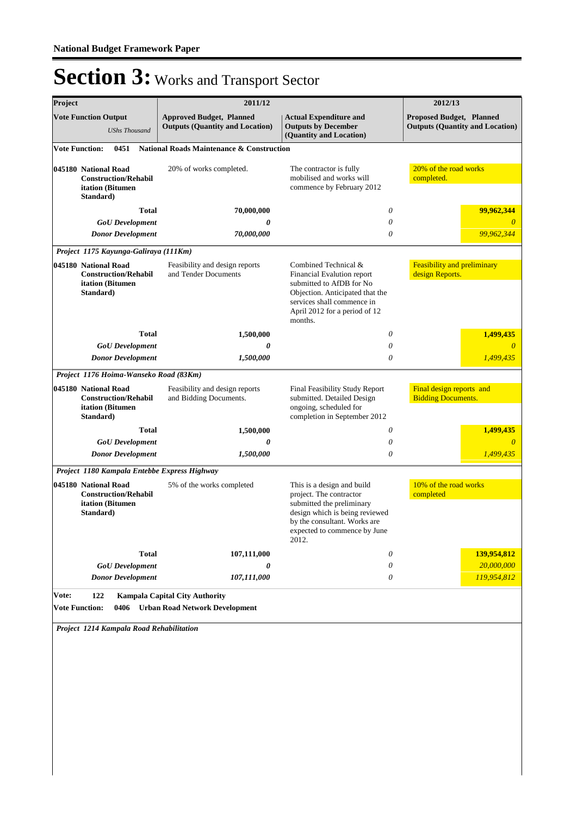| Project                                                                              | 2011/12                                                                        |                                                                                                                                                                                             | 2012/13                                                                   |  |
|--------------------------------------------------------------------------------------|--------------------------------------------------------------------------------|---------------------------------------------------------------------------------------------------------------------------------------------------------------------------------------------|---------------------------------------------------------------------------|--|
| <b>Vote Function Output</b><br><b>UShs Thousand</b>                                  | <b>Approved Budget, Planned</b><br><b>Outputs (Quantity and Location)</b>      | <b>Actual Expenditure and</b><br><b>Outputs by December</b><br>(Quantity and Location)                                                                                                      | <b>Proposed Budget, Planned</b><br><b>Outputs (Quantity and Location)</b> |  |
| <b>Vote Function:</b><br>0451                                                        | <b>National Roads Maintenance &amp; Construction</b>                           |                                                                                                                                                                                             |                                                                           |  |
| 045180 National Road<br><b>Construction/Rehabil</b><br>itation (Bitumen<br>Standard) | 20% of works completed.                                                        | The contractor is fully<br>mobilised and works will<br>commence by February 2012                                                                                                            |                                                                           |  |
| <b>Total</b>                                                                         | 70,000,000                                                                     | 0                                                                                                                                                                                           | 99,962,344                                                                |  |
| <b>GoU</b> Development                                                               | 0                                                                              | 0                                                                                                                                                                                           | 0                                                                         |  |
| <b>Donor Development</b>                                                             | 70,000,000                                                                     | 0                                                                                                                                                                                           | 99,962,344                                                                |  |
| Project 1175 Kayunga-Galiraya (111Km)                                                |                                                                                |                                                                                                                                                                                             |                                                                           |  |
| 045180 National Road<br><b>Construction/Rehabil</b><br>itation (Bitumen<br>Standard) | Feasibility and design reports<br>and Tender Documents                         | Combined Technical &<br>Financial Evalution report<br>submitted to AfDB for No<br>Objection. Anticipated that the<br>services shall commence in<br>April 2012 for a period of 12<br>months. | Feasibility and preliminary<br>design Reports.                            |  |
| <b>Total</b>                                                                         | 1,500,000                                                                      | 0                                                                                                                                                                                           | 1,499,435                                                                 |  |
| <b>GoU</b> Development                                                               | 0                                                                              | 0                                                                                                                                                                                           | $\theta$                                                                  |  |
| <b>Donor Development</b>                                                             | 1,500,000                                                                      | 0                                                                                                                                                                                           | 1,499,435                                                                 |  |
| Project 1176 Hoima-Wanseko Road (83Km)                                               |                                                                                |                                                                                                                                                                                             |                                                                           |  |
| 045180 National Road<br><b>Construction/Rehabil</b><br>itation (Bitumen<br>Standard) | Feasibility and design reports<br>and Bidding Documents.                       | Final Feasibility Study Report<br>submitted. Detailed Design<br>ongoing, scheduled for<br>completion in September 2012                                                                      | Final design reports and<br><b>Bidding Documents.</b>                     |  |
| <b>Total</b>                                                                         | 1,500,000                                                                      | 0                                                                                                                                                                                           | 1,499,435                                                                 |  |
| <b>GoU</b> Development                                                               | 0                                                                              | 0                                                                                                                                                                                           | $\theta$                                                                  |  |
| <b>Donor Development</b>                                                             | 1,500,000                                                                      | 0                                                                                                                                                                                           | 1,499,435                                                                 |  |
| Project 1180 Kampala Entebbe Express Highway                                         |                                                                                |                                                                                                                                                                                             |                                                                           |  |
| 045180 National Road<br><b>Construction/Rehabil</b>                                  | 5% of the works completed                                                      | This is a design and build<br>project. The contractor                                                                                                                                       | 10% of the road works<br>completed                                        |  |
| itation (Bitumen<br>Standard)                                                        |                                                                                | submitted the preliminary<br>design which is being reviewed<br>by the consultant. Works are<br>expected to commence by June<br>2012.                                                        |                                                                           |  |
| <b>Total</b>                                                                         | 107,111,000                                                                    | 0                                                                                                                                                                                           | 139,954,812                                                               |  |
| <b>GoU</b> Development                                                               | 0                                                                              | 0                                                                                                                                                                                           | 20,000,000                                                                |  |
| <b>Donor Development</b>                                                             | 107,111,000                                                                    | 0                                                                                                                                                                                           | 119,954,812                                                               |  |
| Vote:<br>122<br><b>Vote Function:</b><br>0406                                        | <b>Kampala Capital City Authority</b><br><b>Urban Road Network Development</b> |                                                                                                                                                                                             |                                                                           |  |

*Project 1214 Kampala Road Rehabilitation*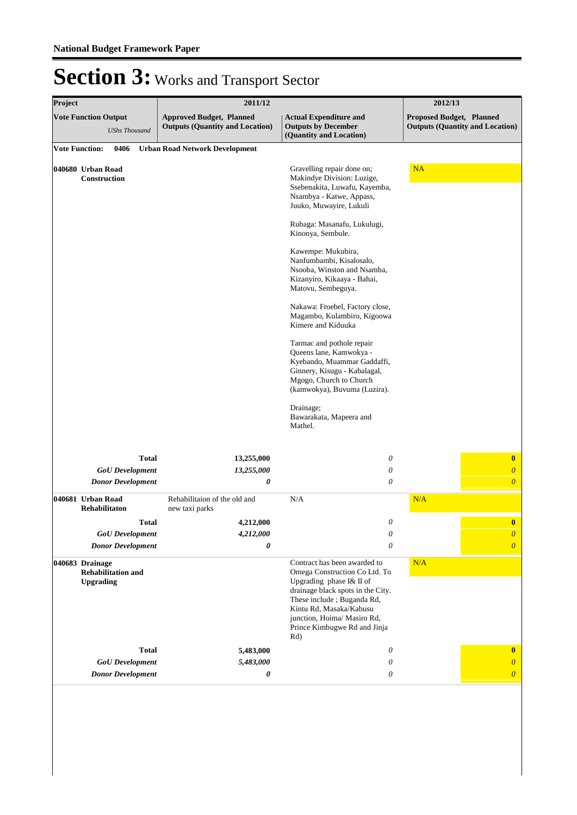| Project               |                                                                  | 2011/12                                                                   | 2012/13                                                                                                                                                                                                                                                       |                                                                    |
|-----------------------|------------------------------------------------------------------|---------------------------------------------------------------------------|---------------------------------------------------------------------------------------------------------------------------------------------------------------------------------------------------------------------------------------------------------------|--------------------------------------------------------------------|
|                       | <b>Vote Function Output</b><br><b>UShs Thousand</b>              | <b>Approved Budget, Planned</b><br><b>Outputs (Quantity and Location)</b> | <b>Actual Expenditure and</b><br><b>Outputs by December</b><br>(Quantity and Location)                                                                                                                                                                        | Proposed Budget, Planned<br><b>Outputs (Quantity and Location)</b> |
| <b>Vote Function:</b> | 0406                                                             | <b>Urban Road Network Development</b>                                     |                                                                                                                                                                                                                                                               |                                                                    |
|                       | 040680 Urban Road<br>Construction                                |                                                                           | Gravelling repair done on;<br>Makindye Division: Luzige,<br>Ssebenakita, Luwafu, Kayemba,<br>Nsambya - Katwe, Appass,<br>Juuko, Muwayire, Lukuli<br>Rubaga: Masanafu, Lukulugi,                                                                               | NA                                                                 |
|                       |                                                                  |                                                                           | Kinonya, Sembule.                                                                                                                                                                                                                                             |                                                                    |
|                       |                                                                  |                                                                           | Kawempe: Mukubira,<br>Nanfumbambi, Kisalosalo,<br>Nsooba, Winston and Nsamba,<br>Kizanyiro, Kikaaya - Bahai,<br>Matovu, Sembeguya.                                                                                                                            |                                                                    |
|                       |                                                                  |                                                                           | Nakawa: Froebel, Factory close,<br>Magambo, Kulambiro, Kigoowa<br>Kimere and Kiduuka                                                                                                                                                                          |                                                                    |
|                       |                                                                  |                                                                           | Tarmac and pothole repair<br>Queens lane, Kamwokya -<br>Kyebando, Muammar Gaddaffi,<br>Ginnery, Kisugu - Kabalagal,<br>Mgogo, Church to Church<br>(kamwokya), Buvuma (Luzira).                                                                                |                                                                    |
|                       |                                                                  |                                                                           | Drainage;<br>Bawarakata, Mapeera and<br>Mathel.                                                                                                                                                                                                               |                                                                    |
|                       | <b>Total</b>                                                     | 13,255,000                                                                | 0                                                                                                                                                                                                                                                             | $\bf{0}$                                                           |
|                       | <b>GoU</b> Development                                           | 13,255,000                                                                | $\boldsymbol{\mathit{0}}$                                                                                                                                                                                                                                     | $\boldsymbol{0}$                                                   |
|                       | <b>Donor Development</b>                                         | 0                                                                         | 0                                                                                                                                                                                                                                                             | $\overline{0}$                                                     |
|                       | 040681 Urban Road<br><b>Rehabilitaton</b>                        | Rehabilitaion of the old and<br>new taxi parks                            | N/A                                                                                                                                                                                                                                                           | N/A                                                                |
|                       | <b>Total</b>                                                     | 4,212,000                                                                 | 0                                                                                                                                                                                                                                                             | $\bf{0}$                                                           |
|                       | <b>GoU</b> Development<br><b>Donor Development</b>               | 4,212,000<br>0                                                            | $\boldsymbol{\theta}$<br>0                                                                                                                                                                                                                                    | $\boldsymbol{\theta}$<br>$\boldsymbol{0}$                          |
|                       | 040683 Drainage<br><b>Rehabilitation and</b><br><b>Upgrading</b> |                                                                           | Contract has been awarded to<br>Omega Construction Co Ltd. To<br>Upgrading phase I& II of<br>drainage black spots in the City.<br>These include; Buganda Rd,<br>Kintu Rd, Masaka/Kabusu<br>junction, Hoima/ Masiro Rd,<br>Prince Kimbugwe Rd and Jinja<br>Rd) | N/A                                                                |
|                       | <b>Total</b>                                                     | 5,483,000                                                                 | $\theta$                                                                                                                                                                                                                                                      | $\bf{0}$                                                           |
|                       | <b>GoU</b> Development                                           | 5,483,000                                                                 | $\theta$                                                                                                                                                                                                                                                      | $\boldsymbol{\theta}$                                              |
|                       | <b>Donor Development</b>                                         | 0                                                                         | 0                                                                                                                                                                                                                                                             | $\boldsymbol{\theta}$                                              |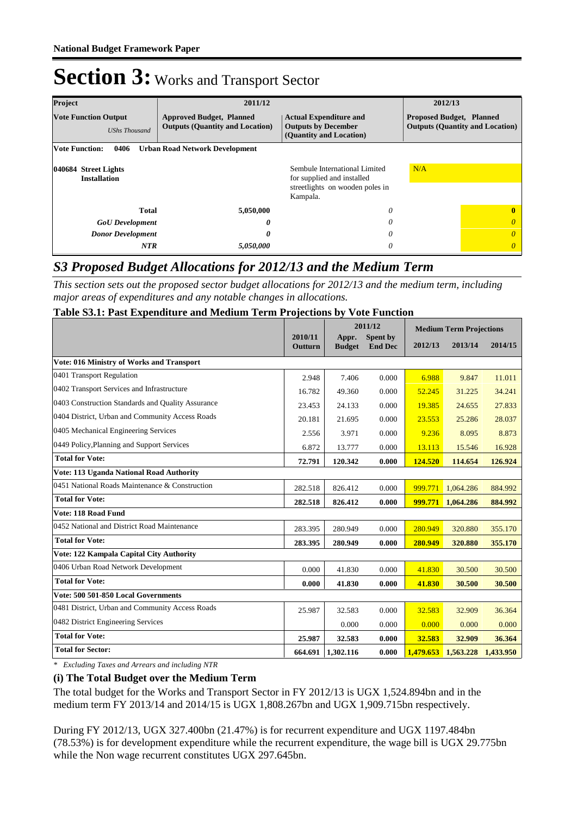| Project<br>2011/12                                  |                                                                           |                                                                                                            | 2012/13                                                                   |              |
|-----------------------------------------------------|---------------------------------------------------------------------------|------------------------------------------------------------------------------------------------------------|---------------------------------------------------------------------------|--------------|
| <b>Vote Function Output</b><br><b>UShs Thousand</b> | <b>Approved Budget, Planned</b><br><b>Outputs (Quantity and Location)</b> | <b>Actual Expenditure and</b><br><b>Outputs by December</b><br>(Quantity and Location)                     | <b>Proposed Budget, Planned</b><br><b>Outputs (Quantity and Location)</b> |              |
| 0406<br><b>Vote Function:</b>                       | <b>Urban Road Network Development</b>                                     |                                                                                                            |                                                                           |              |
| 040684 Street Lights<br><b>Installation</b>         |                                                                           | Sembule International Limited<br>for supplied and installed<br>streetlights on wooden poles in<br>Kampala. | N/A                                                                       |              |
| <b>Total</b>                                        | 5,050,000                                                                 | 0                                                                                                          |                                                                           | $\mathbf{0}$ |
| <b>GoU</b> Development<br>0                         |                                                                           | 0                                                                                                          |                                                                           | $\theta$     |
| <b>Donor Development</b><br>0                       |                                                                           | 0                                                                                                          |                                                                           | $\theta$     |
| <b>NTR</b><br>5,050,000                             |                                                                           | 0                                                                                                          |                                                                           | $\theta$     |

### *S3 Proposed Budget Allocations for 2012/13 and the Medium Term*

*This section sets out the proposed sector budget allocations for 2012/13 and the medium term, including major areas of expenditures and any notable changes in allocations.* 

### **Table S3.1: Past Expenditure and Medium Term Projections by Vote Function**

|                                                   |                    | 2011/12                |                            | <b>Medium Term Projections</b> |           |           |
|---------------------------------------------------|--------------------|------------------------|----------------------------|--------------------------------|-----------|-----------|
|                                                   | 2010/11<br>Outturn | Appr.<br><b>Budget</b> | Spent by<br><b>End Dec</b> | 2012/13                        | 2013/14   | 2014/15   |
| Vote: 016 Ministry of Works and Transport         |                    |                        |                            |                                |           |           |
| 0401 Transport Regulation                         | 2.948              | 7.406                  | 0.000                      | 6.988                          | 9.847     | 11.011    |
| 0402 Transport Services and Infrastructure        | 16.782             | 49.360                 | 0.000                      | 52.245                         | 31.225    | 34.241    |
| 0403 Construction Standards and Quality Assurance | 23.453             | 24.133                 | 0.000                      | 19.385                         | 24.655    | 27.833    |
| 0404 District, Urban and Community Access Roads   | 20.181             | 21.695                 | 0.000                      | 23.553                         | 25.286    | 28.037    |
| 0405 Mechanical Engineering Services              | 2.556              | 3.971                  | 0.000                      | 9.236                          | 8.095     | 8.873     |
| 0449 Policy, Planning and Support Services        | 6.872              | 13.777                 | 0.000                      | 13.113                         | 15.546    | 16.928    |
| <b>Total for Vote:</b>                            | 72.791             | 120.342                | 0.000                      | 124.520                        | 114.654   | 126.924   |
| Vote: 113 Uganda National Road Authority          |                    |                        |                            |                                |           |           |
| 0451 National Roads Maintenance & Construction    | 282.518            | 826.412                | 0.000                      | 999.771                        | 1,064.286 | 884.992   |
| <b>Total for Vote:</b>                            | 282.518            | 826.412                | 0.000                      | 999.771                        | 1,064.286 | 884.992   |
| Vote: 118 Road Fund                               |                    |                        |                            |                                |           |           |
| 0452 National and District Road Maintenance       | 283.395            | 280.949                | 0.000                      | 280.949                        | 320.880   | 355.170   |
| <b>Total for Vote:</b>                            | 283.395            | 280.949                | 0.000                      | 280.949                        | 320.880   | 355,170   |
| Vote: 122 Kampala Capital City Authority          |                    |                        |                            |                                |           |           |
| 0406 Urban Road Network Development               | 0.000              | 41.830                 | 0.000                      | 41.830                         | 30.500    | 30.500    |
| <b>Total for Vote:</b>                            | 0.000              | 41.830                 | 0.000                      | 41.830                         | 30.500    | 30.500    |
| Vote: 500 501-850 Local Governments               |                    |                        |                            |                                |           |           |
| 0481 District, Urban and Community Access Roads   | 25.987             | 32.583                 | 0.000                      | 32.583                         | 32.909    | 36.364    |
| 0482 District Engineering Services                |                    | 0.000                  | 0.000                      | 0.000                          | 0.000     | 0.000     |
| <b>Total for Vote:</b>                            | 25.987             | 32.583                 | 0.000                      | 32.583                         | 32.909    | 36.364    |
| <b>Total for Sector:</b>                          | 664.691            | 1,302.116              | 0.000                      | 1,479.653                      | 1,563,228 | 1,433.950 |

*\* Excluding Taxes and Arrears and including NTR*

### **(i) The Total Budget over the Medium Term**

The total budget for the Works and Transport Sector in FY 2012/13 is UGX 1,524.894bn and in the medium term FY 2013/14 and 2014/15 is UGX 1,808.267bn and UGX 1,909.715bn respectively.

During FY 2012/13, UGX 327.400bn (21.47%) is for recurrent expenditure and UGX 1197.484bn (78.53%) is for development expenditure while the recurrent expenditure, the wage bill is UGX 29.775bn while the Non wage recurrent constitutes UGX 297.645bn.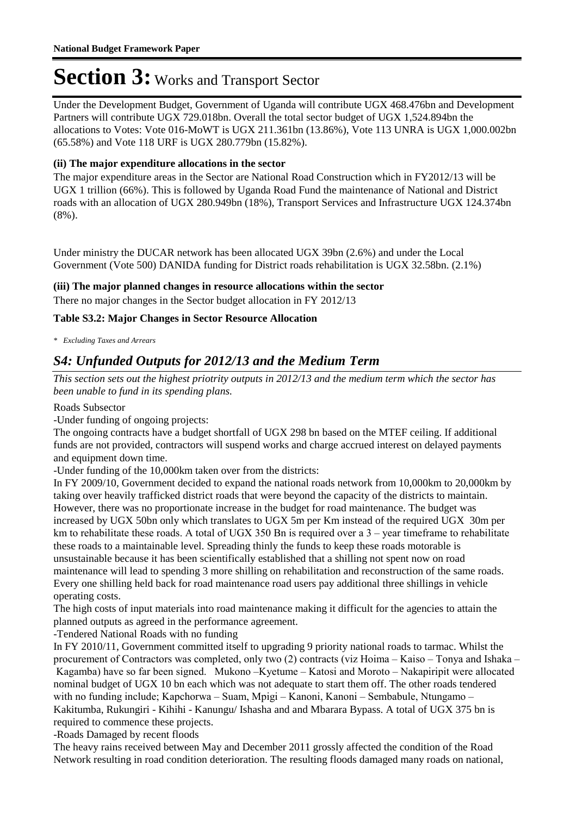Under the Development Budget, Government of Uganda will contribute UGX 468.476bn and Development Partners will contribute UGX 729.018bn. Overall the total sector budget of UGX 1,524.894bn the allocations to Votes: Vote 016-MoWT is UGX 211.361bn (13.86%), Vote 113 UNRA is UGX 1,000.002bn (65.58%) and Vote 118 URF is UGX 280.779bn (15.82%).

### **(ii) The major expenditure allocations in the sector**

The major expenditure areas in the Sector are National Road Construction which in FY2012/13 will be UGX 1 trillion (66%). This is followed by Uganda Road Fund the maintenance of National and District roads with an allocation of UGX 280.949bn (18%), Transport Services and Infrastructure UGX 124.374bn (8%).

Under ministry the DUCAR network has been allocated UGX 39bn (2.6%) and under the Local Government (Vote 500) DANIDA funding for District roads rehabilitation is UGX 32.58bn. (2.1%)

### **(iii) The major planned changes in resource allocations within the sector**

There no major changes in the Sector budget allocation in FY 2012/13

### **Table S3.2: Major Changes in Sector Resource Allocation**

*\* Excluding Taxes and Arrears*

### *S4: Unfunded Outputs for 2012/13 and the Medium Term*

*This section sets out the highest priotrity outputs in 2012/13 and the medium term which the sector has been unable to fund in its spending plans.*

Roads Subsector

-Under funding of ongoing projects:

The ongoing contracts have a budget shortfall of UGX 298 bn based on the MTEF ceiling. If additional funds are not provided, contractors will suspend works and charge accrued interest on delayed payments and equipment down time.

-Under funding of the 10,000km taken over from the districts:

In FY 2009/10, Government decided to expand the national roads network from 10,000km to 20,000km by taking over heavily trafficked district roads that were beyond the capacity of the districts to maintain. However, there was no proportionate increase in the budget for road maintenance. The budget was increased by UGX 50bn only which translates to UGX 5m per Km instead of the required UGX 30m per km to rehabilitate these roads. A total of UGX 350 Bn is required over a 3 – year timeframe to rehabilitate these roads to a maintainable level. Spreading thinly the funds to keep these roads motorable is unsustainable because it has been scientifically established that a shilling not spent now on road maintenance will lead to spending 3 more shilling on rehabilitation and reconstruction of the same roads. Every one shilling held back for road maintenance road users pay additional three shillings in vehicle operating costs.

The high costs of input materials into road maintenance making it difficult for the agencies to attain the planned outputs as agreed in the performance agreement.

-Tendered National Roads with no funding

In FY 2010/11, Government committed itself to upgrading 9 priority national roads to tarmac. Whilst the procurement of Contractors was completed, only two (2) contracts (viz Hoima – Kaiso – Tonya and Ishaka – Kagamba) have so far been signed. Mukono –Kyetume – Katosi and Moroto – Nakapiripit were allocated nominal budget of UGX 10 bn each which was not adequate to start them off. The other roads tendered with no funding include; Kapchorwa – Suam, Mpigi – Kanoni, Kanoni – Sembabule, Ntungamo – Kakitumba, Rukungiri - Kihihi - Kanungu/ Ishasha and and Mbarara Bypass. A total of UGX 375 bn is required to commence these projects.

-Roads Damaged by recent floods

The heavy rains received between May and December 2011 grossly affected the condition of the Road Network resulting in road condition deterioration. The resulting floods damaged many roads on national,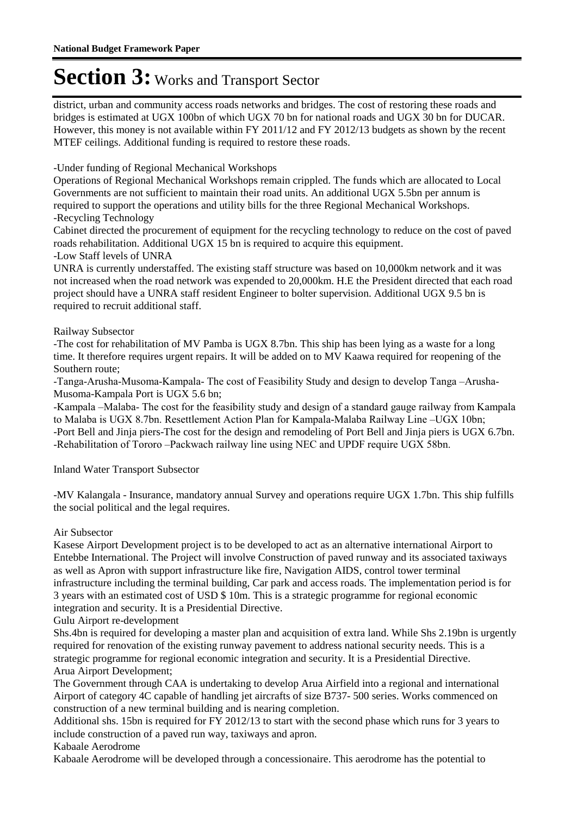district, urban and community access roads networks and bridges. The cost of restoring these roads and bridges is estimated at UGX 100bn of which UGX 70 bn for national roads and UGX 30 bn for DUCAR. However, this money is not available within FY 2011/12 and FY 2012/13 budgets as shown by the recent MTEF ceilings. Additional funding is required to restore these roads.

-Under funding of Regional Mechanical Workshops

Operations of Regional Mechanical Workshops remain crippled. The funds which are allocated to Local Governments are not sufficient to maintain their road units. An additional UGX 5.5bn per annum is required to support the operations and utility bills for the three Regional Mechanical Workshops. -Recycling Technology

Cabinet directed the procurement of equipment for the recycling technology to reduce on the cost of paved roads rehabilitation. Additional UGX 15 bn is required to acquire this equipment. -Low Staff levels of UNRA

UNRA is currently understaffed. The existing staff structure was based on 10,000km network and it was not increased when the road network was expended to 20,000km. H.E the President directed that each road project should have a UNRA staff resident Engineer to bolter supervision. Additional UGX 9.5 bn is required to recruit additional staff.

### Railway Subsector

-The cost for rehabilitation of MV Pamba is UGX 8.7bn. This ship has been lying as a waste for a long time. It therefore requires urgent repairs. It will be added on to MV Kaawa required for reopening of the Southern route;

-Tanga-Arusha-Musoma-Kampala- The cost of Feasibility Study and design to develop Tanga –Arusha-Musoma-Kampala Port is UGX 5.6 bn;

-Kampala –Malaba- The cost for the feasibility study and design of a standard gauge railway from Kampala to Malaba is UGX 8.7bn. Resettlement Action Plan for Kampala-Malaba Railway Line –UGX 10bn; -Port Bell and Jinja piers-The cost for the design and remodeling of Port Bell and Jinja piers is UGX 6.7bn. -Rehabilitation of Tororo –Packwach railway line using NEC and UPDF require UGX 58bn.

Inland Water Transport Subsector

-MV Kalangala - Insurance, mandatory annual Survey and operations require UGX 1.7bn. This ship fulfills the social political and the legal requires.

### Air Subsector

Kasese Airport Development project is to be developed to act as an alternative international Airport to Entebbe International. The Project will involve Construction of paved runway and its associated taxiways as well as Apron with support infrastructure like fire, Navigation AIDS, control tower terminal infrastructure including the terminal building, Car park and access roads. The implementation period is for 3 years with an estimated cost of USD \$ 10m. This is a strategic programme for regional economic integration and security. It is a Presidential Directive.

### Gulu Airport re-development

Shs.4bn is required for developing a master plan and acquisition of extra land. While Shs 2.19bn is urgently required for renovation of the existing runway pavement to address national security needs. This is a strategic programme for regional economic integration and security. It is a Presidential Directive. Arua Airport Development;

The Government through CAA is undertaking to develop Arua Airfield into a regional and international Airport of category 4C capable of handling jet aircrafts of size B737- 500 series. Works commenced on construction of a new terminal building and is nearing completion.

Additional shs. 15bn is required for FY 2012/13 to start with the second phase which runs for 3 years to include construction of a paved run way, taxiways and apron.

Kabaale Aerodrome

Kabaale Aerodrome will be developed through a concessionaire. This aerodrome has the potential to